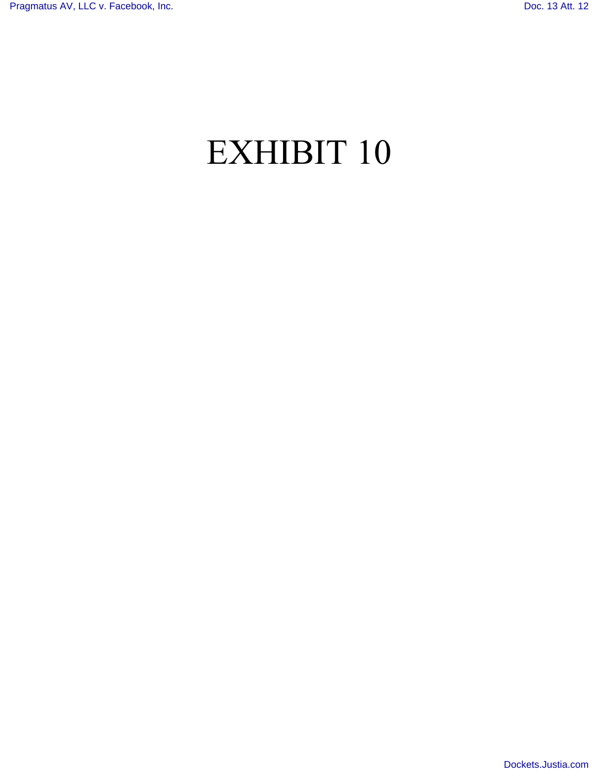# EXHIBIT 10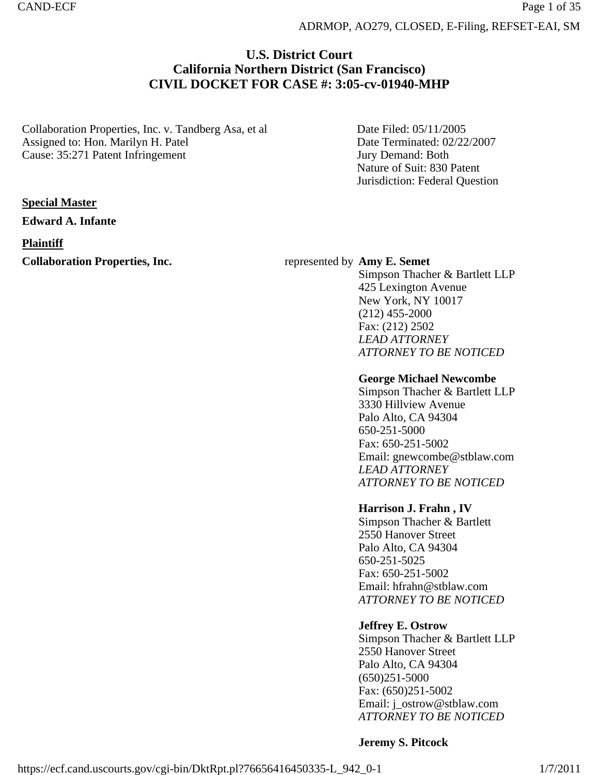ADRMOP, AO279, CLOSED, E-Filing, REFSET-EAI, SM

# **U.S. District Court California Northern District (San Francisco) CIVIL DOCKET FOR CASE #: 3:05-cv-01940-MHP**

Collaboration Properties, Inc. v. Tandberg Asa, et al Assigned to: Hon. Marilyn H. Patel Cause: 35:271 Patent Infringement

Date Filed: 05/11/2005 Date Terminated: 02/22/2007 Jury Demand: Both Nature of Suit: 830 Patent Jurisdiction: Federal Question

# **Special Master**

**Edward A. Infante**

# **Plaintiff**

**Collaboration Properties, Inc.** represented by **Amy E. Semet** 

Simpson Thacher & Bartlett LLP 425 Lexington Avenue New York, NY 10017 (212) 455-2000 Fax: (212) 2502 *LEAD ATTORNEY ATTORNEY TO BE NOTICED*

## **George Michael Newcombe**

Simpson Thacher & Bartlett LLP 3330 Hillview Avenue Palo Alto, CA 94304 650-251-5000 Fax: 650-251-5002 Email: gnewcombe@stblaw.com *LEAD ATTORNEY ATTORNEY TO BE NOTICED*

# **Harrison J. Frahn , IV**

Simpson Thacher & Bartlett 2550 Hanover Street Palo Alto, CA 94304 650-251-5025 Fax: 650-251-5002 Email: hfrahn@stblaw.com *ATTORNEY TO BE NOTICED*

# **Jeffrey E. Ostrow**

Simpson Thacher & Bartlett LLP 2550 Hanover Street Palo Alto, CA 94304 (650)251-5000 Fax: (650)251-5002 Email: j\_ostrow@stblaw.com *ATTORNEY TO BE NOTICED*

# **Jeremy S. Pitcock**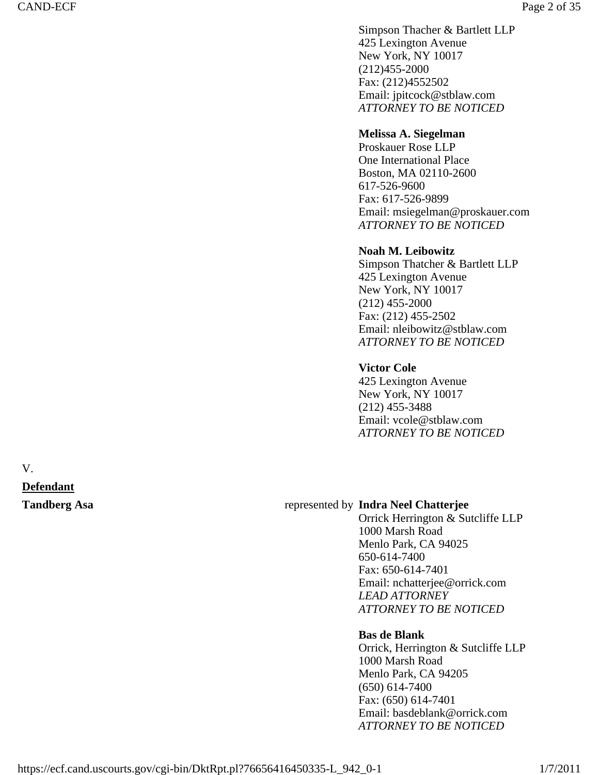Simpson Thacher & Bartlett LLP 425 Lexington Avenue New York, NY 10017 (212)455-2000 Fax: (212)4552502 Email: jpitcock@stblaw.com *ATTORNEY TO BE NOTICED*

# **Melissa A. Siegelman**

Proskauer Rose LLP One International Place Boston, MA 02110-2600 617-526-9600 Fax: 617-526-9899 Email: msiegelman@proskauer.com *ATTORNEY TO BE NOTICED*

# **Noah M. Leibowitz**

Simpson Thatcher & Bartlett LLP 425 Lexington Avenue New York, NY 10017 (212) 455-2000 Fax: (212) 455-2502 Email: nleibowitz@stblaw.com *ATTORNEY TO BE NOTICED*

# **Victor Cole**

425 Lexington Avenue New York, NY 10017 (212) 455-3488 Email: vcole@stblaw.com *ATTORNEY TO BE NOTICED*

V. **Defendant** 

# **Tandberg Asa** represented by **Indra Neel Chatterjee**

Orrick Herrington & Sutcliffe LLP 1000 Marsh Road Menlo Park, CA 94025 650-614-7400 Fax: 650-614-7401 Email: nchatterjee@orrick.com *LEAD ATTORNEY ATTORNEY TO BE NOTICED*

# **Bas de Blank**

Orrick, Herrington & Sutcliffe LLP 1000 Marsh Road Menlo Park, CA 94205 (650) 614-7400 Fax: (650) 614-7401 Email: basdeblank@orrick.com *ATTORNEY TO BE NOTICED*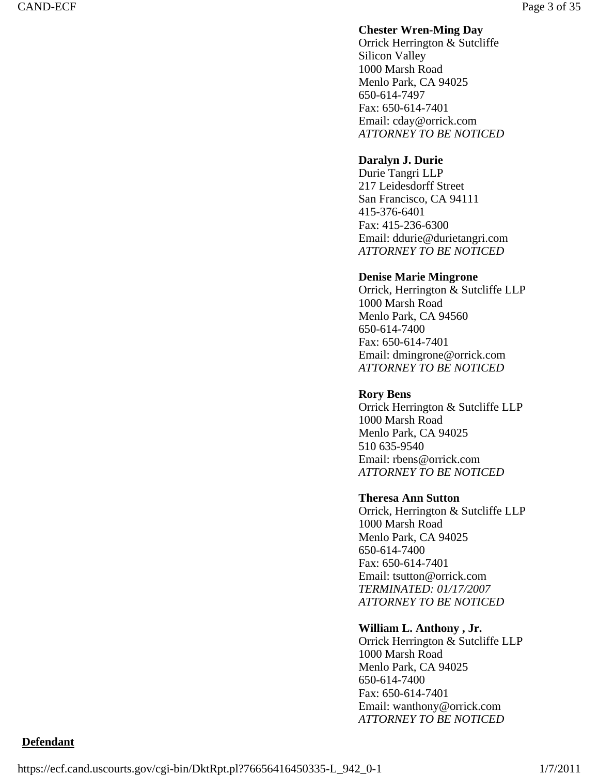# **Chester Wren-Ming Day**

Orrick Herrington & Sutcliffe Silicon Valley 1000 Marsh Road Menlo Park, CA 94025 650-614-7497 Fax: 650-614-7401 Email: cday@orrick.com *ATTORNEY TO BE NOTICED*

# **Daralyn J. Durie**

Durie Tangri LLP 217 Leidesdorff Street San Francisco, CA 94111 415-376-6401 Fax: 415-236-6300 Email: ddurie@durietangri.com *ATTORNEY TO BE NOTICED*

## **Denise Marie Mingrone**

Orrick, Herrington & Sutcliffe LLP 1000 Marsh Road Menlo Park, CA 94560 650-614-7400 Fax: 650-614-7401 Email: dmingrone@orrick.com *ATTORNEY TO BE NOTICED*

### **Rory Bens**

Orrick Herrington & Sutcliffe LLP 1000 Marsh Road Menlo Park, CA 94025 510 635-9540 Email: rbens@orrick.com *ATTORNEY TO BE NOTICED*

### **Theresa Ann Sutton**

Orrick, Herrington & Sutcliffe LLP 1000 Marsh Road Menlo Park, CA 94025 650-614-7400 Fax: 650-614-7401 Email: tsutton@orrick.com *TERMINATED: 01/17/2007 ATTORNEY TO BE NOTICED*

### **William L. Anthony , Jr.**

Orrick Herrington & Sutcliffe LLP 1000 Marsh Road Menlo Park, CA 94025 650-614-7400 Fax: 650-614-7401 Email: wanthony@orrick.com *ATTORNEY TO BE NOTICED*

# **Defendant**

https://ecf.cand.uscourts.gov/cgi-bin/DktRpt.pl?76656416450335-L\_942\_0-1 1/7/2011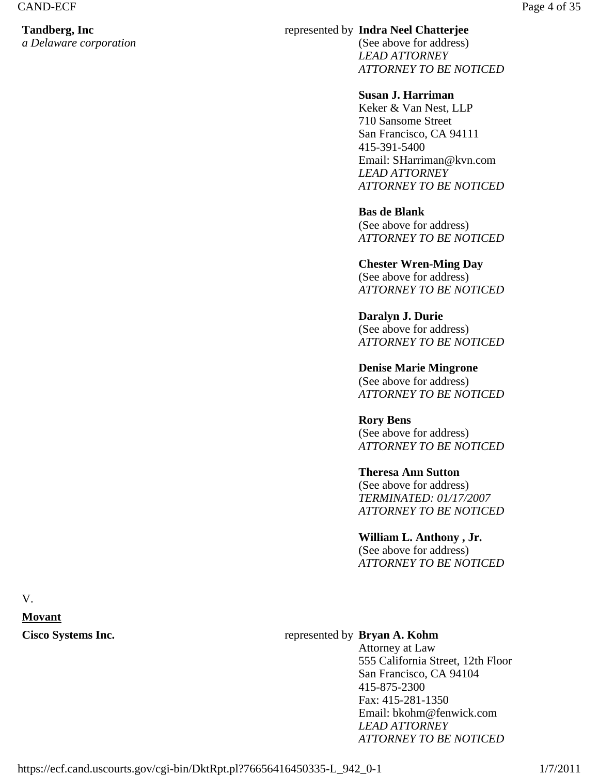# **Tandberg, Inc**

*a Delaware corporation*

# represented by **Indra Neel Chatterjee**

(See above for address) *LEAD ATTORNEY ATTORNEY TO BE NOTICED*

# **Susan J. Harriman**

Keker & Van Nest, LLP 710 Sansome Street San Francisco, CA 94111 415-391-5400 Email: SHarriman@kvn.com *LEAD ATTORNEY ATTORNEY TO BE NOTICED*

# **Bas de Blank**

(See above for address) *ATTORNEY TO BE NOTICED*

### **Chester Wren-Ming Day**  (See above for address) *ATTORNEY TO BE NOTICED*

**Daralyn J. Durie**  (See above for address) *ATTORNEY TO BE NOTICED*

**Denise Marie Mingrone**  (See above for address) *ATTORNEY TO BE NOTICED*

## **Rory Bens**  (See above for address) *ATTORNEY TO BE NOTICED*

# **Theresa Ann Sutton**

(See above for address) *TERMINATED: 01/17/2007 ATTORNEY TO BE NOTICED*

# **William L. Anthony , Jr.**

(See above for address) *ATTORNEY TO BE NOTICED*

V. **Movant** 

# Cisco Systems Inc. *Cisco Systems* Inc.

Attorney at Law 555 California Street, 12th Floor San Francisco, CA 94104 415-875-2300 Fax: 415-281-1350 Email: bkohm@fenwick.com *LEAD ATTORNEY ATTORNEY TO BE NOTICED*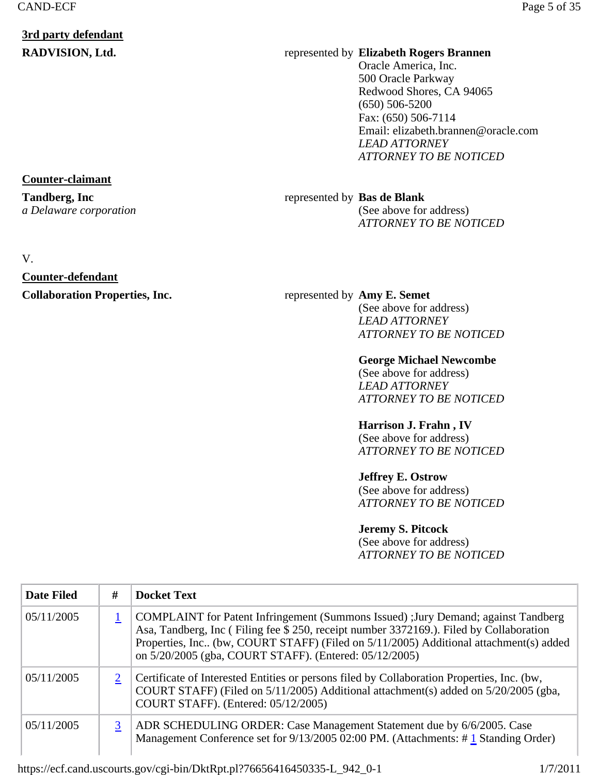# **3rd party defendant**

# **RADVISION, Ltd.** represented by **Elizabeth Rogers Brannen**

Oracle America, Inc. 500 Oracle Parkway Redwood Shores, CA 94065 (650) 506-5200 Fax: (650) 506-7114 Email: elizabeth.brannen@oracle.com *LEAD ATTORNEY ATTORNEY TO BE NOTICED*

# represented by **Bas de Blank**

(See above for address) *ATTORNEY TO BE NOTICED*

# **Collaboration Properties, Inc.** represented by Amy E. Semet

(See above for address) *LEAD ATTORNEY ATTORNEY TO BE NOTICED*

# **George Michael Newcombe**

(See above for address) *LEAD ATTORNEY ATTORNEY TO BE NOTICED*

# **Harrison J. Frahn , IV**

(See above for address) *ATTORNEY TO BE NOTICED*

# **Jeffrey E. Ostrow**

(See above for address) *ATTORNEY TO BE NOTICED*

# **Jeremy S. Pitcock**

(See above for address) *ATTORNEY TO BE NOTICED*

| <b>Date Filed</b> | # | <b>Docket Text</b>                                                                                                                                                                                                                                                                                                                 |
|-------------------|---|------------------------------------------------------------------------------------------------------------------------------------------------------------------------------------------------------------------------------------------------------------------------------------------------------------------------------------|
| 05/11/2005        |   | COMPLAINT for Patent Infringement (Summons Issued) : Jury Demand; against Tandberg<br>Asa, Tandberg, Inc (Filing fee \$ 250, receipt number 3372169.). Filed by Collaboration<br>Properties, Inc., (bw, COURT STAFF) (Filed on 5/11/2005) Additional attachment(s) added<br>on 5/20/2005 (gba, COURT STAFF). (Entered: 05/12/2005) |
| 05/11/2005        |   | Certificate of Interested Entities or persons filed by Collaboration Properties, Inc. (bw,<br>COURT STAFF) (Filed on 5/11/2005) Additional attachment(s) added on 5/20/2005 (gba,<br>COURT STAFF). (Entered: 05/12/2005)                                                                                                           |
| 05/11/2005        | 3 | ADR SCHEDULING ORDER: Case Management Statement due by 6/6/2005. Case<br>Management Conference set for 9/13/2005 02:00 PM. (Attachments: #1 Standing Order)                                                                                                                                                                        |

### https://ecf.cand.uscourts.gov/cgi-bin/DktRpt.pl?76656416450335-L\_942\_0-1 1/7/2011

# **Counter-claimant**

**Tandberg, Inc** *a Delaware corporation*

## V.

# **Counter-defendant**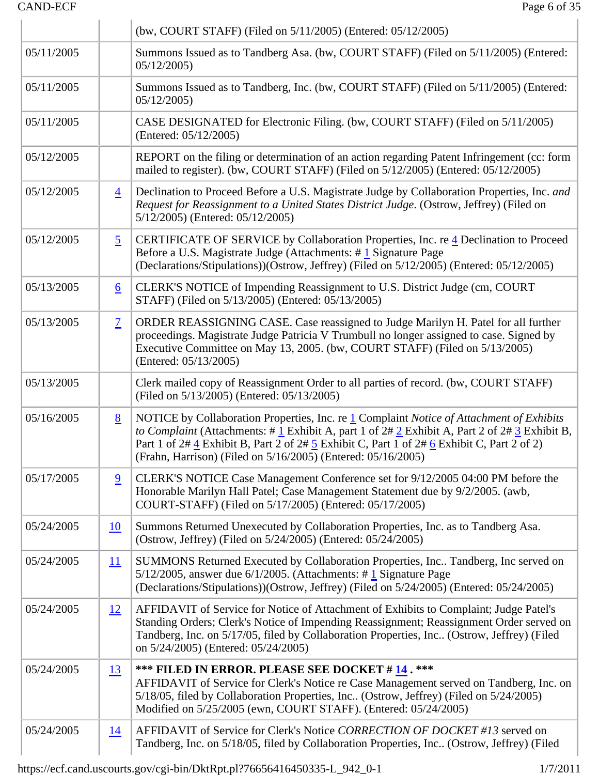# CAND-ECF Page 6 of 35

 $\parallel$ 

|            |                | (bw, COURT STAFF) (Filed on 5/11/2005) (Entered: 05/12/2005)                                                                                                                                                                                                                                                                                                              |
|------------|----------------|---------------------------------------------------------------------------------------------------------------------------------------------------------------------------------------------------------------------------------------------------------------------------------------------------------------------------------------------------------------------------|
| 05/11/2005 |                | Summons Issued as to Tandberg Asa. (bw, COURT STAFF) (Filed on 5/11/2005) (Entered:<br>05/12/2005                                                                                                                                                                                                                                                                         |
| 05/11/2005 |                | Summons Issued as to Tandberg, Inc. (bw, COURT STAFF) (Filed on 5/11/2005) (Entered:<br>05/12/2005                                                                                                                                                                                                                                                                        |
| 05/11/2005 |                | CASE DESIGNATED for Electronic Filing. (bw, COURT STAFF) (Filed on 5/11/2005)<br>(Entered: 05/12/2005)                                                                                                                                                                                                                                                                    |
| 05/12/2005 |                | REPORT on the filing or determination of an action regarding Patent Infringement (cc: form<br>mailed to register). (bw, COURT STAFF) (Filed on 5/12/2005) (Entered: 05/12/2005)                                                                                                                                                                                           |
| 05/12/2005 | $\overline{4}$ | Declination to Proceed Before a U.S. Magistrate Judge by Collaboration Properties, Inc. and<br>Request for Reassignment to a United States District Judge. (Ostrow, Jeffrey) (Filed on<br>5/12/2005) (Entered: 05/12/2005)                                                                                                                                                |
| 05/12/2005 | $\overline{5}$ | CERTIFICATE OF SERVICE by Collaboration Properties, Inc. re 4 Declination to Proceed<br>Before a U.S. Magistrate Judge (Attachments: #1 Signature Page<br>(Declarations/Stipulations))(Ostrow, Jeffrey) (Filed on 5/12/2005) (Entered: 05/12/2005)                                                                                                                        |
| 05/13/2005 | <u>6</u>       | CLERK'S NOTICE of Impending Reassignment to U.S. District Judge (cm, COURT<br>STAFF) (Filed on 5/13/2005) (Entered: 05/13/2005)                                                                                                                                                                                                                                           |
| 05/13/2005 | $\overline{1}$ | ORDER REASSIGNING CASE. Case reassigned to Judge Marilyn H. Patel for all further<br>proceedings. Magistrate Judge Patricia V Trumbull no longer assigned to case. Signed by<br>Executive Committee on May 13, 2005. (bw, COURT STAFF) (Filed on 5/13/2005)<br>(Entered: 05/13/2005)                                                                                      |
| 05/13/2005 |                | Clerk mailed copy of Reassignment Order to all parties of record. (bw, COURT STAFF)<br>(Filed on 5/13/2005) (Entered: 05/13/2005)                                                                                                                                                                                                                                         |
| 05/16/2005 | <u>8</u>       | NOTICE by Collaboration Properties, Inc. re 1 Complaint Notice of Attachment of Exhibits<br>to Complaint (Attachments: # $\frac{1}{2}$ Exhibit A, part 1 of $2\# 2$ Exhibit A, Part 2 of $2\# 3$ Exhibit B,<br>Part 1 of 2# 4 Exhibit B, Part 2 of 2# 5 Exhibit C, Part 1 of 2# 6 Exhibit C, Part 2 of 2)<br>(Frahn, Harrison) (Filed on 5/16/2005) (Entered: 05/16/2005) |
| 05/17/2005 | $\overline{9}$ | CLERK'S NOTICE Case Management Conference set for 9/12/2005 04:00 PM before the<br>Honorable Marilyn Hall Patel; Case Management Statement due by 9/2/2005. (awb,<br>COURT-STAFF) (Filed on 5/17/2005) (Entered: 05/17/2005)                                                                                                                                              |
| 05/24/2005 | <u>10</u>      | Summons Returned Unexecuted by Collaboration Properties, Inc. as to Tandberg Asa.<br>(Ostrow, Jeffrey) (Filed on 5/24/2005) (Entered: 05/24/2005)                                                                                                                                                                                                                         |
| 05/24/2005 | 11             | SUMMONS Returned Executed by Collaboration Properties, Inc Tandberg, Inc served on<br>5/12/2005, answer due $6/1/2005$ . (Attachments: #1 Signature Page<br>(Declarations/Stipulations))(Ostrow, Jeffrey) (Filed on 5/24/2005) (Entered: 05/24/2005)                                                                                                                      |
| 05/24/2005 | 12             | AFFIDAVIT of Service for Notice of Attachment of Exhibits to Complaint; Judge Patel's<br>Standing Orders; Clerk's Notice of Impending Reassignment; Reassignment Order served on<br>Tandberg, Inc. on 5/17/05, filed by Collaboration Properties, Inc (Ostrow, Jeffrey) (Filed<br>on 5/24/2005) (Entered: 05/24/2005)                                                     |
| 05/24/2005 | <u>13</u>      | *** FILED IN ERROR. PLEASE SEE DOCKET # 14. ***<br>AFFIDAVIT of Service for Clerk's Notice re Case Management served on Tandberg, Inc. on<br>5/18/05, filed by Collaboration Properties, Inc (Ostrow, Jeffrey) (Filed on 5/24/2005)<br>Modified on 5/25/2005 (ewn, COURT STAFF). (Entered: 05/24/2005)                                                                    |
| 05/24/2005 | <u>14</u>      | AFFIDAVIT of Service for Clerk's Notice CORRECTION OF DOCKET #13 served on<br>Tandberg, Inc. on 5/18/05, filed by Collaboration Properties, Inc (Ostrow, Jeffrey) (Filed                                                                                                                                                                                                  |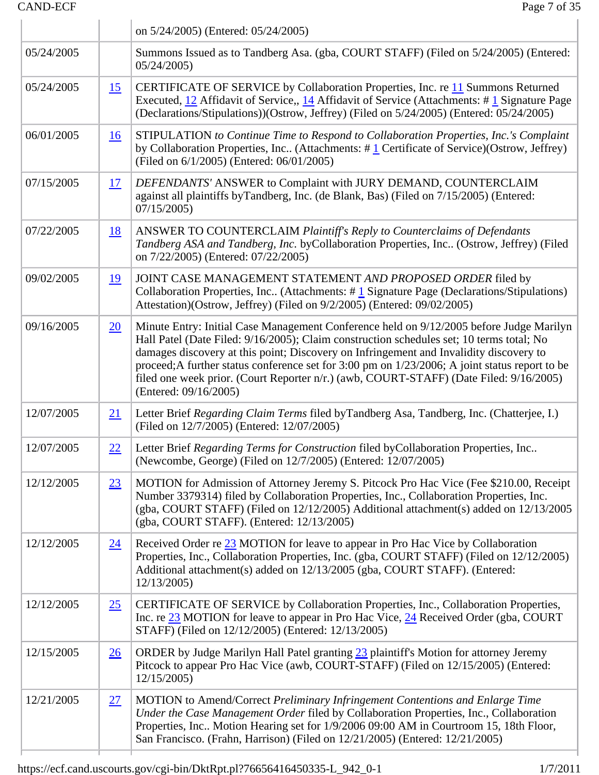# CAND-ECF Page 7 of 35

|            |                 | on 5/24/2005) (Entered: 05/24/2005)                                                                                                                                                                                                                                                                                                                                                                                                                                                                |
|------------|-----------------|----------------------------------------------------------------------------------------------------------------------------------------------------------------------------------------------------------------------------------------------------------------------------------------------------------------------------------------------------------------------------------------------------------------------------------------------------------------------------------------------------|
| 05/24/2005 |                 | Summons Issued as to Tandberg Asa. (gba, COURT STAFF) (Filed on 5/24/2005) (Entered:<br>05/24/2005                                                                                                                                                                                                                                                                                                                                                                                                 |
| 05/24/2005 | 15              | CERTIFICATE OF SERVICE by Collaboration Properties, Inc. re 11 Summons Returned<br>Executed, 12 Affidavit of Service,, 14 Affidavit of Service (Attachments: #1 Signature Page<br>(Declarations/Stipulations))(Ostrow, Jeffrey) (Filed on 5/24/2005) (Entered: 05/24/2005)                                                                                                                                                                                                                         |
| 06/01/2005 | 16              | STIPULATION to Continue Time to Respond to Collaboration Properties, Inc.'s Complaint<br>by Collaboration Properties, Inc (Attachments: $\# \underline{1}$ Certificate of Service)(Ostrow, Jeffrey)<br>(Filed on 6/1/2005) (Entered: 06/01/2005)                                                                                                                                                                                                                                                   |
| 07/15/2005 | <u>17</u>       | DEFENDANTS' ANSWER to Complaint with JURY DEMAND, COUNTERCLAIM<br>against all plaintiffs byTandberg, Inc. (de Blank, Bas) (Filed on 7/15/2005) (Entered:<br>07/15/2005                                                                                                                                                                                                                                                                                                                             |
| 07/22/2005 | <u>18</u>       | ANSWER TO COUNTERCLAIM Plaintiff's Reply to Counterclaims of Defendants<br>Tandberg ASA and Tandberg, Inc. byCollaboration Properties, Inc (Ostrow, Jeffrey) (Filed<br>on 7/22/2005) (Entered: 07/22/2005)                                                                                                                                                                                                                                                                                         |
| 09/02/2005 | <u>19</u>       | JOINT CASE MANAGEMENT STATEMENT AND PROPOSED ORDER filed by<br>Collaboration Properties, Inc (Attachments: #1 Signature Page (Declarations/Stipulations)<br>Attestation)(Ostrow, Jeffrey) (Filed on 9/2/2005) (Entered: 09/02/2005)                                                                                                                                                                                                                                                                |
| 09/16/2005 | 20              | Minute Entry: Initial Case Management Conference held on 9/12/2005 before Judge Marilyn<br>Hall Patel (Date Filed: 9/16/2005); Claim construction schedules set; 10 terms total; No<br>damages discovery at this point; Discovery on Infringement and Invalidity discovery to<br>proceed; A further status conference set for 3:00 pm on 1/23/2006; A joint status report to be<br>filed one week prior. (Court Reporter n/r.) (awb, COURT-STAFF) (Date Filed: 9/16/2005)<br>(Entered: 09/16/2005) |
| 12/07/2005 | 21              | Letter Brief Regarding Claim Terms filed by Tandberg Asa, Tandberg, Inc. (Chatterjee, I.)<br>(Filed on 12/7/2005) (Entered: 12/07/2005)                                                                                                                                                                                                                                                                                                                                                            |
| 12/07/2005 | 22              | Letter Brief Regarding Terms for Construction filed byCollaboration Properties, Inc<br>(Newcombe, George) (Filed on 12/7/2005) (Entered: 12/07/2005)                                                                                                                                                                                                                                                                                                                                               |
| 12/12/2005 | 23              | MOTION for Admission of Attorney Jeremy S. Pitcock Pro Hac Vice (Fee \$210.00, Receipt<br>Number 3379314) filed by Collaboration Properties, Inc., Collaboration Properties, Inc.<br>(gba, COURT STAFF) (Filed on 12/12/2005) Additional attachment(s) added on 12/13/2005<br>(gba, COURT STAFF). (Entered: 12/13/2005)                                                                                                                                                                            |
| 12/12/2005 | $\overline{24}$ | Received Order re 23 MOTION for leave to appear in Pro Hac Vice by Collaboration<br>Properties, Inc., Collaboration Properties, Inc. (gba, COURT STAFF) (Filed on 12/12/2005)<br>Additional attachment(s) added on 12/13/2005 (gba, COURT STAFF). (Entered:<br>12/13/2005                                                                                                                                                                                                                          |
| 12/12/2005 | 25              | CERTIFICATE OF SERVICE by Collaboration Properties, Inc., Collaboration Properties,<br>Inc. re 23 MOTION for leave to appear in Pro Hac Vice, 24 Received Order (gba, COURT<br>STAFF) (Filed on 12/12/2005) (Entered: 12/13/2005)                                                                                                                                                                                                                                                                  |
| 12/15/2005 | $\overline{26}$ | ORDER by Judge Marilyn Hall Patel granting 23 plaintiff's Motion for attorney Jeremy<br>Pitcock to appear Pro Hac Vice (awb, COURT-STAFF) (Filed on 12/15/2005) (Entered:<br>12/15/2005                                                                                                                                                                                                                                                                                                            |
| 12/21/2005 | 27              | MOTION to Amend/Correct Preliminary Infringement Contentions and Enlarge Time<br>Under the Case Management Order filed by Collaboration Properties, Inc., Collaboration<br>Properties, Inc Motion Hearing set for 1/9/2006 09:00 AM in Courtroom 15, 18th Floor,<br>San Francisco. (Frahn, Harrison) (Filed on 12/21/2005) (Entered: 12/21/2005)                                                                                                                                                   |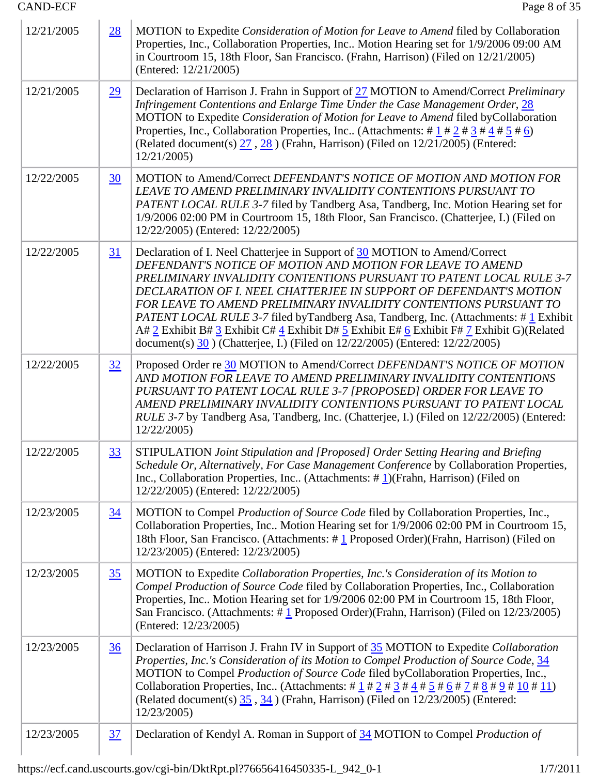| 12/21/2005 | 28             | MOTION to Expedite Consideration of Motion for Leave to Amend filed by Collaboration<br>Properties, Inc., Collaboration Properties, Inc Motion Hearing set for 1/9/2006 09:00 AM<br>in Courtroom 15, 18th Floor, San Francisco. (Frahn, Harrison) (Filed on 12/21/2005)<br>(Entered: 12/21/2005)                                                                                                                                                                                                                                                                                                                                            |
|------------|----------------|---------------------------------------------------------------------------------------------------------------------------------------------------------------------------------------------------------------------------------------------------------------------------------------------------------------------------------------------------------------------------------------------------------------------------------------------------------------------------------------------------------------------------------------------------------------------------------------------------------------------------------------------|
| 12/21/2005 | 29             | Declaration of Harrison J. Frahn in Support of 27 MOTION to Amend/Correct Preliminary<br>Infringement Contentions and Enlarge Time Under the Case Management Order, 28<br>MOTION to Expedite Consideration of Motion for Leave to Amend filed byCollaboration<br>Properties, Inc., Collaboration Properties, Inc (Attachments: # $\frac{1}{2}$ # $\frac{2}{3}$ # $\frac{4}{4}$ # $\frac{5}{5}$ # $\frac{6}{2}$ )<br>(Related document(s) $\frac{27}{25}$ , $\frac{28}{25}$ ) (Frahn, Harrison) (Filed on 12/21/2005) (Entered:<br>12/21/2005                                                                                                |
| 12/22/2005 | 30             | MOTION to Amend/Correct DEFENDANT'S NOTICE OF MOTION AND MOTION FOR<br>LEAVE TO AMEND PRELIMINARY INVALIDITY CONTENTIONS PURSUANT TO<br>PATENT LOCAL RULE 3-7 filed by Tandberg Asa, Tandberg, Inc. Motion Hearing set for<br>1/9/2006 02:00 PM in Courtroom 15, 18th Floor, San Francisco. (Chatterjee, I.) (Filed on<br>12/22/2005) (Entered: 12/22/2005)                                                                                                                                                                                                                                                                                 |
| 12/22/2005 | <u>31</u>      | Declaration of I. Neel Chatterjee in Support of 30 MOTION to Amend/Correct<br>DEFENDANT'S NOTICE OF MOTION AND MOTION FOR LEAVE TO AMEND<br>PRELIMINARY INVALIDITY CONTENTIONS PURSUANT TO PATENT LOCAL RULE 3-7<br>DECLARATION OF I. NEEL CHATTERJEE IN SUPPORT OF DEFENDANT'S MOTION<br><b>FOR LEAVE TO AMEND PRELIMINARY INVALIDITY CONTENTIONS PURSUANT TO</b><br><i>PATENT LOCAL RULE 3-7</i> filed byTandberg Asa, Tandberg, Inc. (Attachments: #1 Exhibit<br>A# 2 Exhibit B# 3 Exhibit C# 4 Exhibit D# 5 Exhibit E# 6 Exhibit F# 7 Exhibit G)(Related<br>document(s) 30 (Chatterjee, I.) (Filed on 12/22/2005) (Entered: 12/22/2005) |
| 12/22/2005 | 32             | Proposed Order re 30 MOTION to Amend/Correct DEFENDANT'S NOTICE OF MOTION<br>AND MOTION FOR LEAVE TO AMEND PRELIMINARY INVALIDITY CONTENTIONS<br>PURSUANT TO PATENT LOCAL RULE 3-7 [PROPOSED] ORDER FOR LEAVE TO<br>AMEND PRELIMINARY INVALIDITY CONTENTIONS PURSUANT TO PATENT LOCAL<br><i>RULE 3-7</i> by Tandberg Asa, Tandberg, Inc. (Chatterjee, I.) (Filed on 12/22/2005) (Entered:<br>12/22/2005)                                                                                                                                                                                                                                    |
| 12/22/2005 | 33             | STIPULATION Joint Stipulation and [Proposed] Order Setting Hearing and Briefing<br>Schedule Or, Alternatively, For Case Management Conference by Collaboration Properties,<br>Inc., Collaboration Properties, Inc (Attachments: $\# \mathbf{1}$ )(Frahn, Harrison) (Filed on<br>12/22/2005) (Entered: 12/22/2005)                                                                                                                                                                                                                                                                                                                           |
| 12/23/2005 | <u>34</u>      | MOTION to Compel Production of Source Code filed by Collaboration Properties, Inc.,<br>Collaboration Properties, Inc Motion Hearing set for 1/9/2006 02:00 PM in Courtroom 15,<br>18th Floor, San Francisco. (Attachments: #1 Proposed Order)(Frahn, Harrison) (Filed on<br>12/23/2005) (Entered: 12/23/2005)                                                                                                                                                                                                                                                                                                                               |
| 12/23/2005 | 35             | MOTION to Expedite Collaboration Properties, Inc.'s Consideration of its Motion to<br>Compel Production of Source Code filed by Collaboration Properties, Inc., Collaboration<br>Properties, Inc Motion Hearing set for 1/9/2006 02:00 PM in Courtroom 15, 18th Floor,<br>San Francisco. (Attachments: $\# \mathbf{1}$ Proposed Order)(Frahn, Harrison) (Filed on 12/23/2005)<br>(Entered: 12/23/2005)                                                                                                                                                                                                                                      |
| 12/23/2005 | $\frac{36}{5}$ | Declaration of Harrison J. Frahn IV in Support of 35 MOTION to Expedite Collaboration<br>Properties, Inc.'s Consideration of its Motion to Compel Production of Source Code, 34<br>MOTION to Compel Production of Source Code filed byCollaboration Properties, Inc.,<br>Collaboration Properties, Inc. (Attachments: # $1 \cancel{1}$ # $2 \cancel{1}$ # $3 \cancel{1}$ # $4 \cancel{1}$ # $5 \cancel{1}$ # $6 \cancel{1}$ # $7 \cancel{1}$ # $8 \cancel{1}$ # $10 \cancel{1}$ # $11)$<br>(Related document(s) $35, 34$ ) (Frahn, Harrison) (Filed on $12/23/2005$ ) (Entered:<br>12/23/2005)                                              |
| 12/23/2005 | 37             | Declaration of Kendyl A. Roman in Support of 34 MOTION to Compel <i>Production of</i>                                                                                                                                                                                                                                                                                                                                                                                                                                                                                                                                                       |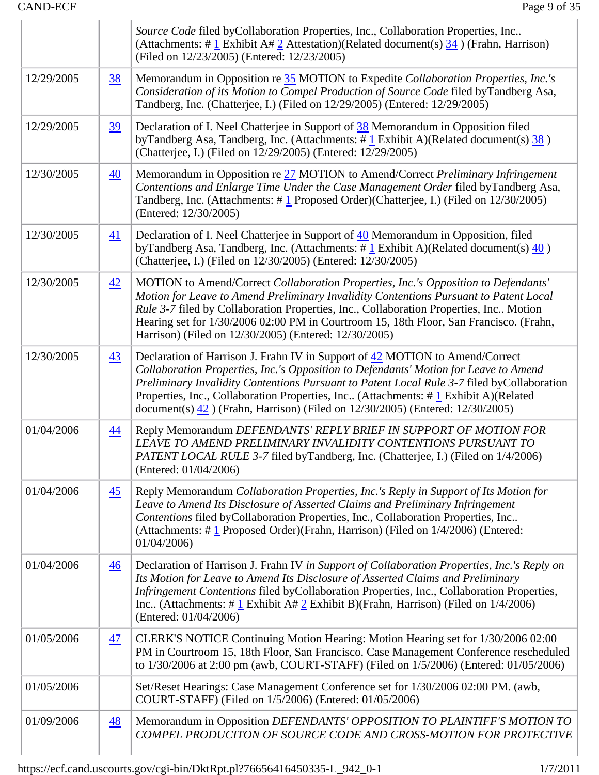|            |                  | Source Code filed byCollaboration Properties, Inc., Collaboration Properties, Inc<br>(Attachments: # $\frac{1}{2}$ Exhibit A# $\frac{2}{2}$ Attestation)(Related document(s) $\frac{34}{2}$ ) (Frahn, Harrison)<br>(Filed on 12/23/2005) (Entered: 12/23/2005)                                                                                                                                                                                                           |
|------------|------------------|--------------------------------------------------------------------------------------------------------------------------------------------------------------------------------------------------------------------------------------------------------------------------------------------------------------------------------------------------------------------------------------------------------------------------------------------------------------------------|
| 12/29/2005 | <u>38</u>        | Memorandum in Opposition re 35 MOTION to Expedite Collaboration Properties, Inc.'s<br>Consideration of its Motion to Compel Production of Source Code filed byTandberg Asa,<br>Tandberg, Inc. (Chatterjee, I.) (Filed on 12/29/2005) (Entered: 12/29/2005)                                                                                                                                                                                                               |
| 12/29/2005 | <u>39</u>        | Declaration of I. Neel Chatterjee in Support of 38 Memorandum in Opposition filed<br>by Tandberg Asa, Tandberg, Inc. (Attachments: $\#$ 1 Exhibit A)(Related document(s) 38)<br>(Chatterjee, I.) (Filed on 12/29/2005) (Entered: 12/29/2005)                                                                                                                                                                                                                             |
| 12/30/2005 | $\overline{40}$  | Memorandum in Opposition re 27 MOTION to Amend/Correct Preliminary Infringement<br>Contentions and Enlarge Time Under the Case Management Order filed byTandberg Asa,<br>Tandberg, Inc. (Attachments: $\#$ 1 Proposed Order)(Chatterjee, I.) (Filed on 12/30/2005)<br>(Entered: 12/30/2005)                                                                                                                                                                              |
| 12/30/2005 | $\underline{41}$ | Declaration of I. Neel Chatterjee in Support of 40 Memorandum in Opposition, filed<br>byTandberg Asa, Tandberg, Inc. (Attachments: $\#$ 1 Exhibit A)(Related document(s) $\frac{40}{20}$ )<br>(Chatterjee, I.) (Filed on 12/30/2005) (Entered: 12/30/2005)                                                                                                                                                                                                               |
| 12/30/2005 | 42               | MOTION to Amend/Correct Collaboration Properties, Inc.'s Opposition to Defendants'<br>Motion for Leave to Amend Preliminary Invalidity Contentions Pursuant to Patent Local<br>Rule 3-7 filed by Collaboration Properties, Inc., Collaboration Properties, Inc Motion<br>Hearing set for 1/30/2006 02:00 PM in Courtroom 15, 18th Floor, San Francisco. (Frahn,<br>Harrison) (Filed on 12/30/2005) (Entered: 12/30/2005)                                                 |
| 12/30/2005 | $\overline{43}$  | Declaration of Harrison J. Frahn IV in Support of 42 MOTION to Amend/Correct<br>Collaboration Properties, Inc.'s Opposition to Defendants' Motion for Leave to Amend<br>Preliminary Invalidity Contentions Pursuant to Patent Local Rule 3-7 filed byCollaboration<br>Properties, Inc., Collaboration Properties, Inc (Attachments: $\# \underline{1}$ Exhibit A)(Related<br>document(s) $\frac{42}{12}$ ) (Frahn, Harrison) (Filed on 12/30/2005) (Entered: 12/30/2005) |
| 01/04/2006 | $\overline{44}$  | Reply Memorandum DEFENDANTS' REPLY BRIEF IN SUPPORT OF MOTION FOR<br>LEAVE TO AMEND PRELIMINARY INVALIDITY CONTENTIONS PURSUANT TO<br>PATENT LOCAL RULE 3-7 filed byTandberg, Inc. (Chatterjee, I.) (Filed on 1/4/2006)<br>(Entered: 01/04/2006)                                                                                                                                                                                                                         |
| 01/04/2006 | $\overline{45}$  | Reply Memorandum Collaboration Properties, Inc.'s Reply in Support of Its Motion for<br>Leave to Amend Its Disclosure of Asserted Claims and Preliminary Infringement<br>Contentions filed byCollaboration Properties, Inc., Collaboration Properties, Inc<br>(Attachments: $\#$ 1 Proposed Order)(Frahn, Harrison) (Filed on $1/4/2006$ ) (Entered:<br>01/04/2006                                                                                                       |
| 01/04/2006 | $\frac{46}{5}$   | Declaration of Harrison J. Frahn IV in Support of Collaboration Properties, Inc.'s Reply on<br>Its Motion for Leave to Amend Its Disclosure of Asserted Claims and Preliminary<br>Infringement Contentions filed byCollaboration Properties, Inc., Collaboration Properties,<br>Inc (Attachments: # $1$ Exhibit A# $2$ Exhibit B)(Frahn, Harrison) (Filed on $1/4/2006$ )<br>(Entered: 01/04/2006)                                                                       |
| 01/05/2006 | <u>47</u>        | CLERK'S NOTICE Continuing Motion Hearing: Motion Hearing set for 1/30/2006 02:00<br>PM in Courtroom 15, 18th Floor, San Francisco. Case Management Conference rescheduled<br>to 1/30/2006 at 2:00 pm (awb, COURT-STAFF) (Filed on 1/5/2006) (Entered: 01/05/2006)                                                                                                                                                                                                        |
| 01/05/2006 |                  | Set/Reset Hearings: Case Management Conference set for 1/30/2006 02:00 PM. (awb,<br>COURT-STAFF) (Filed on 1/5/2006) (Entered: 01/05/2006)                                                                                                                                                                                                                                                                                                                               |
| 01/09/2006 | <u>48</u>        | Memorandum in Opposition DEFENDANTS' OPPOSITION TO PLAINTIFF'S MOTION TO<br>COMPEL PRODUCITON OF SOURCE CODE AND CROSS-MOTION FOR PROTECTIVE                                                                                                                                                                                                                                                                                                                             |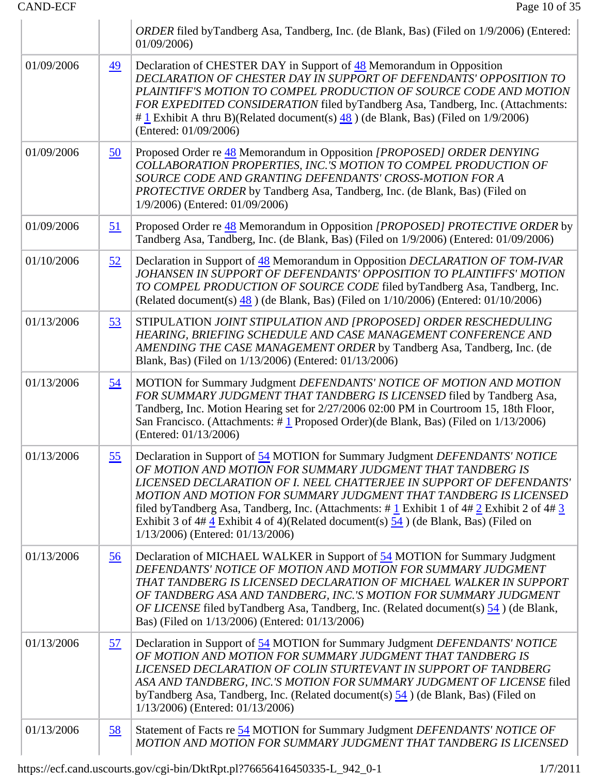|            |                 | ORDER filed by Tandberg Asa, Tandberg, Inc. (de Blank, Bas) (Filed on 1/9/2006) (Entered:<br>01/09/2006                                                                                                                                                                                                                                                                                                                                                                                                                                        |
|------------|-----------------|------------------------------------------------------------------------------------------------------------------------------------------------------------------------------------------------------------------------------------------------------------------------------------------------------------------------------------------------------------------------------------------------------------------------------------------------------------------------------------------------------------------------------------------------|
| 01/09/2006 | $\overline{49}$ | Declaration of CHESTER DAY in Support of 48 Memorandum in Opposition<br>DECLARATION OF CHESTER DAY IN SUPPORT OF DEFENDANTS' OPPOSITION TO<br>PLAINTIFF'S MOTION TO COMPEL PRODUCTION OF SOURCE CODE AND MOTION<br>FOR EXPEDITED CONSIDERATION filed byTandberg Asa, Tandberg, Inc. (Attachments:<br>$\#$ 1 Exhibit A thru B)(Related document(s) $\frac{48}{9}$ ) (de Blank, Bas) (Filed on 1/9/2006)<br>(Entered: 01/09/2006)                                                                                                                |
| 01/09/2006 | <u>50</u>       | Proposed Order re 48 Memorandum in Opposition [PROPOSED] ORDER DENYING<br>COLLABORATION PROPERTIES, INC.'S MOTION TO COMPEL PRODUCTION OF<br>SOURCE CODE AND GRANTING DEFENDANTS' CROSS-MOTION FOR A<br><b>PROTECTIVE ORDER by Tandberg Asa, Tandberg, Inc. (de Blank, Bas) (Filed on</b><br>1/9/2006) (Entered: 01/09/2006)                                                                                                                                                                                                                   |
| 01/09/2006 | <u>51</u>       | Proposed Order re 48 Memorandum in Opposition [PROPOSED] PROTECTIVE ORDER by<br>Tandberg Asa, Tandberg, Inc. (de Blank, Bas) (Filed on 1/9/2006) (Entered: 01/09/2006)                                                                                                                                                                                                                                                                                                                                                                         |
| 01/10/2006 | 52              | Declaration in Support of 48 Memorandum in Opposition DECLARATION OF TOM-IVAR<br>JOHANSEN IN SUPPORT OF DEFENDANTS' OPPOSITION TO PLAINTIFFS' MOTION<br>TO COMPEL PRODUCTION OF SOURCE CODE filed by Tandberg Asa, Tandberg, Inc.<br>(Related document(s) $48$ ) (de Blank, Bas) (Filed on $1/10/2006$ ) (Entered: $01/10/2006$ )                                                                                                                                                                                                              |
| 01/13/2006 | <u>53</u>       | STIPULATION JOINT STIPULATION AND [PROPOSED] ORDER RESCHEDULING<br>HEARING, BRIEFING SCHEDULE AND CASE MANAGEMENT CONFERENCE AND<br>AMENDING THE CASE MANAGEMENT ORDER by Tandberg Asa, Tandberg, Inc. (de<br>Blank, Bas) (Filed on 1/13/2006) (Entered: 01/13/2006)                                                                                                                                                                                                                                                                           |
| 01/13/2006 | <u>54</u>       | MOTION for Summary Judgment DEFENDANTS' NOTICE OF MOTION AND MOTION<br>FOR SUMMARY JUDGMENT THAT TANDBERG IS LICENSED filed by Tandberg Asa,<br>Tandberg, Inc. Motion Hearing set for 2/27/2006 02:00 PM in Courtroom 15, 18th Floor,<br>San Francisco. (Attachments: $\#$ 1 Proposed Order)(de Blank, Bas) (Filed on 1/13/2006)<br>(Entered: 01/13/2006)                                                                                                                                                                                      |
| 01/13/2006 | <u>55</u>       | Declaration in Support of 54 MOTION for Summary Judgment DEFENDANTS' NOTICE<br>OF MOTION AND MOTION FOR SUMMARY JUDGMENT THAT TANDBERG IS<br>LICENSED DECLARATION OF I. NEEL CHATTERJEE IN SUPPORT OF DEFENDANTS'<br>MOTION AND MOTION FOR SUMMARY JUDGMENT THAT TANDBERG IS LICENSED<br>filed by Tandberg Asa, Tandberg, Inc. (Attachments: # $1$ Exhibit 1 of 4# $2$ Exhibit 2 of 4# $3$<br>Exhibit 3 of 4# $\frac{4}{3}$ Exhibit 4 of 4)(Related document(s) $\frac{54}{3}$ ) (de Blank, Bas) (Filed on<br>1/13/2006) (Entered: 01/13/2006) |
| 01/13/2006 | <u>56</u>       | Declaration of MICHAEL WALKER in Support of 54 MOTION for Summary Judgment<br>DEFENDANTS' NOTICE OF MOTION AND MOTION FOR SUMMARY JUDGMENT<br>THAT TANDBERG IS LICENSED DECLARATION OF MICHAEL WALKER IN SUPPORT<br>OF TANDBERG ASA AND TANDBERG, INC.'S MOTION FOR SUMMARY JUDGMENT<br><i>OF LICENSE</i> filed byTandberg Asa, Tandberg, Inc. (Related document(s) 54) (de Blank,<br>Bas) (Filed on 1/13/2006) (Entered: 01/13/2006)                                                                                                          |
| 01/13/2006 | <u>57</u>       | Declaration in Support of 54 MOTION for Summary Judgment DEFENDANTS' NOTICE<br>OF MOTION AND MOTION FOR SUMMARY JUDGMENT THAT TANDBERG IS<br>LICENSED DECLARATION OF COLIN STURTEVANT IN SUPPORT OF TANDBERG<br>ASA AND TANDBERG, INC.'S MOTION FOR SUMMARY JUDGMENT OF LICENSE filed<br>by Tandberg Asa, Tandberg, Inc. (Related document(s) $\frac{54}{9}$ (de Blank, Bas) (Filed on<br>1/13/2006) (Entered: 01/13/2006)                                                                                                                     |
| 01/13/2006 | <u>58</u>       | Statement of Facts re 54 MOTION for Summary Judgment DEFENDANTS' NOTICE OF<br>MOTION AND MOTION FOR SUMMARY JUDGMENT THAT TANDBERG IS LICENSED                                                                                                                                                                                                                                                                                                                                                                                                 |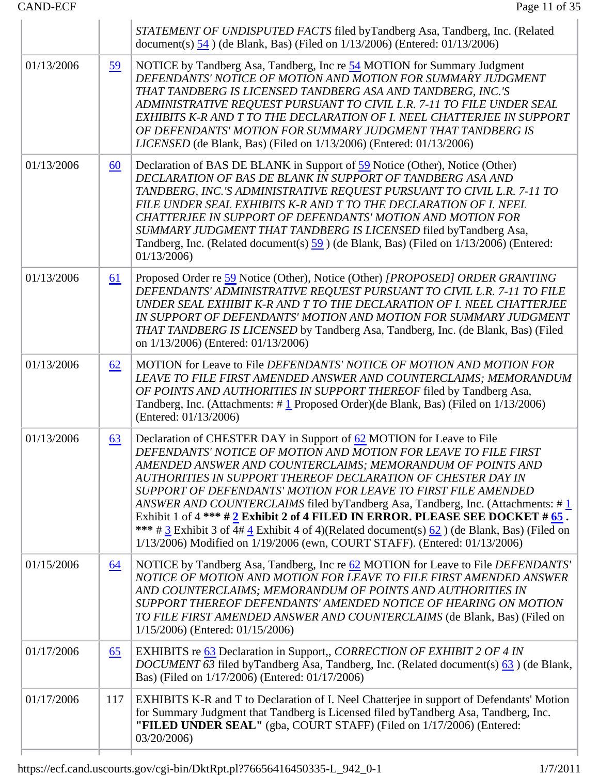|            |           | STATEMENT OF UNDISPUTED FACTS filed byTandberg Asa, Tandberg, Inc. (Related<br>document(s) $\frac{54}{9}$ (de Blank, Bas) (Filed on 1/13/2006) (Entered: 01/13/2006)                                                                                                                                                                                                                                                                                                                                                                                                                                                                                                                                                                |
|------------|-----------|-------------------------------------------------------------------------------------------------------------------------------------------------------------------------------------------------------------------------------------------------------------------------------------------------------------------------------------------------------------------------------------------------------------------------------------------------------------------------------------------------------------------------------------------------------------------------------------------------------------------------------------------------------------------------------------------------------------------------------------|
| 01/13/2006 | <u>59</u> | NOTICE by Tandberg Asa, Tandberg, Inc re 54 MOTION for Summary Judgment<br>DEFENDANTS' NOTICE OF MOTION AND MOTION FOR SUMMARY JUDGMENT<br>THAT TANDBERG IS LICENSED TANDBERG ASA AND TANDBERG, INC.'S<br>ADMINISTRATIVE REQUEST PURSUANT TO CIVIL L.R. 7-11 TO FILE UNDER SEAL<br>EXHIBITS K-R AND T TO THE DECLARATION OF I. NEEL CHATTERJEE IN SUPPORT<br>OF DEFENDANTS' MOTION FOR SUMMARY JUDGMENT THAT TANDBERG IS<br><i>LICENSED</i> (de Blank, Bas) (Filed on 1/13/2006) (Entered: 01/13/2006)                                                                                                                                                                                                                              |
| 01/13/2006 | 60        | Declaration of BAS DE BLANK in Support of 59 Notice (Other), Notice (Other)<br>DECLARATION OF BAS DE BLANK IN SUPPORT OF TANDBERG ASA AND<br>TANDBERG, INC.'S ADMINISTRATIVE REQUEST PURSUANT TO CIVIL L.R. 7-11 TO<br>FILE UNDER SEAL EXHIBITS K-R AND T TO THE DECLARATION OF I. NEEL<br>CHATTERJEE IN SUPPORT OF DEFENDANTS' MOTION AND MOTION FOR<br>SUMMARY JUDGMENT THAT TANDBERG IS LICENSED filed by Tandberg Asa,<br>Tandberg, Inc. (Related document(s) 59 (de Blank, Bas) (Filed on 1/13/2006) (Entered:<br>01/13/2006                                                                                                                                                                                                   |
| 01/13/2006 | <u>61</u> | Proposed Order re 59 Notice (Other), Notice (Other) [PROPOSED] ORDER GRANTING<br>DEFENDANTS' ADMINISTRATIVE REQUEST PURSUANT TO CIVIL L.R. 7-11 TO FILE<br>UNDER SEAL EXHIBIT K-R AND T TO THE DECLARATION OF I. NEEL CHATTERJEE<br>IN SUPPORT OF DEFENDANTS' MOTION AND MOTION FOR SUMMARY JUDGMENT<br>THAT TANDBERG IS LICENSED by Tandberg Asa, Tandberg, Inc. (de Blank, Bas) (Filed<br>on 1/13/2006) (Entered: 01/13/2006)                                                                                                                                                                                                                                                                                                     |
| 01/13/2006 | 62        | MOTION for Leave to File DEFENDANTS' NOTICE OF MOTION AND MOTION FOR<br>LEAVE TO FILE FIRST AMENDED ANSWER AND COUNTERCLAIMS; MEMORANDUM<br>OF POINTS AND AUTHORITIES IN SUPPORT THEREOF filed by Tandberg Asa,<br>Tandberg, Inc. (Attachments: $\# \underline{1}$ Proposed Order)(de Blank, Bas) (Filed on 1/13/2006)<br>(Entered: 01/13/2006)                                                                                                                                                                                                                                                                                                                                                                                     |
| 01/13/2006 | 63        | Declaration of CHESTER DAY in Support of 62 MOTION for Leave to File<br>DEFENDANTS' NOTICE OF MOTION AND MOTION FOR LEAVE TO FILE FIRST<br>AMENDED ANSWER AND COUNTERCLAIMS; MEMORANDUM OF POINTS AND<br>AUTHORITIES IN SUPPORT THEREOF DECLARATION OF CHESTER DAY IN<br>SUPPORT OF DEFENDANTS' MOTION FOR LEAVE TO FIRST FILE AMENDED<br>ANSWER AND COUNTERCLAIMS filed byTandberg Asa, Tandberg, Inc. (Attachments: #1)<br>Exhibit 1 of 4 *** $\# 2$ Exhibit 2 of 4 FILED IN ERROR. PLEASE SEE DOCKET $\# 65$ .<br>*** # $\frac{3}{5}$ Exhibit 3 of 4# $\frac{4}{5}$ Exhibit 4 of 4)(Related document(s) $\frac{62}{5}$ ) (de Blank, Bas) (Filed on<br>1/13/2006) Modified on 1/19/2006 (ewn, COURT STAFF). (Entered: 01/13/2006) |
| 01/15/2006 | <u>64</u> | NOTICE by Tandberg Asa, Tandberg, Inc re 62 MOTION for Leave to File DEFENDANTS'<br>NOTICE OF MOTION AND MOTION FOR LEAVE TO FILE FIRST AMENDED ANSWER<br>AND COUNTERCLAIMS; MEMORANDUM OF POINTS AND AUTHORITIES IN<br>SUPPORT THEREOF DEFENDANTS' AMENDED NOTICE OF HEARING ON MOTION<br>TO FILE FIRST AMENDED ANSWER AND COUNTERCLAIMS (de Blank, Bas) (Filed on<br>1/15/2006) (Entered: 01/15/2006)                                                                                                                                                                                                                                                                                                                             |
| 01/17/2006 | 65        | EXHIBITS re 63 Declaration in Support,, CORRECTION OF EXHIBIT 2 OF 4 IN<br><i>DOCUMENT</i> 63 filed byTandberg Asa, Tandberg, Inc. (Related document(s) 63) (de Blank,<br>Bas) (Filed on 1/17/2006) (Entered: 01/17/2006)                                                                                                                                                                                                                                                                                                                                                                                                                                                                                                           |
| 01/17/2006 | 117       | EXHIBITS K-R and T to Declaration of I. Neel Chatterjee in support of Defendants' Motion<br>for Summary Judgment that Tandberg is Licensed filed by Tandberg Asa, Tandberg, Inc.<br>"FILED UNDER SEAL" (gba, COURT STAFF) (Filed on 1/17/2006) (Entered:<br>03/20/2006)                                                                                                                                                                                                                                                                                                                                                                                                                                                             |
|            |           |                                                                                                                                                                                                                                                                                                                                                                                                                                                                                                                                                                                                                                                                                                                                     |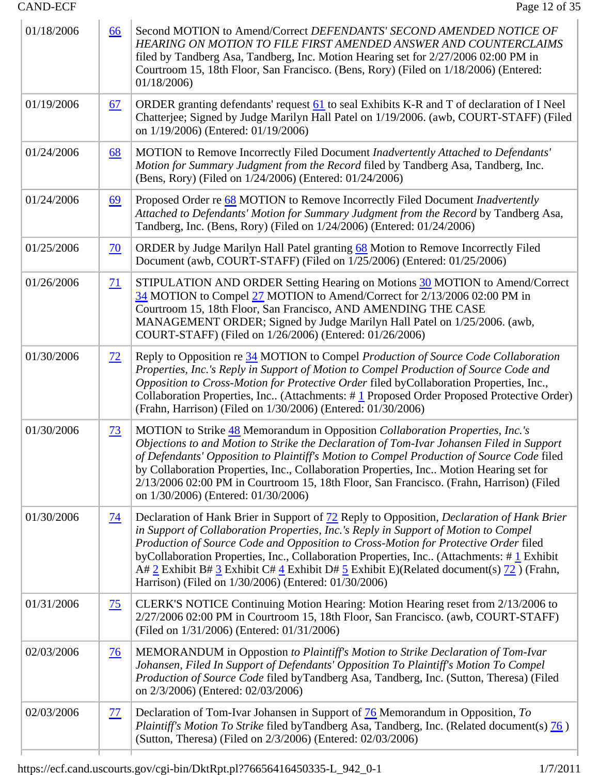| 66              | Second MOTION to Amend/Correct DEFENDANTS' SECOND AMENDED NOTICE OF<br><b>HEARING ON MOTION TO FILE FIRST AMENDED ANSWER AND COUNTERCLAIMS</b><br>filed by Tandberg Asa, Tandberg, Inc. Motion Hearing set for 2/27/2006 02:00 PM in<br>Courtroom 15, 18th Floor, San Francisco. (Bens, Rory) (Filed on 1/18/2006) (Entered:<br>01/18/2006                                                                                                                                                                                                      |
|-----------------|-------------------------------------------------------------------------------------------------------------------------------------------------------------------------------------------------------------------------------------------------------------------------------------------------------------------------------------------------------------------------------------------------------------------------------------------------------------------------------------------------------------------------------------------------|
| <u>67</u>       | ORDER granting defendants' request 61 to seal Exhibits K-R and T of declaration of I Neel<br>Chatterjee; Signed by Judge Marilyn Hall Patel on 1/19/2006. (awb, COURT-STAFF) (Filed<br>on 1/19/2006) (Entered: 01/19/2006)                                                                                                                                                                                                                                                                                                                      |
| 68              | MOTION to Remove Incorrectly Filed Document Inadvertently Attached to Defendants'<br>Motion for Summary Judgment from the Record filed by Tandberg Asa, Tandberg, Inc.<br>(Bens, Rory) (Filed on 1/24/2006) (Entered: 01/24/2006)                                                                                                                                                                                                                                                                                                               |
| <u>69</u>       | Proposed Order re 68 MOTION to Remove Incorrectly Filed Document Inadvertently<br>Attached to Defendants' Motion for Summary Judgment from the Record by Tandberg Asa,<br>Tandberg, Inc. (Bens, Rory) (Filed on 1/24/2006) (Entered: 01/24/2006)                                                                                                                                                                                                                                                                                                |
| $\overline{20}$ | ORDER by Judge Marilyn Hall Patel granting 68 Motion to Remove Incorrectly Filed<br>Document (awb, COURT-STAFF) (Filed on 1/25/2006) (Entered: 01/25/2006)                                                                                                                                                                                                                                                                                                                                                                                      |
| <u>71</u>       | STIPULATION AND ORDER Setting Hearing on Motions 30 MOTION to Amend/Correct<br>34 MOTION to Compel 27 MOTION to Amend/Correct for 2/13/2006 02:00 PM in<br>Courtroom 15, 18th Floor, San Francisco, AND AMENDING THE CASE<br>MANAGEMENT ORDER; Signed by Judge Marilyn Hall Patel on 1/25/2006. (awb,<br>COURT-STAFF) (Filed on 1/26/2006) (Entered: 01/26/2006)                                                                                                                                                                                |
| $\frac{72}{ }$  | Reply to Opposition re 34 MOTION to Compel Production of Source Code Collaboration<br>Properties, Inc.'s Reply in Support of Motion to Compel Production of Source Code and<br>Opposition to Cross-Motion for Protective Order filed byCollaboration Properties, Inc.,<br>Collaboration Properties, Inc (Attachments: #1 Proposed Order Proposed Protective Order)<br>(Frahn, Harrison) (Filed on 1/30/2006) (Entered: 01/30/2006)                                                                                                              |
| <u>73</u>       | MOTION to Strike 48 Memorandum in Opposition Collaboration Properties, Inc.'s<br>Objections to and Motion to Strike the Declaration of Tom-Ivar Johansen Filed in Support<br>of Defendants' Opposition to Plaintiff's Motion to Compel Production of Source Code filed<br>by Collaboration Properties, Inc., Collaboration Properties, Inc Motion Hearing set for<br>2/13/2006 02:00 PM in Courtroom 15, 18th Floor, San Francisco. (Frahn, Harrison) (Filed<br>on 1/30/2006) (Entered: 01/30/2006)                                             |
| <u>74</u>       | Declaration of Hank Brier in Support of 72 Reply to Opposition, Declaration of Hank Brier<br>in Support of Collaboration Properties, Inc.'s Reply in Support of Motion to Compel<br>Production of Source Code and Opposition to Cross-Motion for Protective Order filed<br>byCollaboration Properties, Inc., Collaboration Properties, Inc (Attachments: #1 Exhibit<br>A# 2 Exhibit B# 3 Exhibit C# $\frac{4}{5}$ Exhibit D# 5 Exhibit E)(Related document(s) $\frac{72}{12}$ ) (Frahn,<br>Harrison) (Filed on 1/30/2006) (Entered: 01/30/2006) |
| $\frac{75}{2}$  | CLERK'S NOTICE Continuing Motion Hearing: Motion Hearing reset from 2/13/2006 to<br>2/27/2006 02:00 PM in Courtroom 15, 18th Floor, San Francisco. (awb, COURT-STAFF)<br>(Filed on 1/31/2006) (Entered: 01/31/2006)                                                                                                                                                                                                                                                                                                                             |
| <u>76</u>       | MEMORANDUM in Oppostion to Plaintiff's Motion to Strike Declaration of Tom-Ivar<br>Johansen, Filed In Support of Defendants' Opposition To Plaintiff's Motion To Compel<br>Production of Source Code filed byTandberg Asa, Tandberg, Inc. (Sutton, Theresa) (Filed<br>on 2/3/2006) (Entered: 02/03/2006)                                                                                                                                                                                                                                        |
| <u>77</u>       | Declaration of Tom-Ivar Johansen in Support of 76 Memorandum in Opposition, To<br>Plaintiff's Motion To Strike filed by Tandberg Asa, Tandberg, Inc. (Related document(s) 76)<br>(Sutton, Theresa) (Filed on 2/3/2006) (Entered: 02/03/2006)                                                                                                                                                                                                                                                                                                    |
|                 |                                                                                                                                                                                                                                                                                                                                                                                                                                                                                                                                                 |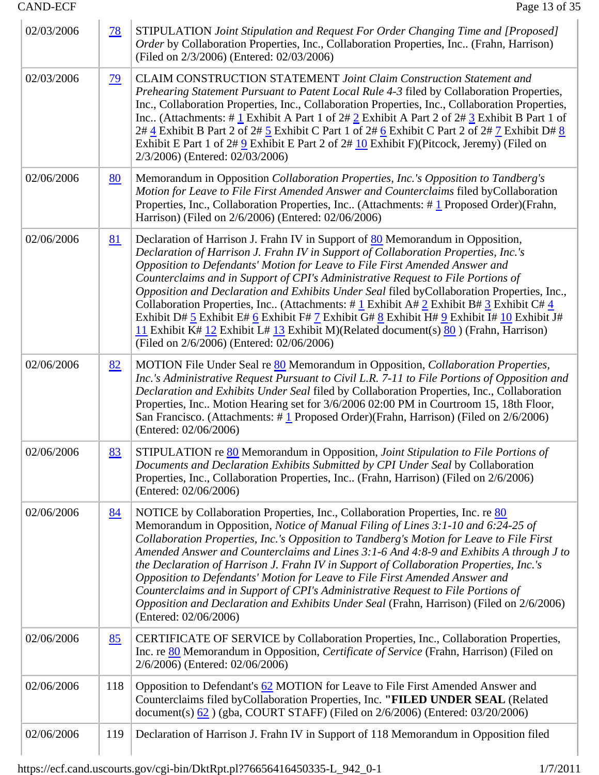| <b>CAND-ECF</b> |           | Page 13 of 35                                                                                                                                                                                                                                                                                                                                                                                                                                                                                                                                                                                                                                                                                                                                                                      |
|-----------------|-----------|------------------------------------------------------------------------------------------------------------------------------------------------------------------------------------------------------------------------------------------------------------------------------------------------------------------------------------------------------------------------------------------------------------------------------------------------------------------------------------------------------------------------------------------------------------------------------------------------------------------------------------------------------------------------------------------------------------------------------------------------------------------------------------|
| 02/03/2006      | <u>78</u> | STIPULATION Joint Stipulation and Request For Order Changing Time and [Proposed]<br>Order by Collaboration Properties, Inc., Collaboration Properties, Inc (Frahn, Harrison)<br>(Filed on 2/3/2006) (Entered: 02/03/2006)                                                                                                                                                                                                                                                                                                                                                                                                                                                                                                                                                          |
| 02/03/2006      | <u>79</u> | CLAIM CONSTRUCTION STATEMENT Joint Claim Construction Statement and<br>Prehearing Statement Pursuant to Patent Local Rule 4-3 filed by Collaboration Properties,<br>Inc., Collaboration Properties, Inc., Collaboration Properties, Inc., Collaboration Properties,<br>Inc (Attachments: #1 Exhibit A Part 1 of $2#2$ Exhibit A Part 2 of $2#3$ Exhibit B Part 1 of<br>2# 4 Exhibit B Part 2 of 2# 5 Exhibit C Part 1 of 2# 6 Exhibit C Part 2 of 2# 7 Exhibit D# 8<br>Exhibit E Part 1 of $2\# 9$ Exhibit E Part 2 of $2\# 10$ Exhibit F)(Pitcock, Jeremy) (Filed on<br>2/3/2006) (Entered: 02/03/2006)                                                                                                                                                                           |
| 02/06/2006      | 80        | Memorandum in Opposition Collaboration Properties, Inc.'s Opposition to Tandberg's<br>Motion for Leave to File First Amended Answer and Counterclaims filed byCollaboration<br>Properties, Inc., Collaboration Properties, Inc (Attachments: $\# \underline{1}$ Proposed Order)(Frahn,<br>Harrison) (Filed on 2/6/2006) (Entered: 02/06/2006)                                                                                                                                                                                                                                                                                                                                                                                                                                      |
| 02/06/2006      | 81        | Declaration of Harrison J. Frahn IV in Support of 80 Memorandum in Opposition,<br>Declaration of Harrison J. Frahn IV in Support of Collaboration Properties, Inc.'s<br>Opposition to Defendants' Motion for Leave to File First Amended Answer and<br>Counterclaims and in Support of CPI's Administrative Request to File Portions of<br>Opposition and Declaration and Exhibits Under Seal filed byCollaboration Properties, Inc.,<br>Collaboration Properties, Inc. (Attachments: # 1 Exhibit A# 2 Exhibit B# 3 Exhibit C# $\frac{4}{5}$<br>Exhibit D# 5 Exhibit E# 6 Exhibit F# 7 Exhibit G# 8 Exhibit H# 9 Exhibit I# $10$ Exhibit J#<br>11 Exhibit K# 12 Exhibit L# 13 Exhibit M)(Related document(s) $80$ ) (Frahn, Harrison)<br>(Filed on 2/6/2006) (Entered: 02/06/2006) |
| 02/06/2006      | 82        | MOTION File Under Seal re 80 Memorandum in Opposition, Collaboration Properties,<br>Inc.'s Administrative Request Pursuant to Civil L.R. 7-11 to File Portions of Opposition and<br>Declaration and Exhibits Under Seal filed by Collaboration Properties, Inc., Collaboration<br>Properties, Inc Motion Hearing set for 3/6/2006 02:00 PM in Courtroom 15, 18th Floor,<br>San Francisco. (Attachments: $\# \underline{1}$ Proposed Order)(Frahn, Harrison) (Filed on 2/6/2006)<br>(Entered: 02/06/2006)                                                                                                                                                                                                                                                                           |
| 02/06/2006      | 83        | STIPULATION re 80 Memorandum in Opposition, Joint Stipulation to File Portions of<br>Documents and Declaration Exhibits Submitted by CPI Under Seal by Collaboration<br>Properties, Inc., Collaboration Properties, Inc (Frahn, Harrison) (Filed on 2/6/2006)<br>(Entered: 02/06/2006)                                                                                                                                                                                                                                                                                                                                                                                                                                                                                             |
| 02/06/2006      | 84        | NOTICE by Collaboration Properties, Inc., Collaboration Properties, Inc. re 80<br>Memorandum in Opposition, Notice of Manual Filing of Lines 3:1-10 and 6:24-25 of<br>Collaboration Properties, Inc.'s Opposition to Tandberg's Motion for Leave to File First<br>Amended Answer and Counterclaims and Lines 3:1-6 And 4:8-9 and Exhibits A through J to<br>the Declaration of Harrison J. Frahn IV in Support of Collaboration Properties, Inc.'s<br>Opposition to Defendants' Motion for Leave to File First Amended Answer and<br>Counterclaims and in Support of CPI's Administrative Request to File Portions of<br>Opposition and Declaration and Exhibits Under Seal (Frahn, Harrison) (Filed on 2/6/2006)<br>(Entered: 02/06/2006)                                         |
| 02/06/2006      | 85        | CERTIFICATE OF SERVICE by Collaboration Properties, Inc., Collaboration Properties,<br>Inc. re 80 Memorandum in Opposition, Certificate of Service (Frahn, Harrison) (Filed on<br>2/6/2006) (Entered: 02/06/2006)                                                                                                                                                                                                                                                                                                                                                                                                                                                                                                                                                                  |
| 02/06/2006      | 118       | Opposition to Defendant's 62 MOTION for Leave to File First Amended Answer and<br>Counterclaims filed byCollaboration Properties, Inc. "FILED UNDER SEAL (Related<br>document(s) $62$ ) (gba, COURT STAFF) (Filed on 2/6/2006) (Entered: 03/20/2006)                                                                                                                                                                                                                                                                                                                                                                                                                                                                                                                               |
| 02/06/2006      | 119       | Declaration of Harrison J. Frahn IV in Support of 118 Memorandum in Opposition filed                                                                                                                                                                                                                                                                                                                                                                                                                                                                                                                                                                                                                                                                                               |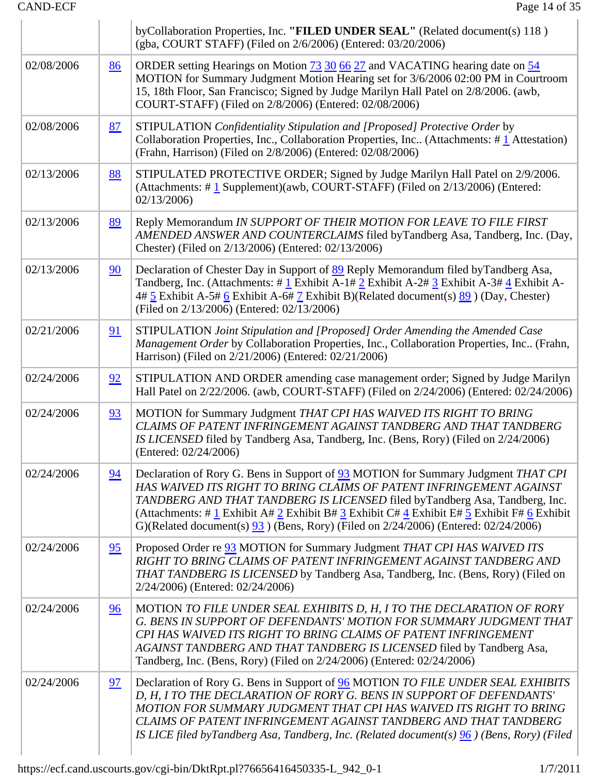|            |           | byCollaboration Properties, Inc. "FILED UNDER SEAL" (Related document(s) 118)<br>(gba, COURT STAFF) (Filed on 2/6/2006) (Entered: 03/20/2006)                                                                                                                                                                                                                                                                                                                                                                       |
|------------|-----------|---------------------------------------------------------------------------------------------------------------------------------------------------------------------------------------------------------------------------------------------------------------------------------------------------------------------------------------------------------------------------------------------------------------------------------------------------------------------------------------------------------------------|
| 02/08/2006 | 86        | ORDER setting Hearings on Motion <b>73 30 66 27</b> and VACATING hearing date on 54<br>MOTION for Summary Judgment Motion Hearing set for 3/6/2006 02:00 PM in Courtroom<br>15, 18th Floor, San Francisco; Signed by Judge Marilyn Hall Patel on 2/8/2006. (awb,<br>COURT-STAFF) (Filed on 2/8/2006) (Entered: 02/08/2006)                                                                                                                                                                                          |
| 02/08/2006 | <u>87</u> | STIPULATION Confidentiality Stipulation and [Proposed] Protective Order by<br>Collaboration Properties, Inc., Collaboration Properties, Inc (Attachments: #1 Attestation)<br>(Frahn, Harrison) (Filed on 2/8/2006) (Entered: 02/08/2006)                                                                                                                                                                                                                                                                            |
| 02/13/2006 | <u>88</u> | STIPULATED PROTECTIVE ORDER; Signed by Judge Marilyn Hall Patel on 2/9/2006.<br>(Attachments: $\# \underline{1}$ Supplement)(awb, COURT-STAFF) (Filed on 2/13/2006) (Entered:<br>02/13/2006                                                                                                                                                                                                                                                                                                                         |
| 02/13/2006 | 89        | Reply Memorandum IN SUPPORT OF THEIR MOTION FOR LEAVE TO FILE FIRST<br>AMENDED ANSWER AND COUNTERCLAIMS filed byTandberg Asa, Tandberg, Inc. (Day,<br>Chester) (Filed on 2/13/2006) (Entered: 02/13/2006)                                                                                                                                                                                                                                                                                                           |
| 02/13/2006 | 90        | Declaration of Chester Day in Support of 89 Reply Memorandum filed by Tandberg Asa,<br>Tandberg, Inc. (Attachments: #1 Exhibit A-1# 2 Exhibit A-2# 3 Exhibit A-3# 4 Exhibit A-<br>$4\#$ 5 Exhibit A-5# 6 Exhibit A-6# 7 Exhibit B)(Related document(s) 89 ) (Day, Chester)<br>(Filed on 2/13/2006) (Entered: 02/13/2006)                                                                                                                                                                                            |
| 02/21/2006 | 91        | STIPULATION Joint Stipulation and [Proposed] Order Amending the Amended Case<br>Management Order by Collaboration Properties, Inc., Collaboration Properties, Inc (Frahn,<br>Harrison) (Filed on 2/21/2006) (Entered: 02/21/2006)                                                                                                                                                                                                                                                                                   |
| 02/24/2006 | 92        | STIPULATION AND ORDER amending case management order; Signed by Judge Marilyn<br>Hall Patel on 2/22/2006. (awb, COURT-STAFF) (Filed on 2/24/2006) (Entered: 02/24/2006)                                                                                                                                                                                                                                                                                                                                             |
| 02/24/2006 | 93        | MOTION for Summary Judgment THAT CPI HAS WAIVED ITS RIGHT TO BRING<br>CLAIMS OF PATENT INFRINGEMENT AGAINST TANDBERG AND THAT TANDBERG<br>IS LICENSED filed by Tandberg Asa, Tandberg, Inc. (Bens, Rory) (Filed on 2/24/2006)<br>(Entered: 02/24/2006)                                                                                                                                                                                                                                                              |
| 02/24/2006 | 94        | Declaration of Rory G. Bens in Support of 93 MOTION for Summary Judgment THAT CPI<br>HAS WAIVED ITS RIGHT TO BRING CLAIMS OF PATENT INFRINGEMENT AGAINST<br>TANDBERG AND THAT TANDBERG IS LICENSED filed by Tandberg Asa, Tandberg, Inc.<br>(Attachments: # $\underline{1}$ Exhibit A# $\underline{2}$ Exhibit B# $\underline{3}$ Exhibit C# $\underline{4}$ Exhibit E# $\underline{5}$ Exhibit F# $\underline{6}$ Exhibit<br>G)(Related document(s) $93$ ) (Bens, Rory) (Filed on 2/24/2006) (Entered: 02/24/2006) |
| 02/24/2006 | 95        | Proposed Order re <b>93</b> MOTION for Summary Judgment THAT CPI HAS WAIVED ITS<br>RIGHT TO BRING CLAIMS OF PATENT INFRINGEMENT AGAINST TANDBERG AND<br>THAT TANDBERG IS LICENSED by Tandberg Asa, Tandberg, Inc. (Bens, Rory) (Filed on<br>2/24/2006) (Entered: 02/24/2006)                                                                                                                                                                                                                                        |
| 02/24/2006 | 96        | MOTION TO FILE UNDER SEAL EXHIBITS D, H, I TO THE DECLARATION OF RORY<br>G. BENS IN SUPPORT OF DEFENDANTS' MOTION FOR SUMMARY JUDGMENT THAT<br>CPI HAS WAIVED ITS RIGHT TO BRING CLAIMS OF PATENT INFRINGEMENT<br>AGAINST TANDBERG AND THAT TANDBERG IS LICENSED filed by Tandberg Asa,<br>Tandberg, Inc. (Bens, Rory) (Filed on 2/24/2006) (Entered: 02/24/2006)                                                                                                                                                   |
| 02/24/2006 | 97        | Declaration of Rory G. Bens in Support of <b>96</b> MOTION TO FILE UNDER SEAL EXHIBITS<br>D, H, I TO THE DECLARATION OF RORY G. BENS IN SUPPORT OF DEFENDANTS'<br>MOTION FOR SUMMARY JUDGMENT THAT CPI HAS WAIVED ITS RIGHT TO BRING<br>CLAIMS OF PATENT INFRINGEMENT AGAINST TANDBERG AND THAT TANDBERG<br>IS LICE filed by Tandberg Asa, Tandberg, Inc. (Related document(s) $\frac{96}{6}$ ) (Bens, Rory) (Filed                                                                                                 |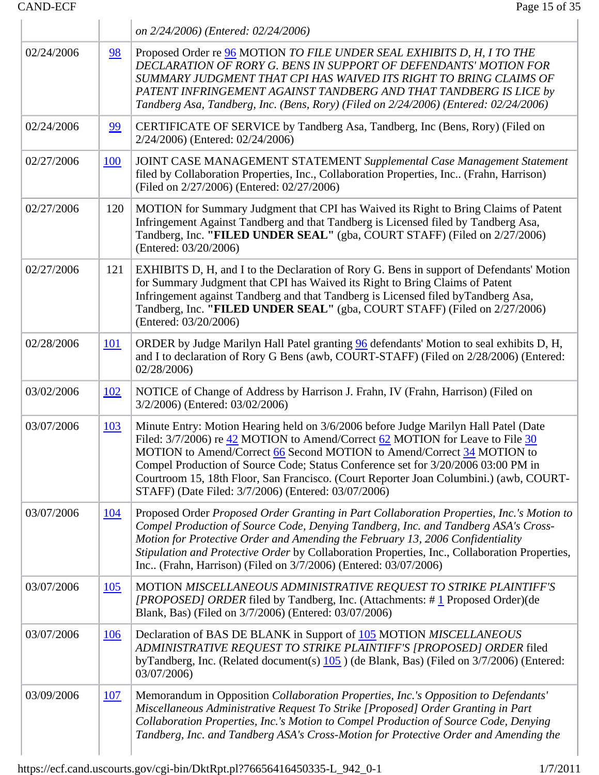| <b>CAND-ECF</b> |                   | Page 15 of 35                                                                                                                                                                                                                                                                                                                                                                                                                                                                        |
|-----------------|-------------------|--------------------------------------------------------------------------------------------------------------------------------------------------------------------------------------------------------------------------------------------------------------------------------------------------------------------------------------------------------------------------------------------------------------------------------------------------------------------------------------|
|                 |                   | on 2/24/2006) (Entered: 02/24/2006)                                                                                                                                                                                                                                                                                                                                                                                                                                                  |
| 02/24/2006      | 98                | Proposed Order re 96 MOTION TO FILE UNDER SEAL EXHIBITS D, H, I TO THE<br>DECLARATION OF RORY G. BENS IN SUPPORT OF DEFENDANTS' MOTION FOR<br>SUMMARY JUDGMENT THAT CPI HAS WAIVED ITS RIGHT TO BRING CLAIMS OF<br>PATENT INFRINGEMENT AGAINST TANDBERG AND THAT TANDBERG IS LICE by<br>Tandberg Asa, Tandberg, Inc. (Bens, Rory) (Filed on 2/24/2006) (Entered: 02/24/2006)                                                                                                         |
| 02/24/2006      | 99                | CERTIFICATE OF SERVICE by Tandberg Asa, Tandberg, Inc (Bens, Rory) (Filed on<br>2/24/2006) (Entered: 02/24/2006)                                                                                                                                                                                                                                                                                                                                                                     |
| 02/27/2006      | <b>100</b>        | <b>JOINT CASE MANAGEMENT STATEMENT Supplemental Case Management Statement</b><br>filed by Collaboration Properties, Inc., Collaboration Properties, Inc (Frahn, Harrison)<br>(Filed on 2/27/2006) (Entered: 02/27/2006)                                                                                                                                                                                                                                                              |
| 02/27/2006      | 120               | MOTION for Summary Judgment that CPI has Waived its Right to Bring Claims of Patent<br>Infringement Against Tandberg and that Tandberg is Licensed filed by Tandberg Asa,<br>Tandberg, Inc. "FILED UNDER SEAL" (gba, COURT STAFF) (Filed on 2/27/2006)<br>(Entered: 03/20/2006)                                                                                                                                                                                                      |
| 02/27/2006      | 121               | EXHIBITS D, H, and I to the Declaration of Rory G. Bens in support of Defendants' Motion<br>for Summary Judgment that CPI has Waived its Right to Bring Claims of Patent<br>Infringement against Tandberg and that Tandberg is Licensed filed byTandberg Asa,<br>Tandberg, Inc. "FILED UNDER SEAL" (gba, COURT STAFF) (Filed on 2/27/2006)<br>(Entered: 03/20/2006)                                                                                                                  |
| 02/28/2006      | <u>101</u>        | ORDER by Judge Marilyn Hall Patel granting 96 defendants' Motion to seal exhibits D, H,<br>and I to declaration of Rory G Bens (awb, COURT-STAFF) (Filed on 2/28/2006) (Entered:<br>02/28/2006                                                                                                                                                                                                                                                                                       |
| 03/02/2006      | <u>102</u>        | NOTICE of Change of Address by Harrison J. Frahn, IV (Frahn, Harrison) (Filed on<br>3/2/2006) (Entered: 03/02/2006)                                                                                                                                                                                                                                                                                                                                                                  |
| 03/07/2006      | 103               | Minute Entry: Motion Hearing held on 3/6/2006 before Judge Marilyn Hall Patel (Date<br>Filed: 3/7/2006) re 42 MOTION to Amend/Correct 62 MOTION for Leave to File 30<br>MOTION to Amend/Correct 66 Second MOTION to Amend/Correct 34 MOTION to<br>Compel Production of Source Code; Status Conference set for 3/20/2006 03:00 PM in<br>Courtroom 15, 18th Floor, San Francisco. (Court Reporter Joan Columbini.) (awb, COURT-<br>STAFF) (Date Filed: 3/7/2006) (Entered: 03/07/2006) |
| 03/07/2006      | <u>104</u>        | Proposed Order Proposed Order Granting in Part Collaboration Properties, Inc.'s Motion to<br>Compel Production of Source Code, Denying Tandberg, Inc. and Tandberg ASA's Cross-<br>Motion for Protective Order and Amending the February 13, 2006 Confidentiality<br>Stipulation and Protective Order by Collaboration Properties, Inc., Collaboration Properties,<br>Inc (Frahn, Harrison) (Filed on 3/7/2006) (Entered: 03/07/2006)                                                |
| 03/07/2006      | $\underline{105}$ | MOTION MISCELLANEOUS ADMINISTRATIVE REQUEST TO STRIKE PLAINTIFF'S<br>[PROPOSED] ORDER filed by Tandberg, Inc. (Attachments: $\# \underline{1}$ Proposed Order)(de<br>Blank, Bas) (Filed on 3/7/2006) (Entered: 03/07/2006)                                                                                                                                                                                                                                                           |
| 03/07/2006      | <u>106</u>        | Declaration of BAS DE BLANK in Support of 105 MOTION MISCELLANEOUS<br>ADMINISTRATIVE REQUEST TO STRIKE PLAINTIFF'S [PROPOSED] ORDER filed<br>byTandberg, Inc. (Related document(s) $105$ ) (de Blank, Bas) (Filed on $3/7/2006$ ) (Entered:<br>03/07/2006)                                                                                                                                                                                                                           |
| 03/09/2006      | <u>107</u>        | Memorandum in Opposition Collaboration Properties, Inc.'s Opposition to Defendants'<br>Miscellaneous Administrative Request To Strike [Proposed] Order Granting in Part<br>Collaboration Properties, Inc.'s Motion to Compel Production of Source Code, Denying<br>Tandberg, Inc. and Tandberg ASA's Cross-Motion for Protective Order and Amending the                                                                                                                              |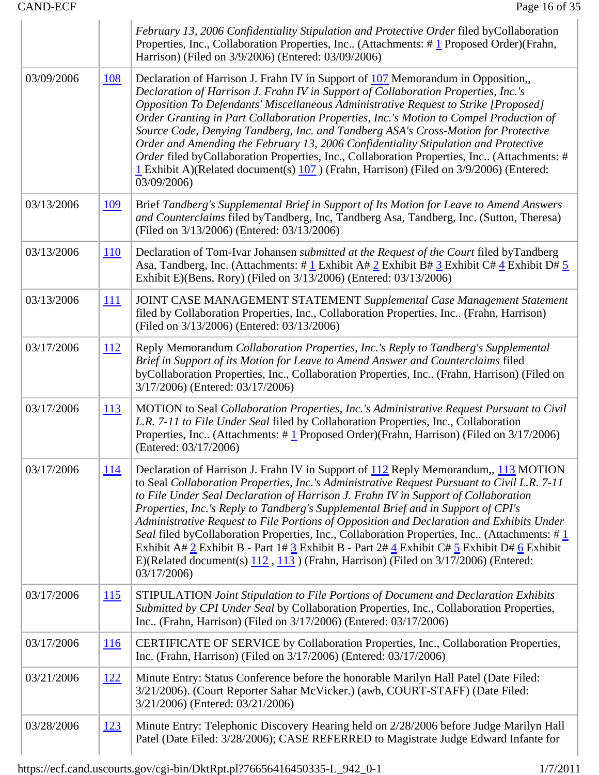|            |            | February 13, 2006 Confidentiality Stipulation and Protective Order filed byCollaboration<br>Properties, Inc., Collaboration Properties, Inc (Attachments: #1 Proposed Order) (Frahn,<br>Harrison) (Filed on 3/9/2006) (Entered: 03/09/2006)                                                                                                                                                                                                                                                                                                                                                                                                                                                                                                                                                             |
|------------|------------|---------------------------------------------------------------------------------------------------------------------------------------------------------------------------------------------------------------------------------------------------------------------------------------------------------------------------------------------------------------------------------------------------------------------------------------------------------------------------------------------------------------------------------------------------------------------------------------------------------------------------------------------------------------------------------------------------------------------------------------------------------------------------------------------------------|
| 03/09/2006 | <u>108</u> | Declaration of Harrison J. Frahn IV in Support of 107 Memorandum in Opposition,<br>Declaration of Harrison J. Frahn IV in Support of Collaboration Properties, Inc.'s<br>Opposition To Defendants' Miscellaneous Administrative Request to Strike [Proposed]<br>Order Granting in Part Collaboration Properties, Inc.'s Motion to Compel Production of<br>Source Code, Denying Tandberg, Inc. and Tandberg ASA's Cross-Motion for Protective<br>Order and Amending the February 13, 2006 Confidentiality Stipulation and Protective<br>Order filed byCollaboration Properties, Inc., Collaboration Properties, Inc (Attachments: #<br>$\frac{1}{2}$ Exhibit A)(Related document(s) $\frac{107}{2}$ ) (Frahn, Harrison) (Filed on 3/9/2006) (Entered:<br>03/09/2006)                                     |
| 03/13/2006 | <u>109</u> | Brief Tandberg's Supplemental Brief in Support of Its Motion for Leave to Amend Answers<br>and Counterclaims filed byTandberg, Inc, Tandberg Asa, Tandberg, Inc. (Sutton, Theresa)<br>(Filed on 3/13/2006) (Entered: 03/13/2006)                                                                                                                                                                                                                                                                                                                                                                                                                                                                                                                                                                        |
| 03/13/2006 | <u>110</u> | Declaration of Tom-Ivar Johansen <i>submitted at the Request of the Court</i> filed byTandberg<br>Asa, Tandberg, Inc. (Attachments: #1 Exhibit A# 2 Exhibit B# $\frac{3}{5}$ Exhibit C# $\frac{4}{5}$ Exhibit D# $\frac{5}{5}$<br>Exhibit E)(Bens, Rory) (Filed on 3/13/2006) (Entered: 03/13/2006)                                                                                                                                                                                                                                                                                                                                                                                                                                                                                                     |
| 03/13/2006 | <u>111</u> | JOINT CASE MANAGEMENT STATEMENT Supplemental Case Management Statement<br>filed by Collaboration Properties, Inc., Collaboration Properties, Inc (Frahn, Harrison)<br>(Filed on 3/13/2006) (Entered: 03/13/2006)                                                                                                                                                                                                                                                                                                                                                                                                                                                                                                                                                                                        |
| 03/17/2006 | <u>112</u> | Reply Memorandum Collaboration Properties, Inc.'s Reply to Tandberg's Supplemental<br>Brief in Support of its Motion for Leave to Amend Answer and Counterclaims filed<br>byCollaboration Properties, Inc., Collaboration Properties, Inc (Frahn, Harrison) (Filed on<br>3/17/2006) (Entered: 03/17/2006)                                                                                                                                                                                                                                                                                                                                                                                                                                                                                               |
| 03/17/2006 | <u>113</u> | MOTION to Seal Collaboration Properties, Inc.'s Administrative Request Pursuant to Civil<br>L.R. 7-11 to File Under Seal filed by Collaboration Properties, Inc., Collaboration<br>Properties, Inc (Attachments: $\# \underline{1}$ Proposed Order)(Frahn, Harrison) (Filed on 3/17/2006)<br>(Entered: 03/17/2006)                                                                                                                                                                                                                                                                                                                                                                                                                                                                                      |
| 03/17/2006 | <u>114</u> | Declaration of Harrison J. Frahn IV in Support of 112 Reply Memorandum,, 113 MOTION<br>to Seal Collaboration Properties, Inc.'s Administrative Request Pursuant to Civil L.R. 7-11<br>to File Under Seal Declaration of Harrison J. Frahn IV in Support of Collaboration<br>Properties, Inc.'s Reply to Tandberg's Supplemental Brief and in Support of CPI's<br>Administrative Request to File Portions of Opposition and Declaration and Exhibits Under<br>Seal filed byCollaboration Properties, Inc., Collaboration Properties, Inc (Attachments: #1<br>Exhibit A# 2 Exhibit B - Part 1# 3 Exhibit B - Part 2# $\frac{4}{5}$ Exhibit C# $\frac{5}{5}$ Exhibit D# $\frac{6}{5}$ Exhibit<br>E)(Related document(s) $112$ , $113$ ) (Frahn, Harrison) (Filed on $3/17/2006$ ) (Entered:<br>03/17/2006) |
| 03/17/2006 | <u>115</u> | STIPULATION Joint Stipulation to File Portions of Document and Declaration Exhibits<br>Submitted by CPI Under Seal by Collaboration Properties, Inc., Collaboration Properties,<br>Inc (Frahn, Harrison) (Filed on 3/17/2006) (Entered: 03/17/2006)                                                                                                                                                                                                                                                                                                                                                                                                                                                                                                                                                     |
| 03/17/2006 | <u>116</u> | CERTIFICATE OF SERVICE by Collaboration Properties, Inc., Collaboration Properties,<br>Inc. (Frahn, Harrison) (Filed on 3/17/2006) (Entered: 03/17/2006)                                                                                                                                                                                                                                                                                                                                                                                                                                                                                                                                                                                                                                                |
| 03/21/2006 | <u>122</u> | Minute Entry: Status Conference before the honorable Marilyn Hall Patel (Date Filed:<br>3/21/2006). (Court Reporter Sahar McVicker.) (awb, COURT-STAFF) (Date Filed:<br>3/21/2006) (Entered: 03/21/2006)                                                                                                                                                                                                                                                                                                                                                                                                                                                                                                                                                                                                |
| 03/28/2006 | 123        | Minute Entry: Telephonic Discovery Hearing held on 2/28/2006 before Judge Marilyn Hall<br>Patel (Date Filed: 3/28/2006); CASE REFERRED to Magistrate Judge Edward Infante for                                                                                                                                                                                                                                                                                                                                                                                                                                                                                                                                                                                                                           |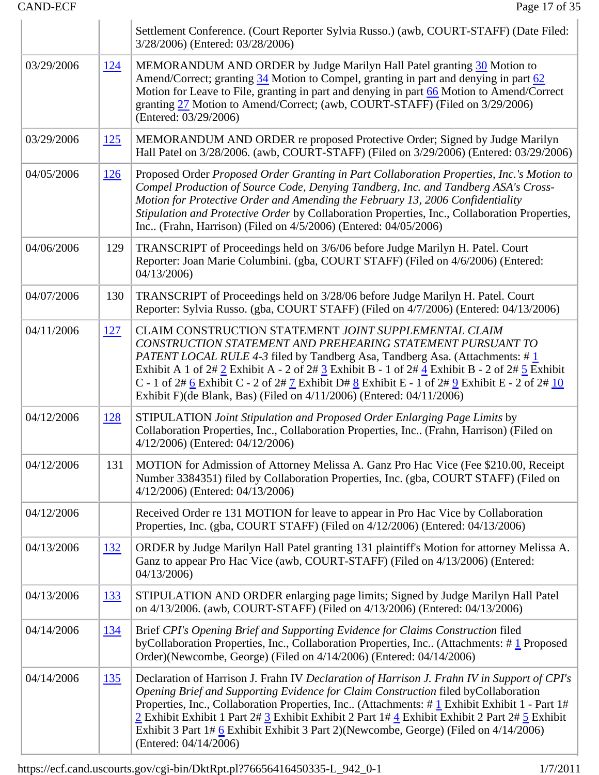|            |             | Settlement Conference. (Court Reporter Sylvia Russo.) (awb, COURT-STAFF) (Date Filed:<br>3/28/2006) (Entered: 03/28/2006)                                                                                                                                                                                                                                                                                                                                                                                 |
|------------|-------------|-----------------------------------------------------------------------------------------------------------------------------------------------------------------------------------------------------------------------------------------------------------------------------------------------------------------------------------------------------------------------------------------------------------------------------------------------------------------------------------------------------------|
| 03/29/2006 | 124         | MEMORANDUM AND ORDER by Judge Marilyn Hall Patel granting 30 Motion to<br>Amend/Correct; granting 34 Motion to Compel, granting in part and denying in part 62<br>Motion for Leave to File, granting in part and denying in part 66 Motion to Amend/Correct<br>granting 27 Motion to Amend/Correct; (awb, COURT-STAFF) (Filed on 3/29/2006)<br>(Entered: 03/29/2006)                                                                                                                                      |
| 03/29/2006 | <u> 125</u> | MEMORANDUM AND ORDER re proposed Protective Order; Signed by Judge Marilyn<br>Hall Patel on 3/28/2006. (awb, COURT-STAFF) (Filed on 3/29/2006) (Entered: 03/29/2006)                                                                                                                                                                                                                                                                                                                                      |
| 04/05/2006 | 126         | Proposed Order Proposed Order Granting in Part Collaboration Properties, Inc.'s Motion to<br>Compel Production of Source Code, Denying Tandberg, Inc. and Tandberg ASA's Cross-<br>Motion for Protective Order and Amending the February 13, 2006 Confidentiality<br>Stipulation and Protective Order by Collaboration Properties, Inc., Collaboration Properties,<br>Inc (Frahn, Harrison) (Filed on 4/5/2006) (Entered: 04/05/2006)                                                                     |
| 04/06/2006 | 129         | TRANSCRIPT of Proceedings held on 3/6/06 before Judge Marilyn H. Patel. Court<br>Reporter: Joan Marie Columbini. (gba, COURT STAFF) (Filed on 4/6/2006) (Entered:<br>04/13/2006                                                                                                                                                                                                                                                                                                                           |
| 04/07/2006 | 130         | TRANSCRIPT of Proceedings held on 3/28/06 before Judge Marilyn H. Patel. Court<br>Reporter: Sylvia Russo. (gba, COURT STAFF) (Filed on 4/7/2006) (Entered: 04/13/2006)                                                                                                                                                                                                                                                                                                                                    |
| 04/11/2006 | 127         | CLAIM CONSTRUCTION STATEMENT JOINT SUPPLEMENTAL CLAIM<br>CONSTRUCTION STATEMENT AND PREHEARING STATEMENT PURSUANT TO<br>PATENT LOCAL RULE 4-3 filed by Tandberg Asa, Tandberg Asa. (Attachments: #1)<br>Exhibit A 1 of $2\# 2$ Exhibit A - 2 of $2\# 3$ Exhibit B - 1 of $2\# 4$ Exhibit B - 2 of $2\# 5$ Exhibit<br>C - 1 of $2\#$ 6 Exhibit C - 2 of $2\#$ 7 Exhibit D# 8 Exhibit E - 1 of $2\#$ 9 Exhibit E - 2 of $2\#$ 10<br>Exhibit F)(de Blank, Bas) (Filed on 4/11/2006) (Entered: 04/11/2006)    |
| 04/12/2006 | <u>128</u>  | STIPULATION Joint Stipulation and Proposed Order Enlarging Page Limits by<br>Collaboration Properties, Inc., Collaboration Properties, Inc (Frahn, Harrison) (Filed on<br>4/12/2006) (Entered: 04/12/2006)                                                                                                                                                                                                                                                                                                |
| 04/12/2006 | 131         | MOTION for Admission of Attorney Melissa A. Ganz Pro Hac Vice (Fee \$210.00, Receipt<br>Number 3384351) filed by Collaboration Properties, Inc. (gba, COURT STAFF) (Filed on<br>4/12/2006) (Entered: 04/13/2006)                                                                                                                                                                                                                                                                                          |
| 04/12/2006 |             | Received Order re 131 MOTION for leave to appear in Pro Hac Vice by Collaboration<br>Properties, Inc. (gba, COURT STAFF) (Filed on 4/12/2006) (Entered: 04/13/2006)                                                                                                                                                                                                                                                                                                                                       |
| 04/13/2006 | <u>132</u>  | ORDER by Judge Marilyn Hall Patel granting 131 plaintiff's Motion for attorney Melissa A.<br>Ganz to appear Pro Hac Vice (awb, COURT-STAFF) (Filed on 4/13/2006) (Entered:<br>04/13/2006                                                                                                                                                                                                                                                                                                                  |
| 04/13/2006 | <u>133</u>  | STIPULATION AND ORDER enlarging page limits; Signed by Judge Marilyn Hall Patel<br>on 4/13/2006. (awb, COURT-STAFF) (Filed on 4/13/2006) (Entered: 04/13/2006)                                                                                                                                                                                                                                                                                                                                            |
| 04/14/2006 | <u>134</u>  | Brief CPI's Opening Brief and Supporting Evidence for Claims Construction filed<br>byCollaboration Properties, Inc., Collaboration Properties, Inc (Attachments: #1 Proposed<br>Order)(Newcombe, George) (Filed on 4/14/2006) (Entered: 04/14/2006)                                                                                                                                                                                                                                                       |
| 04/14/2006 | <u>135</u>  | Declaration of Harrison J. Frahn IV Declaration of Harrison J. Frahn IV in Support of CPI's<br>Opening Brief and Supporting Evidence for Claim Construction filed byCollaboration<br>Properties, Inc., Collaboration Properties, Inc (Attachments: #1 Exhibit Exhibit 1 - Part 1#<br>2 Exhibit Exhibit 1 Part 2# 3 Exhibit Exhibit 2 Part 1# 4 Exhibit Exhibit 2 Part 2# 5 Exhibit<br>Exhibit 3 Part $1\#$ 6 Exhibit Exhibit 3 Part 2)(Newcombe, George) (Filed on $4/14/2006$ )<br>(Entered: 04/14/2006) |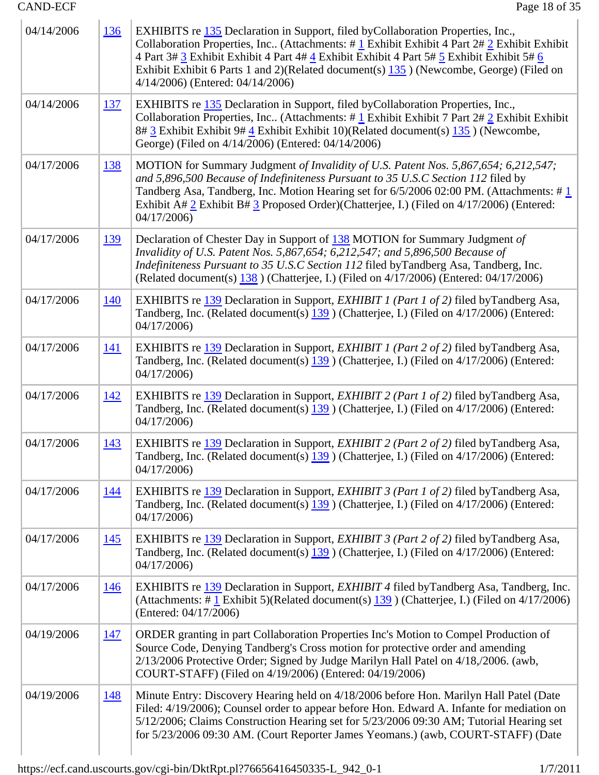| 04/14/2006 | <u>136</u> | EXHIBITS re 135 Declaration in Support, filed by Collaboration Properties, Inc.,<br>Collaboration Properties, Inc. (Attachments: #1 Exhibit Exhibit 4 Part $2 \# 2$ Exhibit Exhibit<br>4 Part 3# 3 Exhibit Exhibit 4 Part 4# 4 Exhibit Exhibit 4 Part 5# 5 Exhibit Exhibit 5# 6<br>Exhibit Exhibit 6 Parts 1 and 2)(Related document(s) $\frac{135}{135}$ ) (Newcombe, George) (Filed on<br>4/14/2006) (Entered: 04/14/2006) |
|------------|------------|------------------------------------------------------------------------------------------------------------------------------------------------------------------------------------------------------------------------------------------------------------------------------------------------------------------------------------------------------------------------------------------------------------------------------|
| 04/14/2006 | <u>137</u> | EXHIBITS re 135 Declaration in Support, filed by Collaboration Properties, Inc.,<br>Collaboration Properties, Inc. (Attachments: #1 Exhibit Exhibit 7 Part 2#2 Exhibit Exhibit<br>8# 3 Exhibit Exhibit 9# 4 Exhibit Exhibit 10)(Related document(s) 135 ) (Newcombe,<br>George) (Filed on 4/14/2006) (Entered: 04/14/2006)                                                                                                   |
| 04/17/2006 | <u>138</u> | MOTION for Summary Judgment of Invalidity of U.S. Patent Nos. 5,867,654; 6,212,547;<br>and 5,896,500 Because of Indefiniteness Pursuant to 35 U.S.C Section 112 filed by<br>Tandberg Asa, Tandberg, Inc. Motion Hearing set for 6/5/2006 02:00 PM. (Attachments: #1<br>Exhibit A# $2$ Exhibit B# $3$ Proposed Order)(Chatterjee, I.) (Filed on 4/17/2006) (Entered:<br>04/17/2006                                            |
| 04/17/2006 | <u>139</u> | Declaration of Chester Day in Support of 138 MOTION for Summary Judgment of<br>Invalidity of U.S. Patent Nos. 5,867,654; 6,212,547; and 5,896,500 Because of<br>Indefiniteness Pursuant to 35 U.S.C Section 112 filed byTandberg Asa, Tandberg, Inc.<br>(Related document(s) $138$ ) (Chatterjee, I.) (Filed on 4/17/2006) (Entered: 04/17/2006)                                                                             |
| 04/17/2006 | <u>140</u> | EXHIBITS re 139 Declaration in Support, <i>EXHIBIT 1 (Part 1 of 2)</i> filed byTandberg Asa,<br>Tandberg, Inc. (Related document(s) 139 ) (Chatterjee, I.) (Filed on 4/17/2006) (Entered:<br>04/17/2006                                                                                                                                                                                                                      |
| 04/17/2006 | <u>141</u> | EXHIBITS re 139 Declaration in Support, <i>EXHIBIT 1 (Part 2 of 2)</i> filed byTandberg Asa,<br>Tandberg, Inc. (Related document(s) 139 ) (Chatterjee, I.) (Filed on 4/17/2006) (Entered:<br>04/17/2006                                                                                                                                                                                                                      |
| 04/17/2006 | <u>142</u> | EXHIBITS re 139 Declaration in Support, <i>EXHIBIT 2 (Part 1 of 2)</i> filed byTandberg Asa,<br>Tandberg, Inc. (Related document(s) 139 ) (Chatterjee, I.) (Filed on 4/17/2006) (Entered:<br>04/17/2006                                                                                                                                                                                                                      |
| 04/17/2006 | <u>143</u> | EXHIBITS re 139 Declaration in Support, <i>EXHIBIT 2 (Part 2 of 2)</i> filed byTandberg Asa,<br>Tandberg, Inc. (Related document(s) 139 ) (Chatterjee, I.) (Filed on 4/17/2006) (Entered:<br>04/17/2006                                                                                                                                                                                                                      |
| 04/17/2006 | <u>144</u> | EXHIBITS re 139 Declaration in Support, <i>EXHIBIT 3 (Part 1 of 2)</i> filed byTandberg Asa,<br>Tandberg, Inc. (Related document(s) 139 ) (Chatterjee, I.) (Filed on 4/17/2006) (Entered:<br>04/17/2006                                                                                                                                                                                                                      |
| 04/17/2006 | <u>145</u> | EXHIBITS re 139 Declaration in Support, EXHIBIT 3 (Part 2 of 2) filed by Tandberg Asa,<br>Tandberg, Inc. (Related document(s) 139 ) (Chatterjee, I.) (Filed on 4/17/2006) (Entered:<br>04/17/2006                                                                                                                                                                                                                            |
| 04/17/2006 | <u>146</u> | EXHIBITS re 139 Declaration in Support, <i>EXHIBIT 4</i> filed byTandberg Asa, Tandberg, Inc.<br>(Attachments: # $\frac{1}{2}$ Exhibit 5)(Related document(s) $\frac{139}{2}$ ) (Chatterjee, I.) (Filed on 4/17/2006)<br>(Entered: 04/17/2006)                                                                                                                                                                               |
| 04/19/2006 | <u>147</u> | ORDER granting in part Collaboration Properties Inc's Motion to Compel Production of<br>Source Code, Denying Tandberg's Cross motion for protective order and amending<br>2/13/2006 Protective Order; Signed by Judge Marilyn Hall Patel on 4/18,/2006. (awb,<br>COURT-STAFF) (Filed on 4/19/2006) (Entered: 04/19/2006)                                                                                                     |
| 04/19/2006 | <u>148</u> | Minute Entry: Discovery Hearing held on 4/18/2006 before Hon. Marilyn Hall Patel (Date<br>Filed: 4/19/2006); Counsel order to appear before Hon. Edward A. Infante for mediation on<br>5/12/2006; Claims Construction Hearing set for 5/23/2006 09:30 AM; Tutorial Hearing set<br>for 5/23/2006 09:30 AM. (Court Reporter James Yeomans.) (awb, COURT-STAFF) (Date                                                           |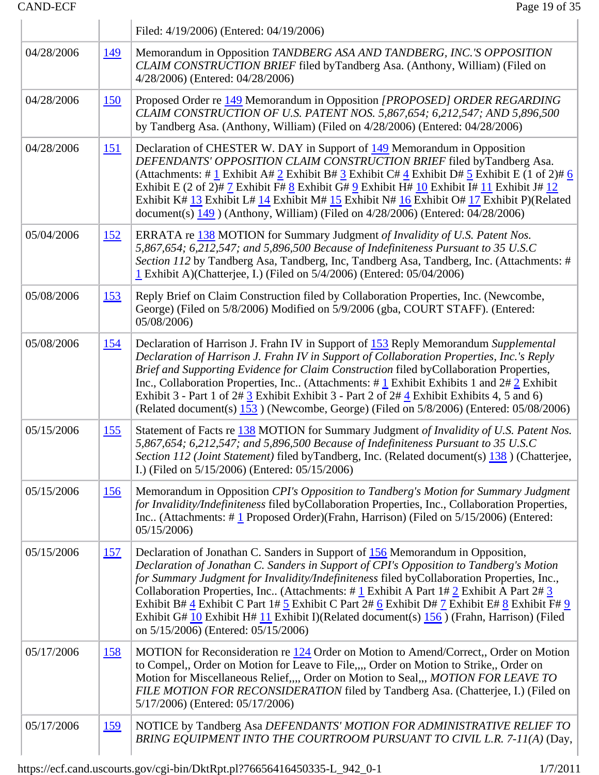|            |             | Filed: 4/19/2006) (Entered: 04/19/2006)                                                                                                                                                                                                                                                                                                                                                                                                                                                                                                                                                                                  |
|------------|-------------|--------------------------------------------------------------------------------------------------------------------------------------------------------------------------------------------------------------------------------------------------------------------------------------------------------------------------------------------------------------------------------------------------------------------------------------------------------------------------------------------------------------------------------------------------------------------------------------------------------------------------|
| 04/28/2006 | <u> 149</u> | Memorandum in Opposition TANDBERG ASA AND TANDBERG, INC.'S OPPOSITION<br>CLAIM CONSTRUCTION BRIEF filed byTandberg Asa. (Anthony, William) (Filed on<br>4/28/2006) (Entered: 04/28/2006)                                                                                                                                                                                                                                                                                                                                                                                                                                 |
| 04/28/2006 | <u>150</u>  | Proposed Order re 149 Memorandum in Opposition [PROPOSED] ORDER REGARDING<br>CLAIM CONSTRUCTION OF U.S. PATENT NOS. 5,867,654; 6,212,547; AND 5,896,500<br>by Tandberg Asa. (Anthony, William) (Filed on 4/28/2006) (Entered: 04/28/2006)                                                                                                                                                                                                                                                                                                                                                                                |
| 04/28/2006 | <u>151</u>  | Declaration of CHESTER W. DAY in Support of 149 Memorandum in Opposition<br>DEFENDANTS' OPPOSITION CLAIM CONSTRUCTION BRIEF filed byTandberg Asa.<br>(Attachments: # $1$ Exhibit A# $2$ Exhibit B# $3$ Exhibit C# $4$ Exhibit D# $5$ Exhibit E (1 of 2)# $6$<br>Exhibit E (2 of 2)# $\frac{7}{1}$ Exhibit F# $\frac{8}{1}$ Exhibit G# $\frac{9}{1}$ Exhibit H# $\frac{10}{1}$ Exhibit I# $\frac{11}{1}$ Exhibit J# $\frac{12}{1}$<br>Exhibit K# 13 Exhibit L# 14 Exhibit M# 15 Exhibit N# 16 Exhibit O# 17 Exhibit P)(Related<br>document(s) $149$ ) (Anthony, William) (Filed on $4/28/2006$ ) (Entered: $04/28/2006$ ) |
| 05/04/2006 | <u>152</u>  | ERRATA re 138 MOTION for Summary Judgment of Invalidity of U.S. Patent Nos.<br>5,867,654; 6,212,547; and 5,896,500 Because of Indefiniteness Pursuant to 35 U.S.C<br>Section 112 by Tandberg Asa, Tandberg, Inc, Tandberg Asa, Tandberg, Inc. (Attachments: #<br>1 Exhibit A)(Chatterjee, I.) (Filed on 5/4/2006) (Entered: 05/04/2006)                                                                                                                                                                                                                                                                                  |
| 05/08/2006 | <u>153</u>  | Reply Brief on Claim Construction filed by Collaboration Properties, Inc. (Newcombe,<br>George) (Filed on 5/8/2006) Modified on 5/9/2006 (gba, COURT STAFF). (Entered:<br>05/08/2006)                                                                                                                                                                                                                                                                                                                                                                                                                                    |
| 05/08/2006 | <u>154</u>  | Declaration of Harrison J. Frahn IV in Support of 153 Reply Memorandum Supplemental<br>Declaration of Harrison J. Frahn IV in Support of Collaboration Properties, Inc.'s Reply<br>Brief and Supporting Evidence for Claim Construction filed byCollaboration Properties,<br>Inc., Collaboration Properties, Inc (Attachments: $\# \underline{1}$ Exhibit Exhibits 1 and $2\# \underline{2}$ Exhibit<br>Exhibit 3 - Part 1 of 2# 3 Exhibit Exhibit 3 - Part 2 of 2# 4 Exhibit Exhibits 4, 5 and 6)<br>(Related document(s) 153 ) (Newcombe, George) (Filed on 5/8/2006) (Entered: 05/08/2006)                            |
| 05/15/2006 | <u>155</u>  | Statement of Facts re 138 MOTION for Summary Judgment of Invalidity of U.S. Patent Nos.<br>5,867,654; 6,212,547; and 5,896,500 Because of Indefiniteness Pursuant to 35 U.S.C<br>Section 112 (Joint Statement) filed byTandberg, Inc. (Related document(s) 138) (Chatterjee,<br>I.) (Filed on 5/15/2006) (Entered: 05/15/2006)                                                                                                                                                                                                                                                                                           |
| 05/15/2006 | <u>156</u>  | Memorandum in Opposition CPI's Opposition to Tandberg's Motion for Summary Judgment<br>for Invalidity/Indefiniteness filed byCollaboration Properties, Inc., Collaboration Properties,<br>Inc (Attachments: $\#$ 1 Proposed Order)(Frahn, Harrison) (Filed on $5/15/2006$ ) (Entered:<br>05/15/2006                                                                                                                                                                                                                                                                                                                      |
| 05/15/2006 | <u>157</u>  | Declaration of Jonathan C. Sanders in Support of 156 Memorandum in Opposition,<br>Declaration of Jonathan C. Sanders in Support of CPI's Opposition to Tandberg's Motion<br>for Summary Judgment for Invalidity/Indefiniteness filed byCollaboration Properties, Inc.,<br>Collaboration Properties, Inc (Attachments: # $1$ Exhibit A Part 1# $2$ Exhibit A Part 2# $3$<br>Exhibit B# 4 Exhibit C Part 1# 5 Exhibit C Part 2# 6 Exhibit D# 7 Exhibit E# 8 Exhibit F# 9<br>Exhibit G# 10 Exhibit H# 11 Exhibit I)(Related document(s) 156 ) (Frahn, Harrison) (Filed<br>on 5/15/2006) (Entered: 05/15/2006)               |
| 05/17/2006 | <u>158</u>  | MOTION for Reconsideration re 124 Order on Motion to Amend/Correct, Order on Motion<br>to Compel,, Order on Motion for Leave to File,,,, Order on Motion to Strike,, Order on<br>Motion for Miscellaneous Relief,,,, Order on Motion to Seal,,, MOTION FOR LEAVE TO<br>FILE MOTION FOR RECONSIDERATION filed by Tandberg Asa. (Chatterjee, I.) (Filed on<br>5/17/2006) (Entered: 05/17/2006)                                                                                                                                                                                                                             |
| 05/17/2006 | <u>159</u>  | NOTICE by Tandberg Asa DEFENDANTS' MOTION FOR ADMINISTRATIVE RELIEF TO<br>BRING EQUIPMENT INTO THE COURTROOM PURSUANT TO CIVIL L.R. 7-11(A) (Day,                                                                                                                                                                                                                                                                                                                                                                                                                                                                        |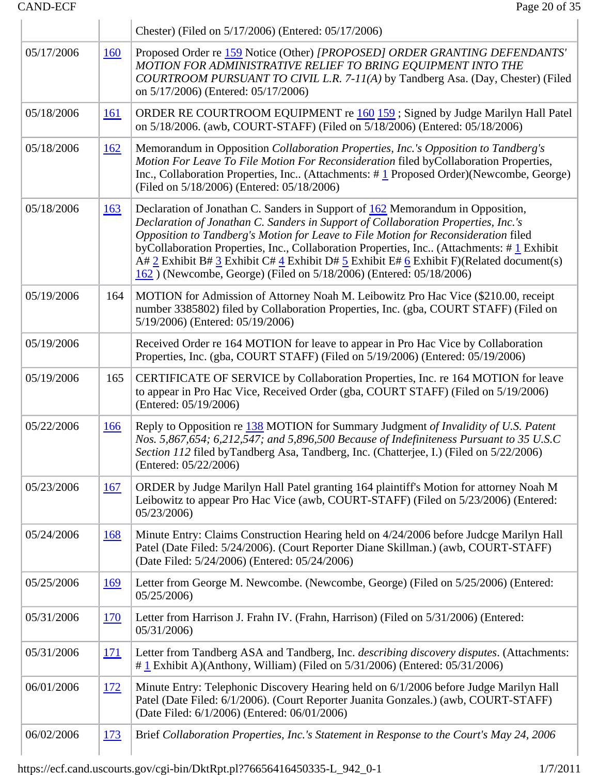|            |            | Chester) (Filed on 5/17/2006) (Entered: 05/17/2006)                                                                                                                                                                                                                                                                                                                                                                                                                                                                                                        |
|------------|------------|------------------------------------------------------------------------------------------------------------------------------------------------------------------------------------------------------------------------------------------------------------------------------------------------------------------------------------------------------------------------------------------------------------------------------------------------------------------------------------------------------------------------------------------------------------|
| 05/17/2006 | <u>160</u> | Proposed Order re 159 Notice (Other) [PROPOSED] ORDER GRANTING DEFENDANTS'<br>MOTION FOR ADMINISTRATIVE RELIEF TO BRING EQUIPMENT INTO THE<br>COURTROOM PURSUANT TO CIVIL L.R. 7-11(A) by Tandberg Asa. (Day, Chester) (Filed<br>on 5/17/2006) (Entered: 05/17/2006)                                                                                                                                                                                                                                                                                       |
| 05/18/2006 | <u>161</u> | ORDER RE COURTROOM EQUIPMENT re 160 159 ; Signed by Judge Marilyn Hall Patel<br>on 5/18/2006. (awb, COURT-STAFF) (Filed on 5/18/2006) (Entered: 05/18/2006)                                                                                                                                                                                                                                                                                                                                                                                                |
| 05/18/2006 | <u>162</u> | Memorandum in Opposition Collaboration Properties, Inc.'s Opposition to Tandberg's<br>Motion For Leave To File Motion For Reconsideration filed byCollaboration Properties,<br>Inc., Collaboration Properties, Inc (Attachments: $\# \underline{1}$ Proposed Order)(Newcombe, George)<br>(Filed on 5/18/2006) (Entered: 05/18/2006)                                                                                                                                                                                                                        |
| 05/18/2006 | <u>163</u> | Declaration of Jonathan C. Sanders in Support of 162 Memorandum in Opposition,<br>Declaration of Jonathan C. Sanders in Support of Collaboration Properties, Inc.'s<br>Opposition to Tandberg's Motion for Leave to File Motion for Reconsideration filed<br>byCollaboration Properties, Inc., Collaboration Properties, Inc (Attachments: #1 Exhibit<br>A# 2 Exhibit B# 3 Exhibit C# $\frac{4}{5}$ Exhibit D# $\frac{5}{5}$ Exhibit E# $\frac{6}{5}$ Exhibit F)(Related document(s)<br>162) (Newcombe, George) (Filed on 5/18/2006) (Entered: 05/18/2006) |
| 05/19/2006 | 164        | MOTION for Admission of Attorney Noah M. Leibowitz Pro Hac Vice (\$210.00, receipt<br>number 3385802) filed by Collaboration Properties, Inc. (gba, COURT STAFF) (Filed on<br>5/19/2006) (Entered: 05/19/2006)                                                                                                                                                                                                                                                                                                                                             |
| 05/19/2006 |            | Received Order re 164 MOTION for leave to appear in Pro Hac Vice by Collaboration<br>Properties, Inc. (gba, COURT STAFF) (Filed on 5/19/2006) (Entered: 05/19/2006)                                                                                                                                                                                                                                                                                                                                                                                        |
| 05/19/2006 | 165        | CERTIFICATE OF SERVICE by Collaboration Properties, Inc. re 164 MOTION for leave<br>to appear in Pro Hac Vice, Received Order (gba, COURT STAFF) (Filed on 5/19/2006)<br>(Entered: 05/19/2006)                                                                                                                                                                                                                                                                                                                                                             |
| 05/22/2006 | <u>166</u> | Reply to Opposition re 138 MOTION for Summary Judgment of Invalidity of U.S. Patent<br>Nos. 5,867,654; 6,212,547; and 5,896,500 Because of Indefiniteness Pursuant to 35 U.S.C<br>Section 112 filed byTandberg Asa, Tandberg, Inc. (Chatterjee, I.) (Filed on 5/22/2006)<br>(Entered: 05/22/2006)                                                                                                                                                                                                                                                          |
| 05/23/2006 | <u>167</u> | ORDER by Judge Marilyn Hall Patel granting 164 plaintiff's Motion for attorney Noah M<br>Leibowitz to appear Pro Hac Vice (awb, COURT-STAFF) (Filed on 5/23/2006) (Entered:<br>05/23/2006                                                                                                                                                                                                                                                                                                                                                                  |
| 05/24/2006 | <b>168</b> | Minute Entry: Claims Construction Hearing held on 4/24/2006 before Judcge Marilyn Hall<br>Patel (Date Filed: 5/24/2006). (Court Reporter Diane Skillman.) (awb, COURT-STAFF)<br>(Date Filed: 5/24/2006) (Entered: 05/24/2006)                                                                                                                                                                                                                                                                                                                              |
| 05/25/2006 | <u>169</u> | Letter from George M. Newcombe. (Newcombe, George) (Filed on 5/25/2006) (Entered:<br>05/25/2006                                                                                                                                                                                                                                                                                                                                                                                                                                                            |
| 05/31/2006 | <u>170</u> | Letter from Harrison J. Frahn IV. (Frahn, Harrison) (Filed on 5/31/2006) (Entered:<br>05/31/2006                                                                                                                                                                                                                                                                                                                                                                                                                                                           |
| 05/31/2006 | <u>171</u> | Letter from Tandberg ASA and Tandberg, Inc. <i>describing discovery disputes</i> . (Attachments:<br>$\#$ L Exhibit A)(Anthony, William) (Filed on 5/31/2006) (Entered: 05/31/2006)                                                                                                                                                                                                                                                                                                                                                                         |
| 06/01/2006 | <u>172</u> | Minute Entry: Telephonic Discovery Hearing held on 6/1/2006 before Judge Marilyn Hall<br>Patel (Date Filed: 6/1/2006). (Court Reporter Juanita Gonzales.) (awb, COURT-STAFF)<br>(Date Filed: 6/1/2006) (Entered: 06/01/2006)                                                                                                                                                                                                                                                                                                                               |
| 06/02/2006 | <u>173</u> | Brief Collaboration Properties, Inc.'s Statement in Response to the Court's May 24, 2006                                                                                                                                                                                                                                                                                                                                                                                                                                                                   |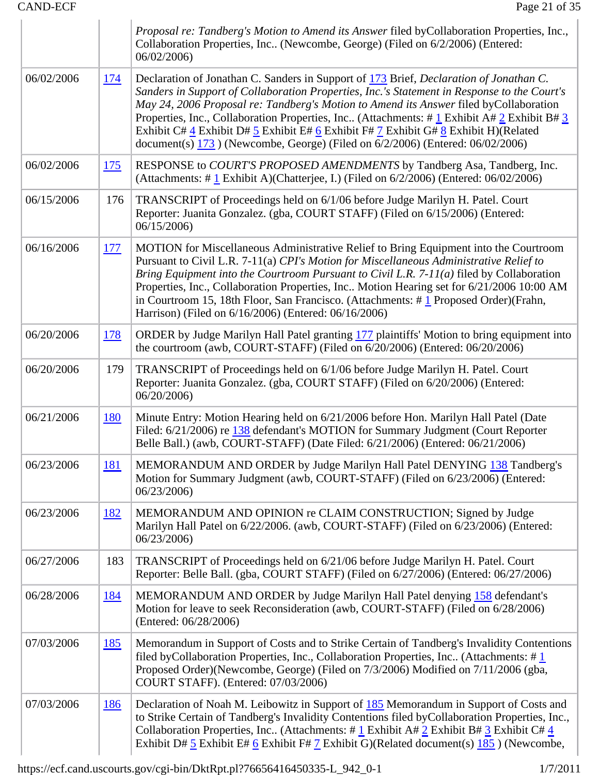|            |            | Proposal re: Tandberg's Motion to Amend its Answer filed byCollaboration Properties, Inc.,<br>Collaboration Properties, Inc (Newcombe, George) (Filed on 6/2/2006) (Entered:<br>06/02/2006)                                                                                                                                                                                                                                                                                                                                                                                                                                      |
|------------|------------|----------------------------------------------------------------------------------------------------------------------------------------------------------------------------------------------------------------------------------------------------------------------------------------------------------------------------------------------------------------------------------------------------------------------------------------------------------------------------------------------------------------------------------------------------------------------------------------------------------------------------------|
| 06/02/2006 | <u>174</u> | Declaration of Jonathan C. Sanders in Support of 173 Brief, Declaration of Jonathan C.<br>Sanders in Support of Collaboration Properties, Inc.'s Statement in Response to the Court's<br>May 24, 2006 Proposal re: Tandberg's Motion to Amend its Answer filed byCollaboration<br>Properties, Inc., Collaboration Properties, Inc (Attachments: # $1$ Exhibit A# $2$ Exhibit B# $3$<br>Exhibit C# $\frac{4}{5}$ Exhibit D# $\frac{5}{5}$ Exhibit E# $\frac{6}{5}$ Exhibit F# $\frac{7}{5}$ Exhibit G# $\frac{8}{5}$ Exhibit H)(Related<br>document(s) $173$ ) (Newcombe, George) (Filed on $6/2/2006$ ) (Entered: $06/02/2006$ ) |
| 06/02/2006 | <u>175</u> | RESPONSE to COURT'S PROPOSED AMENDMENTS by Tandberg Asa, Tandberg, Inc.<br>(Attachments: $\#$ 1 Exhibit A)(Chatterjee, I.) (Filed on 6/2/2006) (Entered: 06/02/2006)                                                                                                                                                                                                                                                                                                                                                                                                                                                             |
| 06/15/2006 | 176        | TRANSCRIPT of Proceedings held on 6/1/06 before Judge Marilyn H. Patel. Court<br>Reporter: Juanita Gonzalez. (gba, COURT STAFF) (Filed on 6/15/2006) (Entered:<br>06/15/2006                                                                                                                                                                                                                                                                                                                                                                                                                                                     |
| 06/16/2006 | <u>177</u> | MOTION for Miscellaneous Administrative Relief to Bring Equipment into the Courtroom<br>Pursuant to Civil L.R. 7-11(a) CPI's Motion for Miscellaneous Administrative Relief to<br>Bring Equipment into the Courtroom Pursuant to Civil L.R. $7-11(a)$ filed by Collaboration<br>Properties, Inc., Collaboration Properties, Inc Motion Hearing set for 6/21/2006 10:00 AM<br>in Courtroom 15, 18th Floor, San Francisco. (Attachments: $\# \underline{1}$ Proposed Order) (Frahn,<br>Harrison) (Filed on 6/16/2006) (Entered: 06/16/2006)                                                                                        |
| 06/20/2006 | <u>178</u> | ORDER by Judge Marilyn Hall Patel granting 177 plaintiffs' Motion to bring equipment into<br>the courtroom (awb, COURT-STAFF) (Filed on 6/20/2006) (Entered: 06/20/2006)                                                                                                                                                                                                                                                                                                                                                                                                                                                         |
| 06/20/2006 | 179        | TRANSCRIPT of Proceedings held on 6/1/06 before Judge Marilyn H. Patel. Court<br>Reporter: Juanita Gonzalez. (gba, COURT STAFF) (Filed on 6/20/2006) (Entered:<br>06/20/2006                                                                                                                                                                                                                                                                                                                                                                                                                                                     |
| 06/21/2006 | <b>180</b> | Minute Entry: Motion Hearing held on 6/21/2006 before Hon. Marilyn Hall Patel (Date<br>Filed: 6/21/2006) re 138 defendant's MOTION for Summary Judgment (Court Reporter<br>Belle Ball.) (awb, COURT-STAFF) (Date Filed: 6/21/2006) (Entered: 06/21/2006)                                                                                                                                                                                                                                                                                                                                                                         |
| 06/23/2006 | <u>181</u> | MEMORANDUM AND ORDER by Judge Marilyn Hall Patel DENYING 138 Tandberg's<br>Motion for Summary Judgment (awb, COURT-STAFF) (Filed on 6/23/2006) (Entered:<br>06/23/2006                                                                                                                                                                                                                                                                                                                                                                                                                                                           |
| 06/23/2006 | <u>182</u> | MEMORANDUM AND OPINION re CLAIM CONSTRUCTION; Signed by Judge<br>Marilyn Hall Patel on 6/22/2006. (awb, COURT-STAFF) (Filed on 6/23/2006) (Entered:<br>06/23/2006                                                                                                                                                                                                                                                                                                                                                                                                                                                                |
| 06/27/2006 | 183        | TRANSCRIPT of Proceedings held on 6/21/06 before Judge Marilyn H. Patel. Court<br>Reporter: Belle Ball. (gba, COURT STAFF) (Filed on 6/27/2006) (Entered: 06/27/2006)                                                                                                                                                                                                                                                                                                                                                                                                                                                            |
| 06/28/2006 | <u>184</u> | MEMORANDUM AND ORDER by Judge Marilyn Hall Patel denying 158 defendant's<br>Motion for leave to seek Reconsideration (awb, COURT-STAFF) (Filed on 6/28/2006)<br>(Entered: 06/28/2006)                                                                                                                                                                                                                                                                                                                                                                                                                                            |
| 07/03/2006 | <u>185</u> | Memorandum in Support of Costs and to Strike Certain of Tandberg's Invalidity Contentions<br>filed by Collaboration Properties, Inc., Collaboration Properties, Inc (Attachments: $\#$ 1<br>Proposed Order)(Newcombe, George) (Filed on 7/3/2006) Modified on 7/11/2006 (gba,<br>COURT STAFF). (Entered: 07/03/2006)                                                                                                                                                                                                                                                                                                             |
| 07/03/2006 | 186        | Declaration of Noah M. Leibowitz in Support of 185 Memorandum in Support of Costs and<br>to Strike Certain of Tandberg's Invalidity Contentions filed byCollaboration Properties, Inc.,<br>Collaboration Properties, Inc. (Attachments: # $1$ Exhibit A# $2$ Exhibit B# $3$ Exhibit C# $4$<br>Exhibit D# $\frac{5}{5}$ Exhibit E# $\frac{6}{5}$ Exhibit F# $\frac{7}{5}$ Exhibit G)(Related document(s) $\frac{185}{5}$ ) (Newcombe,                                                                                                                                                                                             |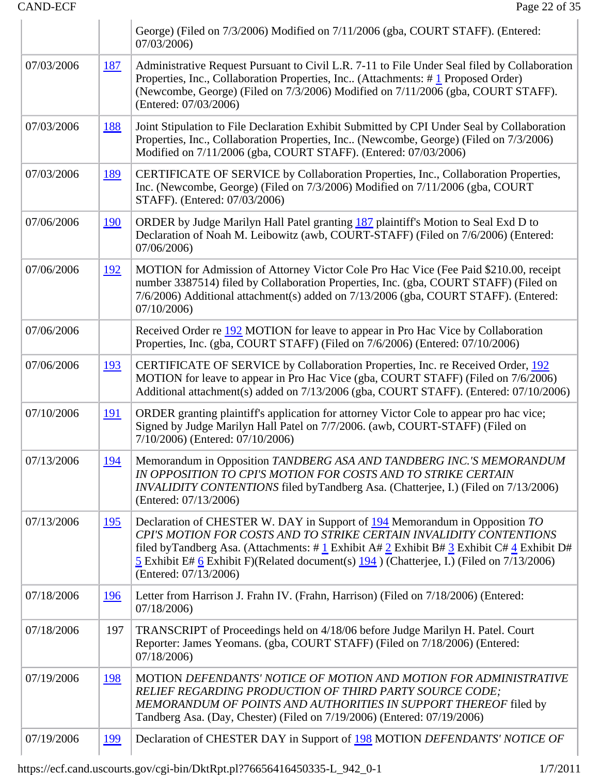|            |             | George) (Filed on 7/3/2006) Modified on 7/11/2006 (gba, COURT STAFF). (Entered:<br>07/03/2006)                                                                                                                                                                                                                                                                                                         |
|------------|-------------|--------------------------------------------------------------------------------------------------------------------------------------------------------------------------------------------------------------------------------------------------------------------------------------------------------------------------------------------------------------------------------------------------------|
| 07/03/2006 | 187         | Administrative Request Pursuant to Civil L.R. 7-11 to File Under Seal filed by Collaboration<br>Properties, Inc., Collaboration Properties, Inc (Attachments: #1 Proposed Order)<br>(Newcombe, George) (Filed on 7/3/2006) Modified on 7/11/2006 (gba, COURT STAFF).<br>(Entered: 07/03/2006)                                                                                                          |
| 07/03/2006 | <u>188</u>  | Joint Stipulation to File Declaration Exhibit Submitted by CPI Under Seal by Collaboration<br>Properties, Inc., Collaboration Properties, Inc (Newcombe, George) (Filed on 7/3/2006)<br>Modified on 7/11/2006 (gba, COURT STAFF). (Entered: 07/03/2006)                                                                                                                                                |
| 07/03/2006 | <u>189</u>  | CERTIFICATE OF SERVICE by Collaboration Properties, Inc., Collaboration Properties,<br>Inc. (Newcombe, George) (Filed on 7/3/2006) Modified on 7/11/2006 (gba, COURT<br>STAFF). (Entered: 07/03/2006)                                                                                                                                                                                                  |
| 07/06/2006 | <u>190</u>  | ORDER by Judge Marilyn Hall Patel granting 187 plaintiff's Motion to Seal Exd D to<br>Declaration of Noah M. Leibowitz (awb, COURT-STAFF) (Filed on 7/6/2006) (Entered:<br>07/06/2006)                                                                                                                                                                                                                 |
| 07/06/2006 | <u> 192</u> | MOTION for Admission of Attorney Victor Cole Pro Hac Vice (Fee Paid \$210.00, receipt<br>number 3387514) filed by Collaboration Properties, Inc. (gba, COURT STAFF) (Filed on<br>7/6/2006) Additional attachment(s) added on 7/13/2006 (gba, COURT STAFF). (Entered:<br>07/10/2006                                                                                                                     |
| 07/06/2006 |             | Received Order re 192 MOTION for leave to appear in Pro Hac Vice by Collaboration<br>Properties, Inc. (gba, COURT STAFF) (Filed on 7/6/2006) (Entered: 07/10/2006)                                                                                                                                                                                                                                     |
| 07/06/2006 | <u>193</u>  | CERTIFICATE OF SERVICE by Collaboration Properties, Inc. re Received Order, 192<br>MOTION for leave to appear in Pro Hac Vice (gba, COURT STAFF) (Filed on 7/6/2006)<br>Additional attachment(s) added on 7/13/2006 (gba, COURT STAFF). (Entered: 07/10/2006)                                                                                                                                          |
| 07/10/2006 | <u> 191</u> | ORDER granting plaintiff's application for attorney Victor Cole to appear pro hac vice;<br>Signed by Judge Marilyn Hall Patel on 7/7/2006. (awb, COURT-STAFF) (Filed on<br>7/10/2006) (Entered: 07/10/2006)                                                                                                                                                                                            |
| 07/13/2006 | <u> 194</u> | Memorandum in Opposition TANDBERG ASA AND TANDBERG INC.'S MEMORANDUM<br>IN OPPOSITION TO CPI'S MOTION FOR COSTS AND TO STRIKE CERTAIN<br>INVALIDITY CONTENTIONS filed by Tandberg Asa. (Chatterjee, I.) (Filed on 7/13/2006)<br>(Entered: 07/13/2006)                                                                                                                                                  |
| 07/13/2006 | <u>195</u>  | Declaration of CHESTER W. DAY in Support of 194 Memorandum in Opposition TO<br>CPI'S MOTION FOR COSTS AND TO STRIKE CERTAIN INVALIDITY CONTENTIONS<br>filed by Tandberg Asa. (Attachments: # $1$ Exhibit A# $2$ Exhibit B# $3$ Exhibit C# $4$ Exhibit D#<br>$\frac{5}{2}$ Exhibit E# 6 Exhibit F)(Related document(s) $\frac{194}{2}$ ) (Chatterjee, I.) (Filed on 7/13/2006)<br>(Entered: 07/13/2006) |
| 07/18/2006 | <u>196</u>  | Letter from Harrison J. Frahn IV. (Frahn, Harrison) (Filed on 7/18/2006) (Entered:<br>07/18/2006                                                                                                                                                                                                                                                                                                       |
| 07/18/2006 | 197         | TRANSCRIPT of Proceedings held on 4/18/06 before Judge Marilyn H. Patel. Court<br>Reporter: James Yeomans. (gba, COURT STAFF) (Filed on 7/18/2006) (Entered:<br>07/18/2006                                                                                                                                                                                                                             |
| 07/19/2006 | <u>198</u>  | MOTION DEFENDANTS' NOTICE OF MOTION AND MOTION FOR ADMINISTRATIVE<br>RELIEF REGARDING PRODUCTION OF THIRD PARTY SOURCE CODE;<br>MEMORANDUM OF POINTS AND AUTHORITIES IN SUPPORT THEREOF filed by<br>Tandberg Asa. (Day, Chester) (Filed on 7/19/2006) (Entered: 07/19/2006)                                                                                                                            |
| 07/19/2006 | <u> 199</u> | Declaration of CHESTER DAY in Support of 198 MOTION DEFENDANTS' NOTICE OF                                                                                                                                                                                                                                                                                                                              |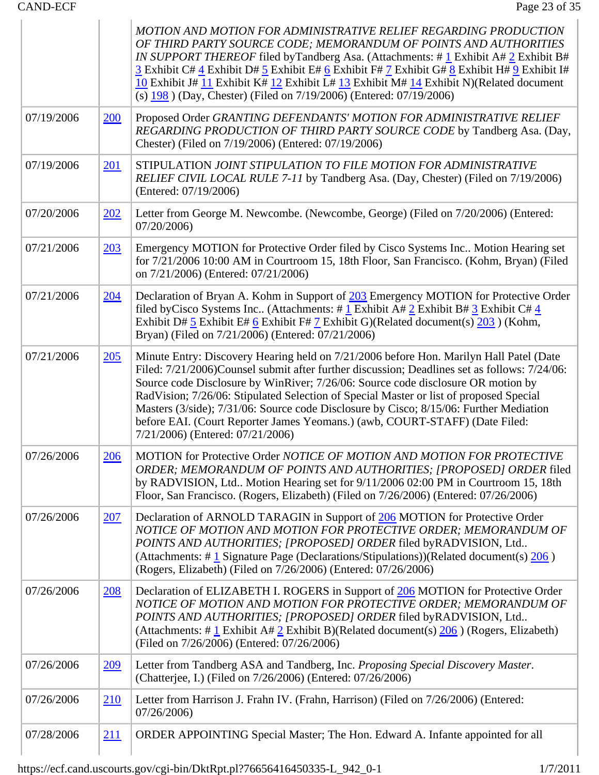|            |             | MOTION AND MOTION FOR ADMINISTRATIVE RELIEF REGARDING PRODUCTION<br>OF THIRD PARTY SOURCE CODE; MEMORANDUM OF POINTS AND AUTHORITIES<br><i>IN SUPPORT THEREOF</i> filed by Tandberg Asa. (Attachments: $\#$ 1 Exhibit A $\#$ 2 Exhibit B $\#$<br>3 Exhibit C# 4 Exhibit D# 5 Exhibit E# 6 Exhibit F# 7 Exhibit G# 8 Exhibit H# 9 Exhibit I#<br>10 Exhibit J# 11 Exhibit K# 12 Exhibit L# 13 Exhibit M# 14 Exhibit N)(Related document<br>(s) $198$ ) (Day, Chester) (Filed on 7/19/2006) (Entered: 07/19/2006)                                                                    |
|------------|-------------|-----------------------------------------------------------------------------------------------------------------------------------------------------------------------------------------------------------------------------------------------------------------------------------------------------------------------------------------------------------------------------------------------------------------------------------------------------------------------------------------------------------------------------------------------------------------------------------|
| 07/19/2006 | 200         | Proposed Order GRANTING DEFENDANTS' MOTION FOR ADMINISTRATIVE RELIEF<br>REGARDING PRODUCTION OF THIRD PARTY SOURCE CODE by Tandberg Asa. (Day,<br>Chester) (Filed on 7/19/2006) (Entered: 07/19/2006)                                                                                                                                                                                                                                                                                                                                                                             |
| 07/19/2006 | <u>201</u>  | STIPULATION JOINT STIPULATION TO FILE MOTION FOR ADMINISTRATIVE<br>RELIEF CIVIL LOCAL RULE 7-11 by Tandberg Asa. (Day, Chester) (Filed on 7/19/2006)<br>(Entered: 07/19/2006)                                                                                                                                                                                                                                                                                                                                                                                                     |
| 07/20/2006 | 202         | Letter from George M. Newcombe. (Newcombe, George) (Filed on 7/20/2006) (Entered:<br>07/20/2006                                                                                                                                                                                                                                                                                                                                                                                                                                                                                   |
| 07/21/2006 | 203         | Emergency MOTION for Protective Order filed by Cisco Systems Inc Motion Hearing set<br>for 7/21/2006 10:00 AM in Courtroom 15, 18th Floor, San Francisco. (Kohm, Bryan) (Filed<br>on 7/21/2006) (Entered: 07/21/2006)                                                                                                                                                                                                                                                                                                                                                             |
| 07/21/2006 | <u>204</u>  | Declaration of Bryan A. Kohm in Support of 203 Emergency MOTION for Protective Order<br>filed by Cisco Systems Inc (Attachments: # $1$ Exhibit A# $2$ Exhibit B# $3$ Exhibit C# $4$<br>Exhibit D# $\frac{5}{5}$ Exhibit E# $\frac{6}{5}$ Exhibit F# $\frac{7}{5}$ Exhibit G)(Related document(s) $\frac{203}{5}$ ) (Kohm,<br>Bryan) (Filed on 7/21/2006) (Entered: 07/21/2006)                                                                                                                                                                                                    |
| 07/21/2006 | 205         | Minute Entry: Discovery Hearing held on 7/21/2006 before Hon. Marilyn Hall Patel (Date<br>Filed: 7/21/2006)Counsel submit after further discussion; Deadlines set as follows: 7/24/06:<br>Source code Disclosure by WinRiver; 7/26/06: Source code disclosure OR motion by<br>RadVision; 7/26/06: Stipulated Selection of Special Master or list of proposed Special<br>Masters (3/side); 7/31/06: Source code Disclosure by Cisco; 8/15/06: Further Mediation<br>before EAI. (Court Reporter James Yeomans.) (awb, COURT-STAFF) (Date Filed:<br>7/21/2006) (Entered: 07/21/2006) |
| 07/26/2006 | 206         | MOTION for Protective Order NOTICE OF MOTION AND MOTION FOR PROTECTIVE<br>ORDER; MEMORANDUM OF POINTS AND AUTHORITIES; [PROPOSED] ORDER filed<br>by RADVISION, Ltd Motion Hearing set for 9/11/2006 02:00 PM in Courtroom 15, 18th<br>Floor, San Francisco. (Rogers, Elizabeth) (Filed on 7/26/2006) (Entered: 07/26/2006)                                                                                                                                                                                                                                                        |
| 07/26/2006 | 207         | Declaration of ARNOLD TARAGIN in Support of 206 MOTION for Protective Order<br>NOTICE OF MOTION AND MOTION FOR PROTECTIVE ORDER; MEMORANDUM OF<br>POINTS AND AUTHORITIES; [PROPOSED] ORDER filed byRADVISION, Ltd<br>(Attachments: $\#$ 1 Signature Page (Declarations/Stipulations))(Related document(s) $\frac{206}{ }$ )<br>(Rogers, Elizabeth) (Filed on 7/26/2006) (Entered: 07/26/2006)                                                                                                                                                                                     |
| 07/26/2006 | <u>208</u>  | Declaration of ELIZABETH I. ROGERS in Support of 206 MOTION for Protective Order<br>NOTICE OF MOTION AND MOTION FOR PROTECTIVE ORDER; MEMORANDUM OF<br>POINTS AND AUTHORITIES; [PROPOSED] ORDER filed byRADVISION, Ltd<br>(Attachments: # $\frac{1}{2}$ Exhibit A# $\frac{2}{2}$ Exhibit B)(Related document(s) $\frac{206}{200}$ ) (Rogers, Elizabeth)<br>(Filed on 7/26/2006) (Entered: 07/26/2006)                                                                                                                                                                             |
| 07/26/2006 | <u>209</u>  | Letter from Tandberg ASA and Tandberg, Inc. Proposing Special Discovery Master.<br>(Chatterjee, I.) (Filed on 7/26/2006) (Entered: 07/26/2006)                                                                                                                                                                                                                                                                                                                                                                                                                                    |
| 07/26/2006 | 210         | Letter from Harrison J. Frahn IV. (Frahn, Harrison) (Filed on 7/26/2006) (Entered:<br>07/26/2006                                                                                                                                                                                                                                                                                                                                                                                                                                                                                  |
| 07/28/2006 | <u> 211</u> | ORDER APPOINTING Special Master; The Hon. Edward A. Infante appointed for all                                                                                                                                                                                                                                                                                                                                                                                                                                                                                                     |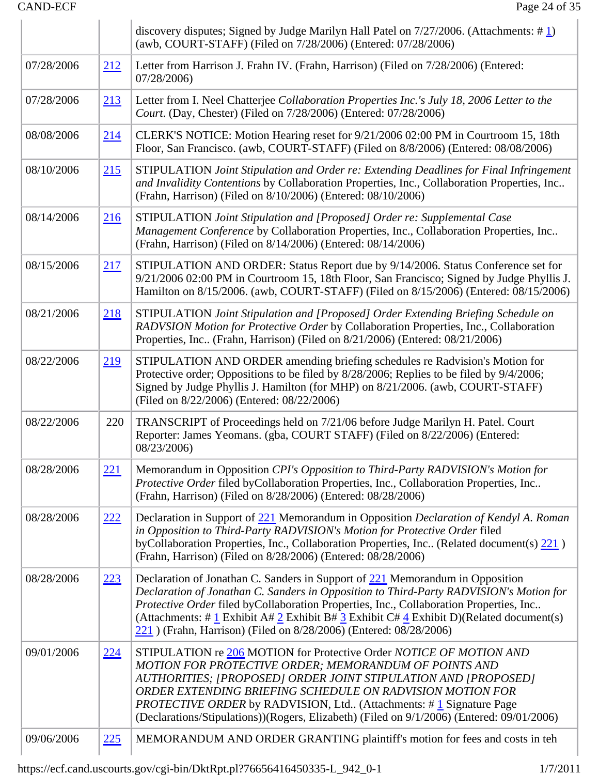|            |            | discovery disputes; Signed by Judge Marilyn Hall Patel on $7/27/2006$ . (Attachments: #1)<br>(awb, COURT-STAFF) (Filed on 7/28/2006) (Entered: 07/28/2006)                                                                                                                                                                                                                                                                                |
|------------|------------|-------------------------------------------------------------------------------------------------------------------------------------------------------------------------------------------------------------------------------------------------------------------------------------------------------------------------------------------------------------------------------------------------------------------------------------------|
| 07/28/2006 | 212        | Letter from Harrison J. Frahn IV. (Frahn, Harrison) (Filed on 7/28/2006) (Entered:<br>07/28/2006)                                                                                                                                                                                                                                                                                                                                         |
| 07/28/2006 | 213        | Letter from I. Neel Chatterjee Collaboration Properties Inc.'s July 18, 2006 Letter to the<br>Court. (Day, Chester) (Filed on 7/28/2006) (Entered: 07/28/2006)                                                                                                                                                                                                                                                                            |
| 08/08/2006 | 214        | CLERK'S NOTICE: Motion Hearing reset for 9/21/2006 02:00 PM in Courtroom 15, 18th<br>Floor, San Francisco. (awb, COURT-STAFF) (Filed on 8/8/2006) (Entered: 08/08/2006)                                                                                                                                                                                                                                                                   |
| 08/10/2006 | 215        | STIPULATION Joint Stipulation and Order re: Extending Deadlines for Final Infringement<br>and Invalidity Contentions by Collaboration Properties, Inc., Collaboration Properties, Inc<br>(Frahn, Harrison) (Filed on 8/10/2006) (Entered: 08/10/2006)                                                                                                                                                                                     |
| 08/14/2006 | 216        | STIPULATION Joint Stipulation and [Proposed] Order re: Supplemental Case<br>Management Conference by Collaboration Properties, Inc., Collaboration Properties, Inc<br>(Frahn, Harrison) (Filed on 8/14/2006) (Entered: 08/14/2006)                                                                                                                                                                                                        |
| 08/15/2006 | 217        | STIPULATION AND ORDER: Status Report due by 9/14/2006. Status Conference set for<br>9/21/2006 02:00 PM in Courtroom 15, 18th Floor, San Francisco; Signed by Judge Phyllis J.<br>Hamilton on 8/15/2006. (awb, COURT-STAFF) (Filed on 8/15/2006) (Entered: 08/15/2006)                                                                                                                                                                     |
| 08/21/2006 | 218        | STIPULATION Joint Stipulation and [Proposed] Order Extending Briefing Schedule on<br>RADVSION Motion for Protective Order by Collaboration Properties, Inc., Collaboration<br>Properties, Inc (Frahn, Harrison) (Filed on 8/21/2006) (Entered: 08/21/2006)                                                                                                                                                                                |
| 08/22/2006 | 219        | STIPULATION AND ORDER amending briefing schedules re Radvision's Motion for<br>Protective order; Oppositions to be filed by 8/28/2006; Replies to be filed by 9/4/2006;<br>Signed by Judge Phyllis J. Hamilton (for MHP) on 8/21/2006. (awb, COURT-STAFF)<br>(Filed on 8/22/2006) (Entered: 08/22/2006)                                                                                                                                   |
| 08/22/2006 | 220        | TRANSCRIPT of Proceedings held on 7/21/06 before Judge Marilyn H. Patel. Court<br>Reporter: James Yeomans. (gba, COURT STAFF) (Filed on 8/22/2006) (Entered:<br>08/23/2006)                                                                                                                                                                                                                                                               |
| 08/28/2006 | 221        | Memorandum in Opposition CPI's Opposition to Third-Party RADVISION's Motion for<br>Protective Order filed byCollaboration Properties, Inc., Collaboration Properties, Inc<br>(Frahn, Harrison) (Filed on 8/28/2006) (Entered: 08/28/2006)                                                                                                                                                                                                 |
| 08/28/2006 | 222        | Declaration in Support of 221 Memorandum in Opposition Declaration of Kendyl A. Roman<br>in Opposition to Third-Party RADVISION's Motion for Protective Order filed<br>byCollaboration Properties, Inc., Collaboration Properties, Inc (Related document(s) 221)<br>(Frahn, Harrison) (Filed on 8/28/2006) (Entered: 08/28/2006)                                                                                                          |
| 08/28/2006 | 223        | Declaration of Jonathan C. Sanders in Support of 221 Memorandum in Opposition<br>Declaration of Jonathan C. Sanders in Opposition to Third-Party RADVISION's Motion for<br>Protective Order filed byCollaboration Properties, Inc., Collaboration Properties, Inc<br>(Attachments: # $1$ Exhibit A# $2$ Exhibit B# $3$ Exhibit C# $4$ Exhibit D)(Related document(s)<br>221) (Frahn, Harrison) (Filed on 8/28/2006) (Entered: 08/28/2006) |
| 09/01/2006 | <u>224</u> | STIPULATION re 206 MOTION for Protective Order NOTICE OF MOTION AND<br>MOTION FOR PROTECTIVE ORDER; MEMORANDUM OF POINTS AND<br>AUTHORITIES; [PROPOSED] ORDER JOINT STIPULATION AND [PROPOSED]<br>ORDER EXTENDING BRIEFING SCHEDULE ON RADVISION MOTION FOR<br><i>PROTECTIVE ORDER</i> by RADVISION, Ltd (Attachments: #1 Signature Page<br>(Declarations/Stipulations))(Rogers, Elizabeth) (Filed on 9/1/2006) (Entered: 09/01/2006)     |
| 09/06/2006 | 225        | MEMORANDUM AND ORDER GRANTING plaintiff's motion for fees and costs in teh                                                                                                                                                                                                                                                                                                                                                                |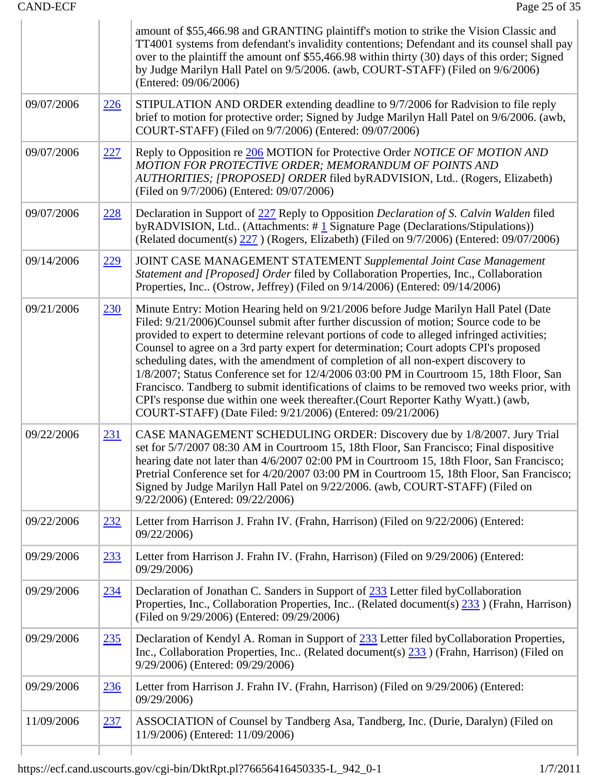|            |            | amount of \$55,466.98 and GRANTING plaintiff's motion to strike the Vision Classic and<br>TT4001 systems from defendant's invalidity contentions; Defendant and its counsel shall pay<br>over to the plaintiff the amount onf \$55,466.98 within thirty (30) days of this order; Signed<br>by Judge Marilyn Hall Patel on 9/5/2006. (awb, COURT-STAFF) (Filed on 9/6/2006)<br>(Entered: 09/06/2006)                                                                                                                                                                                                                                                                                                                                                                                                     |
|------------|------------|---------------------------------------------------------------------------------------------------------------------------------------------------------------------------------------------------------------------------------------------------------------------------------------------------------------------------------------------------------------------------------------------------------------------------------------------------------------------------------------------------------------------------------------------------------------------------------------------------------------------------------------------------------------------------------------------------------------------------------------------------------------------------------------------------------|
| 09/07/2006 | 226        | STIPULATION AND ORDER extending deadline to 9/7/2006 for Radvision to file reply<br>brief to motion for protective order; Signed by Judge Marilyn Hall Patel on 9/6/2006. (awb,<br>COURT-STAFF) (Filed on 9/7/2006) (Entered: 09/07/2006)                                                                                                                                                                                                                                                                                                                                                                                                                                                                                                                                                               |
| 09/07/2006 | 227        | Reply to Opposition re 206 MOTION for Protective Order NOTICE OF MOTION AND<br>MOTION FOR PROTECTIVE ORDER; MEMORANDUM OF POINTS AND<br>AUTHORITIES; [PROPOSED] ORDER filed byRADVISION, Ltd (Rogers, Elizabeth)<br>(Filed on 9/7/2006) (Entered: 09/07/2006)                                                                                                                                                                                                                                                                                                                                                                                                                                                                                                                                           |
| 09/07/2006 | 228        | Declaration in Support of 227 Reply to Opposition Declaration of S. Calvin Walden filed<br>byRADVISION, Ltd (Attachments: #1 Signature Page (Declarations/Stipulations))<br>(Related document(s) 227 ) (Rogers, Elizabeth) (Filed on 9/7/2006) (Entered: 09/07/2006)                                                                                                                                                                                                                                                                                                                                                                                                                                                                                                                                    |
| 09/14/2006 | 229        | JOINT CASE MANAGEMENT STATEMENT Supplemental Joint Case Management<br>Statement and [Proposed] Order filed by Collaboration Properties, Inc., Collaboration<br>Properties, Inc (Ostrow, Jeffrey) (Filed on 9/14/2006) (Entered: 09/14/2006)                                                                                                                                                                                                                                                                                                                                                                                                                                                                                                                                                             |
| 09/21/2006 | <u>230</u> | Minute Entry: Motion Hearing held on 9/21/2006 before Judge Marilyn Hall Patel (Date<br>Filed: 9/21/2006)Counsel submit after further discussion of motion; Source code to be<br>provided to expert to determine relevant portions of code to alleged infringed activities;<br>Counsel to agree on a 3rd party expert for determination; Court adopts CPI's proposed<br>scheduling dates, with the amendment of completion of all non-expert discovery to<br>1/8/2007; Status Conference set for 12/4/2006 03:00 PM in Courtroom 15, 18th Floor, San<br>Francisco. Tandberg to submit identifications of claims to be removed two weeks prior, with<br>CPI's response due within one week thereafter. (Court Reporter Kathy Wyatt.) (awb,<br>COURT-STAFF) (Date Filed: 9/21/2006) (Entered: 09/21/2006) |
| 09/22/2006 | <u>231</u> | CASE MANAGEMENT SCHEDULING ORDER: Discovery due by 1/8/2007. Jury Trial<br>set for 5/7/2007 08:30 AM in Courtroom 15, 18th Floor, San Francisco; Final dispositive<br>hearing date not later than 4/6/2007 02:00 PM in Courtroom 15, 18th Floor, San Francisco;<br>Pretrial Conference set for 4/20/2007 03:00 PM in Courtroom 15, 18th Floor, San Francisco;<br>Signed by Judge Marilyn Hall Patel on 9/22/2006. (awb, COURT-STAFF) (Filed on<br>9/22/2006) (Entered: 09/22/2006)                                                                                                                                                                                                                                                                                                                      |
| 09/22/2006 | 232        | Letter from Harrison J. Frahn IV. (Frahn, Harrison) (Filed on 9/22/2006) (Entered:<br>09/22/2006)                                                                                                                                                                                                                                                                                                                                                                                                                                                                                                                                                                                                                                                                                                       |
| 09/29/2006 | 233        | Letter from Harrison J. Frahn IV. (Frahn, Harrison) (Filed on 9/29/2006) (Entered:<br>09/29/2006)                                                                                                                                                                                                                                                                                                                                                                                                                                                                                                                                                                                                                                                                                                       |
| 09/29/2006 | 234        | Declaration of Jonathan C. Sanders in Support of 233 Letter filed by Collaboration<br>Properties, Inc., Collaboration Properties, Inc (Related document(s) 233 ) (Frahn, Harrison)<br>(Filed on 9/29/2006) (Entered: 09/29/2006)                                                                                                                                                                                                                                                                                                                                                                                                                                                                                                                                                                        |
| 09/29/2006 | <u>235</u> | Declaration of Kendyl A. Roman in Support of 233 Letter filed by Collaboration Properties,<br>Inc., Collaboration Properties, Inc (Related document(s) $\frac{233}{23}$ ) (Frahn, Harrison) (Filed on<br>9/29/2006) (Entered: 09/29/2006)                                                                                                                                                                                                                                                                                                                                                                                                                                                                                                                                                               |
| 09/29/2006 | 236        | Letter from Harrison J. Frahn IV. (Frahn, Harrison) (Filed on 9/29/2006) (Entered:<br>09/29/2006)                                                                                                                                                                                                                                                                                                                                                                                                                                                                                                                                                                                                                                                                                                       |
| 11/09/2006 | 237        | ASSOCIATION of Counsel by Tandberg Asa, Tandberg, Inc. (Durie, Daralyn) (Filed on<br>11/9/2006) (Entered: 11/09/2006)                                                                                                                                                                                                                                                                                                                                                                                                                                                                                                                                                                                                                                                                                   |
|            |            |                                                                                                                                                                                                                                                                                                                                                                                                                                                                                                                                                                                                                                                                                                                                                                                                         |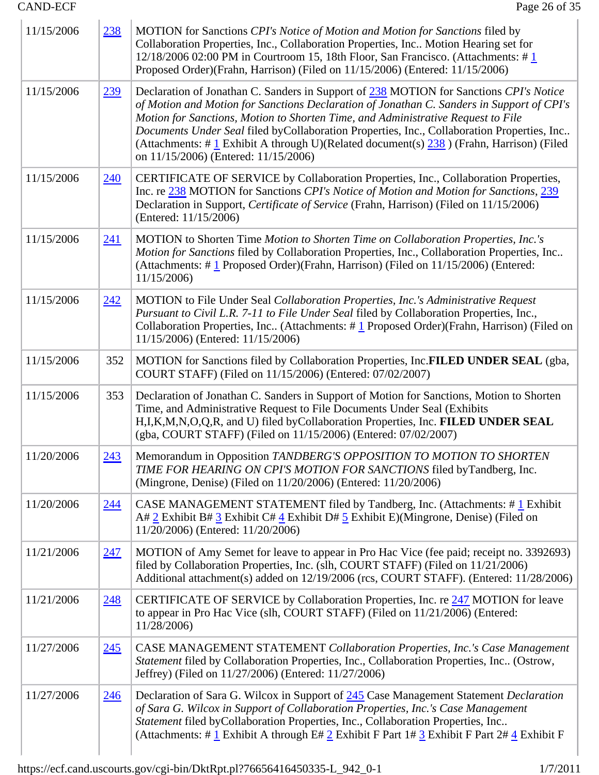| 11/15/2006 | 238        | MOTION for Sanctions CPI's Notice of Motion and Motion for Sanctions filed by<br>Collaboration Properties, Inc., Collaboration Properties, Inc Motion Hearing set for<br>12/18/2006 02:00 PM in Courtroom 15, 18th Floor, San Francisco. (Attachments: $\#$ 1<br>Proposed Order)(Frahn, Harrison) (Filed on 11/15/2006) (Entered: 11/15/2006)                                                                                                                                                                  |
|------------|------------|----------------------------------------------------------------------------------------------------------------------------------------------------------------------------------------------------------------------------------------------------------------------------------------------------------------------------------------------------------------------------------------------------------------------------------------------------------------------------------------------------------------|
| 11/15/2006 | <u>239</u> | Declaration of Jonathan C. Sanders in Support of 238 MOTION for Sanctions CPI's Notice<br>of Motion and Motion for Sanctions Declaration of Jonathan C. Sanders in Support of CPI's<br>Motion for Sanctions, Motion to Shorten Time, and Administrative Request to File<br>Documents Under Seal filed byCollaboration Properties, Inc., Collaboration Properties, Inc<br>(Attachments: # $1$ Exhibit A through U)(Related document(s) $238$ ) (Frahn, Harrison) (Filed<br>on 11/15/2006) (Entered: 11/15/2006) |
| 11/15/2006 | 240        | CERTIFICATE OF SERVICE by Collaboration Properties, Inc., Collaboration Properties,<br>Inc. re 238 MOTION for Sanctions CPI's Notice of Motion and Motion for Sanctions, 239<br>Declaration in Support, Certificate of Service (Frahn, Harrison) (Filed on 11/15/2006)<br>(Entered: 11/15/2006)                                                                                                                                                                                                                |
| 11/15/2006 | <u>241</u> | MOTION to Shorten Time Motion to Shorten Time on Collaboration Properties, Inc.'s<br>Motion for Sanctions filed by Collaboration Properties, Inc., Collaboration Properties, Inc<br>(Attachments: $\#$ 1 Proposed Order)(Frahn, Harrison) (Filed on 11/15/2006) (Entered:<br>11/15/2006                                                                                                                                                                                                                        |
| 11/15/2006 | <u>242</u> | MOTION to File Under Seal Collaboration Properties, Inc.'s Administrative Request<br>Pursuant to Civil L.R. 7-11 to File Under Seal filed by Collaboration Properties, Inc.,<br>Collaboration Properties, Inc (Attachments: $\# \underline{1}$ Proposed Order)(Frahn, Harrison) (Filed on<br>11/15/2006) (Entered: 11/15/2006)                                                                                                                                                                                 |
| 11/15/2006 | 352        | MOTION for Sanctions filed by Collaboration Properties, Inc.FILED UNDER SEAL (gba,<br>COURT STAFF) (Filed on 11/15/2006) (Entered: 07/02/2007)                                                                                                                                                                                                                                                                                                                                                                 |
| 11/15/2006 | 353        | Declaration of Jonathan C. Sanders in Support of Motion for Sanctions, Motion to Shorten<br>Time, and Administrative Request to File Documents Under Seal (Exhibits<br>H, I, K, M, N, O, Q, R, and U) filed by Collaboration Properties, Inc. FILED UNDER SEAL<br>(gba, COURT STAFF) (Filed on 11/15/2006) (Entered: 07/02/2007)                                                                                                                                                                               |
| 11/20/2006 | 243        | Memorandum in Opposition TANDBERG'S OPPOSITION TO MOTION TO SHORTEN<br>TIME FOR HEARING ON CPI'S MOTION FOR SANCTIONS filed by Tandberg, Inc.<br>(Mingrone, Denise) (Filed on 11/20/2006) (Entered: 11/20/2006)                                                                                                                                                                                                                                                                                                |
| 11/20/2006 | <u>244</u> | CASE MANAGEMENT STATEMENT filed by Tandberg, Inc. (Attachments: #1 Exhibit<br>A# $2$ Exhibit B# $3$ Exhibit C# $4$ Exhibit D# $5$ Exhibit E)(Mingrone, Denise) (Filed on<br>11/20/2006) (Entered: 11/20/2006)                                                                                                                                                                                                                                                                                                  |
| 11/21/2006 | 247        | MOTION of Amy Semet for leave to appear in Pro Hac Vice (fee paid; receipt no. 3392693)<br>filed by Collaboration Properties, Inc. (slh, COURT STAFF) (Filed on 11/21/2006)<br>Additional attachment(s) added on 12/19/2006 (rcs, COURT STAFF). (Entered: 11/28/2006)                                                                                                                                                                                                                                          |
| 11/21/2006 | 248        | CERTIFICATE OF SERVICE by Collaboration Properties, Inc. re 247 MOTION for leave<br>to appear in Pro Hac Vice (slh, COURT STAFF) (Filed on 11/21/2006) (Entered:<br>11/28/2006)                                                                                                                                                                                                                                                                                                                                |
| 11/27/2006 | <u>245</u> | CASE MANAGEMENT STATEMENT Collaboration Properties, Inc.'s Case Management<br>Statement filed by Collaboration Properties, Inc., Collaboration Properties, Inc (Ostrow,<br>Jeffrey) (Filed on 11/27/2006) (Entered: 11/27/2006)                                                                                                                                                                                                                                                                                |
| 11/27/2006 | 246        | Declaration of Sara G. Wilcox in Support of 245 Case Management Statement Declaration<br>of Sara G. Wilcox in Support of Collaboration Properties, Inc.'s Case Management<br>Statement filed byCollaboration Properties, Inc., Collaboration Properties, Inc<br>(Attachments: # $1$ Exhibit A through E# $2$ Exhibit F Part 1# $3$ Exhibit F Part 2# $4$ Exhibit F                                                                                                                                             |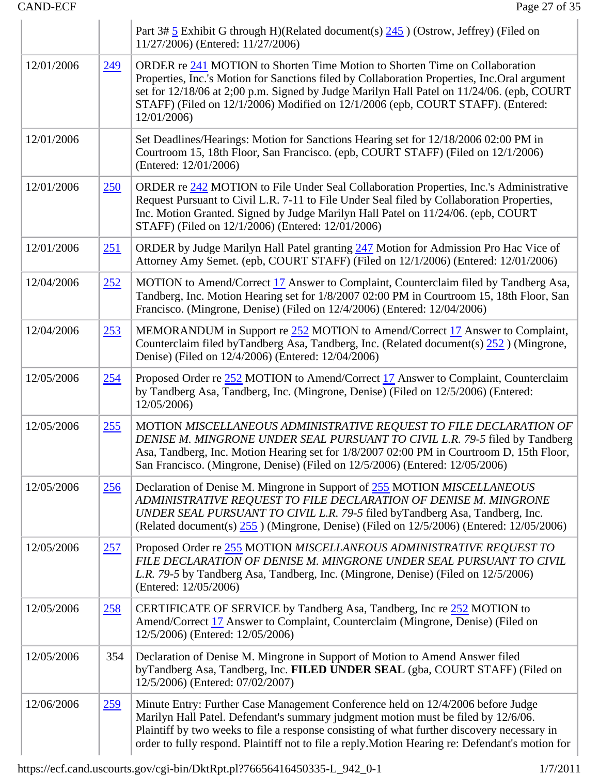|            |            | Part 3# $\frac{5}{2}$ Exhibit G through H)(Related document(s) $\frac{245}{2}$ ) (Ostrow, Jeffrey) (Filed on<br>11/27/2006) (Entered: 11/27/2006)                                                                                                                                                                                                                          |
|------------|------------|----------------------------------------------------------------------------------------------------------------------------------------------------------------------------------------------------------------------------------------------------------------------------------------------------------------------------------------------------------------------------|
| 12/01/2006 | 249        | ORDER re 241 MOTION to Shorten Time Motion to Shorten Time on Collaboration<br>Properties, Inc.'s Motion for Sanctions filed by Collaboration Properties, Inc.Oral argument<br>set for 12/18/06 at 2;00 p.m. Signed by Judge Marilyn Hall Patel on 11/24/06. (epb, COURT<br>STAFF) (Filed on 12/1/2006) Modified on 12/1/2006 (epb, COURT STAFF). (Entered:<br>12/01/2006) |
| 12/01/2006 |            | Set Deadlines/Hearings: Motion for Sanctions Hearing set for 12/18/2006 02:00 PM in<br>Courtroom 15, 18th Floor, San Francisco. (epb, COURT STAFF) (Filed on 12/1/2006)<br>(Entered: 12/01/2006)                                                                                                                                                                           |
| 12/01/2006 | 250        | ORDER re 242 MOTION to File Under Seal Collaboration Properties, Inc.'s Administrative<br>Request Pursuant to Civil L.R. 7-11 to File Under Seal filed by Collaboration Properties,<br>Inc. Motion Granted. Signed by Judge Marilyn Hall Patel on 11/24/06. (epb, COURT<br>STAFF) (Filed on 12/1/2006) (Entered: 12/01/2006)                                               |
| 12/01/2006 | <u>251</u> | ORDER by Judge Marilyn Hall Patel granting 247 Motion for Admission Pro Hac Vice of<br>Attorney Amy Semet. (epb, COURT STAFF) (Filed on 12/1/2006) (Entered: 12/01/2006)                                                                                                                                                                                                   |
| 12/04/2006 | 252        | MOTION to Amend/Correct 17 Answer to Complaint, Counterclaim filed by Tandberg Asa,<br>Tandberg, Inc. Motion Hearing set for 1/8/2007 02:00 PM in Courtroom 15, 18th Floor, San<br>Francisco. (Mingrone, Denise) (Filed on 12/4/2006) (Entered: 12/04/2006)                                                                                                                |
| 12/04/2006 | 253        | MEMORANDUM in Support re 252 MOTION to Amend/Correct 17 Answer to Complaint,<br>Counterclaim filed byTandberg Asa, Tandberg, Inc. (Related document(s) 252) (Mingrone,<br>Denise) (Filed on 12/4/2006) (Entered: 12/04/2006)                                                                                                                                               |
| 12/05/2006 | <u>254</u> | Proposed Order re 252 MOTION to Amend/Correct 17 Answer to Complaint, Counterclaim<br>by Tandberg Asa, Tandberg, Inc. (Mingrone, Denise) (Filed on 12/5/2006) (Entered:<br>12/05/2006)                                                                                                                                                                                     |
| 12/05/2006 | 255        | MOTION MISCELLANEOUS ADMINISTRATIVE REQUEST TO FILE DECLARATION OF<br>DENISE M. MINGRONE UNDER SEAL PURSUANT TO CIVIL L.R. 79-5 filed by Tandberg<br>Asa, Tandberg, Inc. Motion Hearing set for 1/8/2007 02:00 PM in Courtroom D, 15th Floor,<br>San Francisco. (Mingrone, Denise) (Filed on 12/5/2006) (Entered: 12/05/2006)                                              |
| 12/05/2006 | <u>256</u> | Declaration of Denise M. Mingrone in Support of 255 MOTION MISCELLANEOUS<br>ADMINISTRATIVE REQUEST TO FILE DECLARATION OF DENISE M. MINGRONE<br>UNDER SEAL PURSUANT TO CIVIL L.R. 79-5 filed by Tandberg Asa, Tandberg, Inc.<br>(Related document(s) $255$ ) (Mingrone, Denise) (Filed on 12/5/2006) (Entered: 12/05/2006)                                                 |
| 12/05/2006 | 257        | Proposed Order re 255 MOTION MISCELLANEOUS ADMINISTRATIVE REQUEST TO<br>FILE DECLARATION OF DENISE M. MINGRONE UNDER SEAL PURSUANT TO CIVIL<br>L.R. 79-5 by Tandberg Asa, Tandberg, Inc. (Mingrone, Denise) (Filed on 12/5/2006)<br>(Entered: 12/05/2006)                                                                                                                  |
| 12/05/2006 | 258        | CERTIFICATE OF SERVICE by Tandberg Asa, Tandberg, Inc re 252 MOTION to<br>Amend/Correct 17 Answer to Complaint, Counterclaim (Mingrone, Denise) (Filed on<br>12/5/2006) (Entered: 12/05/2006)                                                                                                                                                                              |
| 12/05/2006 | 354        | Declaration of Denise M. Mingrone in Support of Motion to Amend Answer filed<br>byTandberg Asa, Tandberg, Inc. FILED UNDER SEAL (gba, COURT STAFF) (Filed on<br>12/5/2006) (Entered: 07/02/2007)                                                                                                                                                                           |
| 12/06/2006 | <u>259</u> | Minute Entry: Further Case Management Conference held on 12/4/2006 before Judge<br>Marilyn Hall Patel. Defendant's summary judgment motion must be filed by 12/6/06.<br>Plaintiff by two weeks to file a response consisting of what further discovery necessary in<br>order to fully respond. Plaintiff not to file a reply. Motion Hearing re: Defendant's motion for    |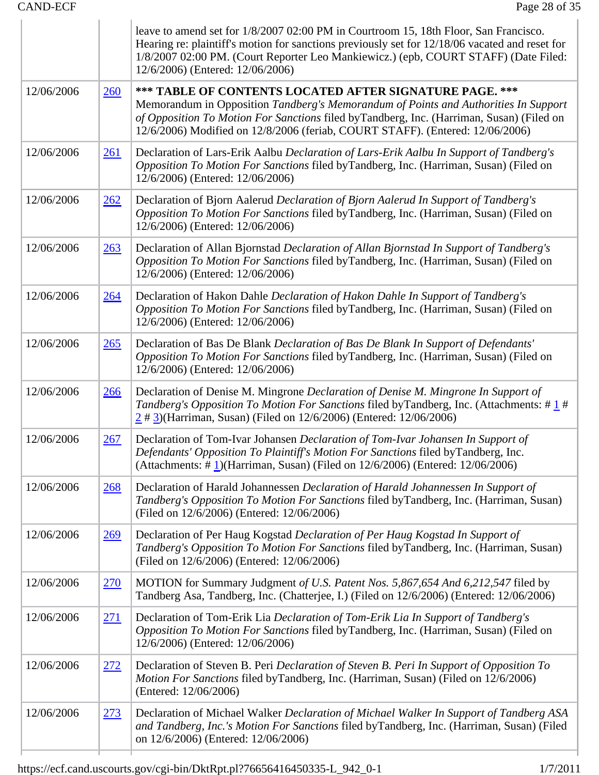|            |             | leave to amend set for $1/8/2007$ 02:00 PM in Courtroom 15, 18th Floor, San Francisco.<br>Hearing re: plaintiff's motion for sanctions previously set for 12/18/06 vacated and reset for<br>1/8/2007 02:00 PM. (Court Reporter Leo Mankiewicz.) (epb, COURT STAFF) (Date Filed:<br>12/6/2006) (Entered: 12/06/2006)         |
|------------|-------------|-----------------------------------------------------------------------------------------------------------------------------------------------------------------------------------------------------------------------------------------------------------------------------------------------------------------------------|
| 12/06/2006 | 260         | *** TABLE OF CONTENTS LOCATED AFTER SIGNATURE PAGE. ***<br>Memorandum in Opposition Tandberg's Memorandum of Points and Authorities In Support<br>of Opposition To Motion For Sanctions filed byTandberg, Inc. (Harriman, Susan) (Filed on<br>12/6/2006) Modified on 12/8/2006 (feriab, COURT STAFF). (Entered: 12/06/2006) |
| 12/06/2006 | 261         | Declaration of Lars-Erik Aalbu Declaration of Lars-Erik Aalbu In Support of Tandberg's<br>Opposition To Motion For Sanctions filed byTandberg, Inc. (Harriman, Susan) (Filed on<br>12/6/2006) (Entered: 12/06/2006)                                                                                                         |
| 12/06/2006 | 262         | Declaration of Bjorn Aalerud Declaration of Bjorn Aalerud In Support of Tandberg's<br>Opposition To Motion For Sanctions filed byTandberg, Inc. (Harriman, Susan) (Filed on<br>12/6/2006) (Entered: 12/06/2006)                                                                                                             |
| 12/06/2006 | 263         | Declaration of Allan Bjornstad Declaration of Allan Bjornstad In Support of Tandberg's<br>Opposition To Motion For Sanctions filed byTandberg, Inc. (Harriman, Susan) (Filed on<br>12/6/2006) (Entered: 12/06/2006)                                                                                                         |
| 12/06/2006 | <u>264</u>  | Declaration of Hakon Dahle Declaration of Hakon Dahle In Support of Tandberg's<br>Opposition To Motion For Sanctions filed byTandberg, Inc. (Harriman, Susan) (Filed on<br>12/6/2006) (Entered: 12/06/2006)                                                                                                                 |
| 12/06/2006 | 265         | Declaration of Bas De Blank Declaration of Bas De Blank In Support of Defendants'<br>Opposition To Motion For Sanctions filed byTandberg, Inc. (Harriman, Susan) (Filed on<br>12/6/2006) (Entered: 12/06/2006)                                                                                                              |
| 12/06/2006 | <u>266</u>  | Declaration of Denise M. Mingrone Declaration of Denise M. Mingrone In Support of<br>Tandberg's Opposition To Motion For Sanctions filed by Tandberg, Inc. (Attachments: #1#<br>$\frac{2 \# 3}{2}$ (Harriman, Susan) (Filed on 12/6/2006) (Entered: 12/06/2006)                                                             |
| 12/06/2006 | 267         | Declaration of Tom-Ivar Johansen Declaration of Tom-Ivar Johansen In Support of<br>Defendants' Opposition To Plaintiff's Motion For Sanctions filed byTandberg, Inc.<br>(Attachments: $\#$ 1)(Harriman, Susan) (Filed on 12/6/2006) (Entered: 12/06/2006)                                                                   |
| 12/06/2006 | 268         | Declaration of Harald Johannessen Declaration of Harald Johannessen In Support of<br>Tandberg's Opposition To Motion For Sanctions filed byTandberg, Inc. (Harriman, Susan)<br>(Filed on 12/6/2006) (Entered: 12/06/2006)                                                                                                   |
| 12/06/2006 | <u>269</u>  | Declaration of Per Haug Kogstad Declaration of Per Haug Kogstad In Support of<br>Tandberg's Opposition To Motion For Sanctions filed byTandberg, Inc. (Harriman, Susan)<br>(Filed on 12/6/2006) (Entered: 12/06/2006)                                                                                                       |
| 12/06/2006 | <u>270</u>  | MOTION for Summary Judgment of U.S. Patent Nos. 5,867,654 And 6,212,547 filed by<br>Tandberg Asa, Tandberg, Inc. (Chatterjee, I.) (Filed on 12/6/2006) (Entered: 12/06/2006)                                                                                                                                                |
| 12/06/2006 | <u>271</u>  | Declaration of Tom-Erik Lia Declaration of Tom-Erik Lia In Support of Tandberg's<br>Opposition To Motion For Sanctions filed byTandberg, Inc. (Harriman, Susan) (Filed on<br>12/6/2006) (Entered: 12/06/2006)                                                                                                               |
| 12/06/2006 | <u> 272</u> | Declaration of Steven B. Peri Declaration of Steven B. Peri In Support of Opposition To<br>Motion For Sanctions filed by Tandberg, Inc. (Harriman, Susan) (Filed on 12/6/2006)<br>(Entered: 12/06/2006)                                                                                                                     |
| 12/06/2006 | <u>273</u>  | Declaration of Michael Walker Declaration of Michael Walker In Support of Tandberg ASA<br>and Tandberg, Inc.'s Motion For Sanctions filed by Tandberg, Inc. (Harriman, Susan) (Filed<br>on 12/6/2006) (Entered: 12/06/2006)                                                                                                 |
|            |             |                                                                                                                                                                                                                                                                                                                             |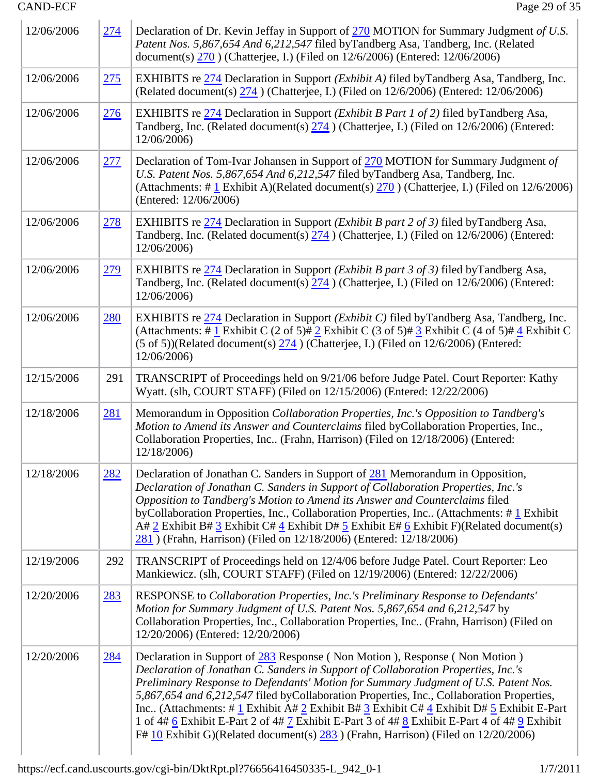| 12/06/2006 | 274        | Declaration of Dr. Kevin Jeffay in Support of 270 MOTION for Summary Judgment of U.S.<br>Patent Nos. 5,867,654 And 6,212,547 filed byTandberg Asa, Tandberg, Inc. (Related<br>document(s) 270 (Chatterjee, I.) (Filed on 12/6/2006) (Entered: 12/06/2006)                                                                                                                                                                                                                                                                                                                                                                                                |  |  |  |
|------------|------------|----------------------------------------------------------------------------------------------------------------------------------------------------------------------------------------------------------------------------------------------------------------------------------------------------------------------------------------------------------------------------------------------------------------------------------------------------------------------------------------------------------------------------------------------------------------------------------------------------------------------------------------------------------|--|--|--|
| 12/06/2006 | 275        | EXHIBITS re 274 Declaration in Support ( <i>Exhibit A</i> ) filed byTandberg Asa, Tandberg, Inc.<br>(Related document(s) $\frac{274}{274}$ ) (Chatterjee, I.) (Filed on 12/6/2006) (Entered: 12/06/2006)                                                                                                                                                                                                                                                                                                                                                                                                                                                 |  |  |  |
| 12/06/2006 | 276        | EXHIBITS re 274 Declaration in Support ( <i>Exhibit B Part 1 of 2</i> ) filed byTandberg Asa,<br>Tandberg, Inc. (Related document(s) $\frac{274}{274}$ ) (Chatterjee, I.) (Filed on 12/6/2006) (Entered:<br>12/06/2006)                                                                                                                                                                                                                                                                                                                                                                                                                                  |  |  |  |
| 12/06/2006 | 277        | Declaration of Tom-Ivar Johansen in Support of 270 MOTION for Summary Judgment of<br>U.S. Patent Nos. 5,867,654 And 6,212,547 filed byTandberg Asa, Tandberg, Inc.<br>(Attachments: # $\frac{1}{2}$ Exhibit A)(Related document(s) $\frac{270}{270}$ ) (Chatterjee, I.) (Filed on 12/6/2006)<br>(Entered: 12/06/2006)                                                                                                                                                                                                                                                                                                                                    |  |  |  |
| 12/06/2006 | <u>278</u> | EXHIBITS re 274 Declaration in Support ( <i>Exhibit B part 2 of 3</i> ) filed byTandberg Asa,<br>Tandberg, Inc. (Related document(s) $\frac{274}{274}$ ) (Chatterjee, I.) (Filed on 12/6/2006) (Entered:<br>12/06/2006)                                                                                                                                                                                                                                                                                                                                                                                                                                  |  |  |  |
| 12/06/2006 | <u>279</u> | EXHIBITS re 274 Declaration in Support ( <i>Exhibit B part 3 of 3</i> ) filed byTandberg Asa,<br>Tandberg, Inc. (Related document(s) $\frac{274}{274}$ ) (Chatterjee, I.) (Filed on 12/6/2006) (Entered:<br>12/06/2006)                                                                                                                                                                                                                                                                                                                                                                                                                                  |  |  |  |
| 12/06/2006 | <u>280</u> | EXHIBITS re 274 Declaration in Support ( <i>Exhibit C</i> ) filed byTandberg Asa, Tandberg, Inc.<br>(Attachments: # $\underline{1}$ Exhibit C (2 of 5)# $\underline{2}$ Exhibit C (3 of 5)# $\underline{3}$ Exhibit C (4 of 5)# $\underline{4}$ Exhibit C<br>$(5 \text{ of } 5)$ )(Related document(s) $\frac{274}{2}$ ) (Chatterjee, I.) (Filed on 12/6/2006) (Entered:<br>12/06/2006)                                                                                                                                                                                                                                                                  |  |  |  |
| 12/15/2006 | 291        | TRANSCRIPT of Proceedings held on 9/21/06 before Judge Patel. Court Reporter: Kathy<br>Wyatt. (slh, COURT STAFF) (Filed on 12/15/2006) (Entered: 12/22/2006)                                                                                                                                                                                                                                                                                                                                                                                                                                                                                             |  |  |  |
| 12/18/2006 | <u>281</u> | Memorandum in Opposition Collaboration Properties, Inc.'s Opposition to Tandberg's<br>Motion to Amend its Answer and Counterclaims filed byCollaboration Properties, Inc.,<br>Collaboration Properties, Inc (Frahn, Harrison) (Filed on 12/18/2006) (Entered:<br>12/18/2006)                                                                                                                                                                                                                                                                                                                                                                             |  |  |  |
| 12/18/2006 | <u>282</u> | Declaration of Jonathan C. Sanders in Support of 281 Memorandum in Opposition,<br>Declaration of Jonathan C. Sanders in Support of Collaboration Properties, Inc.'s<br>Opposition to Tandberg's Motion to Amend its Answer and Counterclaims filed<br>byCollaboration Properties, Inc., Collaboration Properties, Inc (Attachments: #1 Exhibit<br>A# 2 Exhibit B# 3 Exhibit C# $\frac{4}{5}$ Exhibit D# 5 Exhibit E# 6 Exhibit F)(Related document(s)<br>281) (Frahn, Harrison) (Filed on 12/18/2006) (Entered: 12/18/2006)                                                                                                                              |  |  |  |
| 12/19/2006 | 292        | TRANSCRIPT of Proceedings held on 12/4/06 before Judge Patel. Court Reporter: Leo<br>Mankiewicz. (slh, COURT STAFF) (Filed on 12/19/2006) (Entered: 12/22/2006)                                                                                                                                                                                                                                                                                                                                                                                                                                                                                          |  |  |  |
| 12/20/2006 | <u>283</u> | RESPONSE to Collaboration Properties, Inc.'s Preliminary Response to Defendants'<br>Motion for Summary Judgment of U.S. Patent Nos. 5,867,654 and 6,212,547 by<br>Collaboration Properties, Inc., Collaboration Properties, Inc (Frahn, Harrison) (Filed on<br>12/20/2006) (Entered: 12/20/2006)                                                                                                                                                                                                                                                                                                                                                         |  |  |  |
| 12/20/2006 | <u>284</u> | Declaration in Support of 283 Response (Non Motion), Response (Non Motion)<br>Declaration of Jonathan C. Sanders in Support of Collaboration Properties, Inc.'s<br>Preliminary Response to Defendants' Motion for Summary Judgment of U.S. Patent Nos.<br>5,867,654 and 6,212,547 filed byCollaboration Properties, Inc., Collaboration Properties,<br>Inc (Attachments: # 1 Exhibit A# 2 Exhibit B# $3$ Exhibit C# 4 Exhibit D# $5$ Exhibit E-Part<br>1 of 4# $6$ Exhibit E-Part 2 of 4# $7$ Exhibit E-Part 3 of 4# $8$ Exhibit E-Part 4 of 4# $9$ Exhibit<br>F# $10$ Exhibit G)(Related document(s) $283$ ) (Frahn, Harrison) (Filed on $12/20/2006$ ) |  |  |  |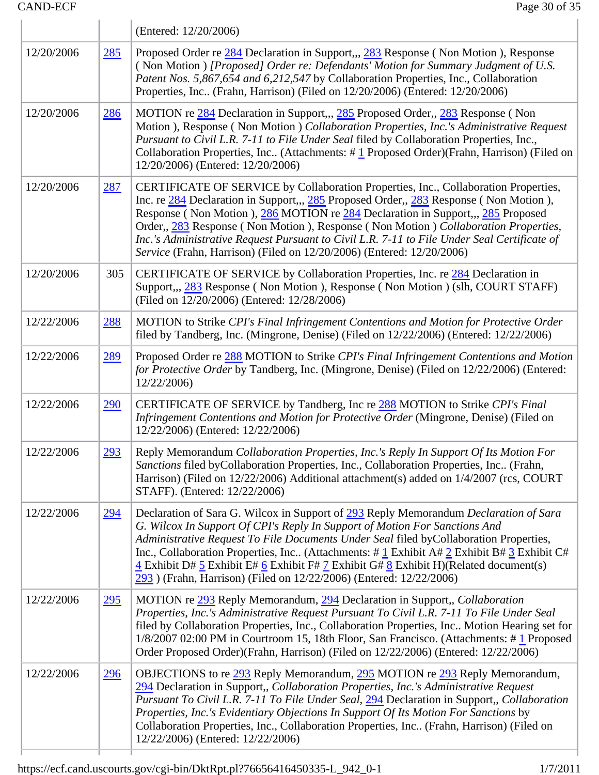h

Ť

|            |            | (Entered: 12/20/2006)                                                                                                                                                                                                                                                                                                                                                                                                                                                                                                                                                |  |  |  |
|------------|------------|----------------------------------------------------------------------------------------------------------------------------------------------------------------------------------------------------------------------------------------------------------------------------------------------------------------------------------------------------------------------------------------------------------------------------------------------------------------------------------------------------------------------------------------------------------------------|--|--|--|
| 12/20/2006 | <u>285</u> | Proposed Order re 284 Declaration in Support,,, 283 Response (Non Motion), Response<br>(Non Motion) [Proposed] Order re: Defendants' Motion for Summary Judgment of U.S.<br>Patent Nos. 5,867,654 and 6,212,547 by Collaboration Properties, Inc., Collaboration<br>Properties, Inc (Frahn, Harrison) (Filed on 12/20/2006) (Entered: 12/20/2006)                                                                                                                                                                                                                    |  |  |  |
| 12/20/2006 | <u>286</u> | MOTION re 284 Declaration in Support,,, 285 Proposed Order,, 283 Response (Non<br>Motion), Response (Non Motion) Collaboration Properties, Inc.'s Administrative Request<br>Pursuant to Civil L.R. 7-11 to File Under Seal filed by Collaboration Properties, Inc.,<br>Collaboration Properties, Inc (Attachments: #1 Proposed Order)(Frahn, Harrison) (Filed on<br>12/20/2006) (Entered: 12/20/2006)                                                                                                                                                                |  |  |  |
| 12/20/2006 | 287        | CERTIFICATE OF SERVICE by Collaboration Properties, Inc., Collaboration Properties,<br>Inc. re 284 Declaration in Support,,, 285 Proposed Order,, 283 Response (Non Motion),<br>Response (Non Motion), 286 MOTION re 284 Declaration in Support, 285 Proposed<br>Order,, 283 Response (Non Motion), Response (Non Motion) Collaboration Properties,<br>Inc.'s Administrative Request Pursuant to Civil L.R. 7-11 to File Under Seal Certificate of<br>Service (Frahn, Harrison) (Filed on 12/20/2006) (Entered: 12/20/2006)                                          |  |  |  |
| 12/20/2006 | 305        | CERTIFICATE OF SERVICE by Collaboration Properties, Inc. re 284 Declaration in<br>Support,,, 283 Response (Non Motion), Response (Non Motion) (slh, COURT STAFF)<br>(Filed on 12/20/2006) (Entered: 12/28/2006)                                                                                                                                                                                                                                                                                                                                                      |  |  |  |
| 12/22/2006 | 288        | MOTION to Strike CPI's Final Infringement Contentions and Motion for Protective Order<br>filed by Tandberg, Inc. (Mingrone, Denise) (Filed on 12/22/2006) (Entered: 12/22/2006)                                                                                                                                                                                                                                                                                                                                                                                      |  |  |  |
| 12/22/2006 | <u>289</u> | Proposed Order re 288 MOTION to Strike CPI's Final Infringement Contentions and Motion<br>for Protective Order by Tandberg, Inc. (Mingrone, Denise) (Filed on 12/22/2006) (Entered:<br>12/22/2006)                                                                                                                                                                                                                                                                                                                                                                   |  |  |  |
| 12/22/2006 | <u>290</u> | CERTIFICATE OF SERVICE by Tandberg, Inc re 288 MOTION to Strike CPI's Final<br>Infringement Contentions and Motion for Protective Order (Mingrone, Denise) (Filed on<br>12/22/2006) (Entered: 12/22/2006)                                                                                                                                                                                                                                                                                                                                                            |  |  |  |
| 12/22/2006 | 293        | Reply Memorandum Collaboration Properties, Inc.'s Reply In Support Of Its Motion For<br>Sanctions filed byCollaboration Properties, Inc., Collaboration Properties, Inc (Frahn,<br>Harrison) (Filed on 12/22/2006) Additional attachment(s) added on 1/4/2007 (rcs, COURT<br>STAFF). (Entered: 12/22/2006)                                                                                                                                                                                                                                                           |  |  |  |
| 12/22/2006 | 294        | Declaration of Sara G. Wilcox in Support of 293 Reply Memorandum Declaration of Sara<br>G. Wilcox In Support Of CPI's Reply In Support of Motion For Sanctions And<br>Administrative Request To File Documents Under Seal filed byCollaboration Properties,<br>Inc., Collaboration Properties, Inc (Attachments: # $1 \text{ Exhibit A} \# 2 \text{ Exhibit B} \# 3 \text{ Exhibit C} \# 1$<br>$\frac{4}{5}$ Exhibit D# 5 Exhibit E# 6 Exhibit F# 7 Exhibit G# 8 Exhibit H)(Related document(s)<br>293 (Frahn, Harrison) (Filed on 12/22/2006) (Entered: 12/22/2006) |  |  |  |
| 12/22/2006 | <u>295</u> | MOTION re 293 Reply Memorandum, 294 Declaration in Support, Collaboration<br>Properties, Inc.'s Administrative Request Pursuant To Civil L.R. 7-11 To File Under Seal<br>filed by Collaboration Properties, Inc., Collaboration Properties, Inc Motion Hearing set for<br>1/8/2007 02:00 PM in Courtroom 15, 18th Floor, San Francisco. (Attachments: #1 Proposed<br>Order Proposed Order)(Frahn, Harrison) (Filed on 12/22/2006) (Entered: 12/22/2006)                                                                                                              |  |  |  |
| 12/22/2006 | <u>296</u> | OBJECTIONS to re 293 Reply Memorandum, 295 MOTION re 293 Reply Memorandum,<br>294 Declaration in Support,, Collaboration Properties, Inc.'s Administrative Request<br>Pursuant To Civil L.R. 7-11 To File Under Seal, 294 Declaration in Support,, Collaboration<br>Properties, Inc.'s Evidentiary Objections In Support Of Its Motion For Sanctions by<br>Collaboration Properties, Inc., Collaboration Properties, Inc (Frahn, Harrison) (Filed on<br>12/22/2006) (Entered: 12/22/2006)                                                                            |  |  |  |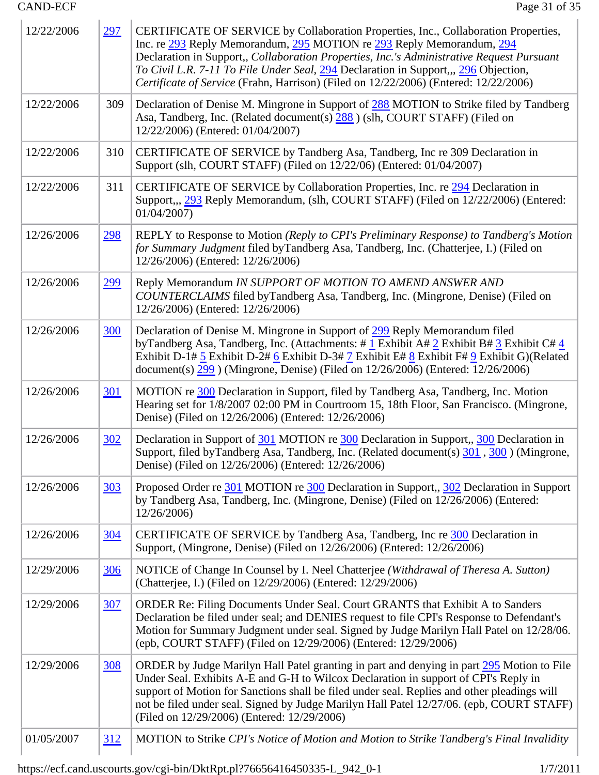| 12/22/2006 | <u>297</u> | CERTIFICATE OF SERVICE by Collaboration Properties, Inc., Collaboration Properties,<br>Inc. re 293 Reply Memorandum, 295 MOTION re 293 Reply Memorandum, 294<br>Declaration in Support,, Collaboration Properties, Inc.'s Administrative Request Pursuant<br>To Civil L.R. 7-11 To File Under Seal, 294 Declaration in Support,,, 296 Objection,<br>Certificate of Service (Frahn, Harrison) (Filed on 12/22/2006) (Entered: 12/22/2006) |  |
|------------|------------|------------------------------------------------------------------------------------------------------------------------------------------------------------------------------------------------------------------------------------------------------------------------------------------------------------------------------------------------------------------------------------------------------------------------------------------|--|
| 12/22/2006 | 309        | Declaration of Denise M. Mingrone in Support of 288 MOTION to Strike filed by Tandberg<br>Asa, Tandberg, Inc. (Related document(s) 288) (slh, COURT STAFF) (Filed on<br>12/22/2006) (Entered: 01/04/2007)                                                                                                                                                                                                                                |  |
| 12/22/2006 | 310        | CERTIFICATE OF SERVICE by Tandberg Asa, Tandberg, Inc re 309 Declaration in<br>Support (slh, COURT STAFF) (Filed on 12/22/06) (Entered: 01/04/2007)                                                                                                                                                                                                                                                                                      |  |
| 12/22/2006 | 311        | CERTIFICATE OF SERVICE by Collaboration Properties, Inc. re 294 Declaration in<br>Support,,, 293 Reply Memorandum, (slh, COURT STAFF) (Filed on 12/22/2006) (Entered:<br>01/04/2007                                                                                                                                                                                                                                                      |  |
| 12/26/2006 | <u>298</u> | REPLY to Response to Motion (Reply to CPI's Preliminary Response) to Tandberg's Motion<br>for Summary Judgment filed by Tandberg Asa, Tandberg, Inc. (Chatterjee, I.) (Filed on<br>12/26/2006) (Entered: 12/26/2006)                                                                                                                                                                                                                     |  |
| 12/26/2006 | <u>299</u> | Reply Memorandum IN SUPPORT OF MOTION TO AMEND ANSWER AND<br>COUNTERCLAIMS filed byTandberg Asa, Tandberg, Inc. (Mingrone, Denise) (Filed on<br>12/26/2006) (Entered: 12/26/2006)                                                                                                                                                                                                                                                        |  |
| 12/26/2006 | <u>300</u> | Declaration of Denise M. Mingrone in Support of 299 Reply Memorandum filed<br>by Tandberg Asa, Tandberg, Inc. (Attachments: # $1$ Exhibit A# $2$ Exhibit B# $3$ Exhibit C# $4$<br>Exhibit D-1# 5 Exhibit D-2# 6 Exhibit D-3# 7 Exhibit E# 8 Exhibit F# 9 Exhibit G)(Related<br>document(s) $299$ ) (Mingrone, Denise) (Filed on $12/26/2006$ ) (Entered: $12/26/2006$ )                                                                  |  |
| 12/26/2006 | <u>301</u> | MOTION re 300 Declaration in Support, filed by Tandberg Asa, Tandberg, Inc. Motion<br>Hearing set for 1/8/2007 02:00 PM in Courtroom 15, 18th Floor, San Francisco. (Mingrone,<br>Denise) (Filed on 12/26/2006) (Entered: 12/26/2006)                                                                                                                                                                                                    |  |
| 12/26/2006 | <u>302</u> | Declaration in Support of 301 MOTION re 300 Declaration in Support, 300 Declaration in<br>Support, filed byTandberg Asa, Tandberg, Inc. (Related document(s) 301, 300) (Mingrone,<br>Denise) (Filed on 12/26/2006) (Entered: 12/26/2006)                                                                                                                                                                                                 |  |
| 12/26/2006 | <u>303</u> | Proposed Order re 301 MOTION re 300 Declaration in Support,, 302 Declaration in Support<br>by Tandberg Asa, Tandberg, Inc. (Mingrone, Denise) (Filed on 12/26/2006) (Entered:<br>12/26/2006)                                                                                                                                                                                                                                             |  |
| 12/26/2006 | <u>304</u> | CERTIFICATE OF SERVICE by Tandberg Asa, Tandberg, Inc re 300 Declaration in<br>Support, (Mingrone, Denise) (Filed on 12/26/2006) (Entered: 12/26/2006)                                                                                                                                                                                                                                                                                   |  |
| 12/29/2006 | <u>306</u> | NOTICE of Change In Counsel by I. Neel Chatterjee (Withdrawal of Theresa A. Sutton)<br>(Chatterjee, I.) (Filed on 12/29/2006) (Entered: 12/29/2006)                                                                                                                                                                                                                                                                                      |  |
| 12/29/2006 | <u>307</u> | ORDER Re: Filing Documents Under Seal. Court GRANTS that Exhibit A to Sanders<br>Declaration be filed under seal; and DENIES request to file CPI's Response to Defendant's<br>Motion for Summary Judgment under seal. Signed by Judge Marilyn Hall Patel on 12/28/06.<br>(epb, COURT STAFF) (Filed on 12/29/2006) (Entered: 12/29/2006)                                                                                                  |  |
| 12/29/2006 | <u>308</u> | ORDER by Judge Marilyn Hall Patel granting in part and denying in part 295 Motion to File<br>Under Seal. Exhibits A-E and G-H to Wilcox Declaration in support of CPI's Reply in<br>support of Motion for Sanctions shall be filed under seal. Replies and other pleadings will<br>not be filed under seal. Signed by Judge Marilyn Hall Patel 12/27/06. (epb, COURT STAFF)<br>(Filed on 12/29/2006) (Entered: 12/29/2006)               |  |
| 01/05/2007 | <u>312</u> | MOTION to Strike CPI's Notice of Motion and Motion to Strike Tandberg's Final Invalidity                                                                                                                                                                                                                                                                                                                                                 |  |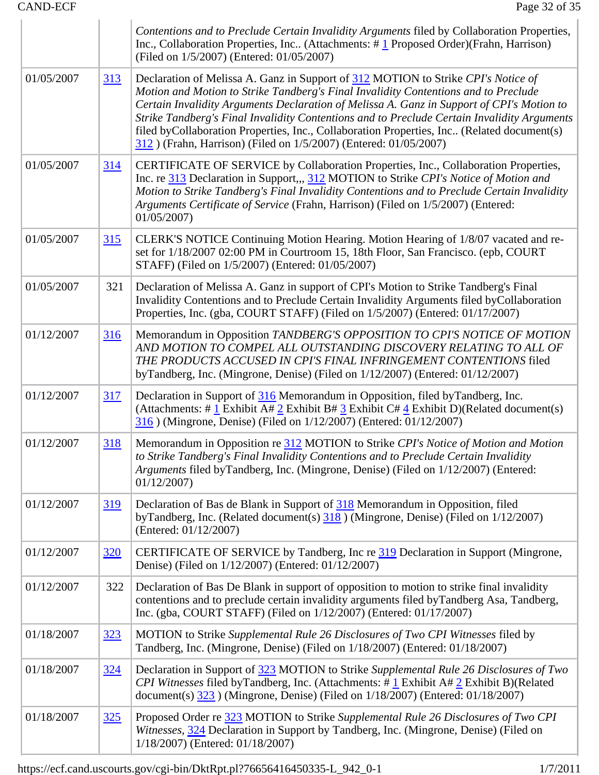|            |            | Contentions and to Preclude Certain Invalidity Arguments filed by Collaboration Properties,<br>Inc., Collaboration Properties, Inc (Attachments: #1 Proposed Order) (Frahn, Harrison)<br>(Filed on 1/5/2007) (Entered: 01/05/2007)                                                                                                                                                                                                                                                                                                     |  |  |
|------------|------------|----------------------------------------------------------------------------------------------------------------------------------------------------------------------------------------------------------------------------------------------------------------------------------------------------------------------------------------------------------------------------------------------------------------------------------------------------------------------------------------------------------------------------------------|--|--|
| 01/05/2007 | <u>313</u> | Declaration of Melissa A. Ganz in Support of 312 MOTION to Strike CPI's Notice of<br>Motion and Motion to Strike Tandberg's Final Invalidity Contentions and to Preclude<br>Certain Invalidity Arguments Declaration of Melissa A. Ganz in Support of CPI's Motion to<br>Strike Tandberg's Final Invalidity Contentions and to Preclude Certain Invalidity Arguments<br>filed byCollaboration Properties, Inc., Collaboration Properties, Inc (Related document(s)<br>312) (Frahn, Harrison) (Filed on 1/5/2007) (Entered: 01/05/2007) |  |  |
| 01/05/2007 | 314        | CERTIFICATE OF SERVICE by Collaboration Properties, Inc., Collaboration Properties,<br>Inc. re 313 Declaration in Support,,, 312 MOTION to Strike CPI's Notice of Motion and<br>Motion to Strike Tandberg's Final Invalidity Contentions and to Preclude Certain Invalidity<br>Arguments Certificate of Service (Frahn, Harrison) (Filed on 1/5/2007) (Entered:<br>01/05/2007                                                                                                                                                          |  |  |
| 01/05/2007 | 315        | CLERK'S NOTICE Continuing Motion Hearing. Motion Hearing of 1/8/07 vacated and re-<br>set for 1/18/2007 02:00 PM in Courtroom 15, 18th Floor, San Francisco. (epb, COURT<br>STAFF) (Filed on 1/5/2007) (Entered: 01/05/2007)                                                                                                                                                                                                                                                                                                           |  |  |
| 01/05/2007 | 321        | Declaration of Melissa A. Ganz in support of CPI's Motion to Strike Tandberg's Final<br>Invalidity Contentions and to Preclude Certain Invalidity Arguments filed byCollaboration<br>Properties, Inc. (gba, COURT STAFF) (Filed on 1/5/2007) (Entered: 01/17/2007)                                                                                                                                                                                                                                                                     |  |  |
| 01/12/2007 | <u>316</u> | Memorandum in Opposition TANDBERG'S OPPOSITION TO CPI'S NOTICE OF MOTION<br>AND MOTION TO COMPEL ALL OUTSTANDING DISCOVERY RELATING TO ALL OF<br>THE PRODUCTS ACCUSED IN CPI'S FINAL INFRINGEMENT CONTENTIONS filed<br>byTandberg, Inc. (Mingrone, Denise) (Filed on 1/12/2007) (Entered: 01/12/2007)                                                                                                                                                                                                                                  |  |  |
| 01/12/2007 | <u>317</u> | Declaration in Support of 316 Memorandum in Opposition, filed by Tandberg, Inc.<br>(Attachments: # $\frac{1}{2}$ Exhibit A# $\frac{2}{2}$ Exhibit B# $\frac{3}{2}$ Exhibit C# $\frac{4}{2}$ Exhibit D)(Related document(s)<br>316) (Mingrone, Denise) (Filed on 1/12/2007) (Entered: 01/12/2007)                                                                                                                                                                                                                                       |  |  |
| 01/12/2007 | <u>318</u> | Memorandum in Opposition re 312 MOTION to Strike CPI's Notice of Motion and Motion<br>to Strike Tandberg's Final Invalidity Contentions and to Preclude Certain Invalidity<br>Arguments filed byTandberg, Inc. (Mingrone, Denise) (Filed on 1/12/2007) (Entered:<br>01/12/2007                                                                                                                                                                                                                                                         |  |  |
| 01/12/2007 | <u>319</u> | Declaration of Bas de Blank in Support of 318 Memorandum in Opposition, filed<br>byTandberg, Inc. (Related document(s) $\frac{318}{318}$ ) (Mingrone, Denise) (Filed on 1/12/2007)<br>(Entered: 01/12/2007)                                                                                                                                                                                                                                                                                                                            |  |  |
| 01/12/2007 | <u>320</u> | CERTIFICATE OF SERVICE by Tandberg, Inc re 319 Declaration in Support (Mingrone,<br>Denise) (Filed on 1/12/2007) (Entered: 01/12/2007)                                                                                                                                                                                                                                                                                                                                                                                                 |  |  |
| 01/12/2007 | 322        | Declaration of Bas De Blank in support of opposition to motion to strike final invalidity<br>contentions and to preclude certain invalidity arguments filed byTandberg Asa, Tandberg,<br>Inc. (gba, COURT STAFF) (Filed on 1/12/2007) (Entered: 01/17/2007)                                                                                                                                                                                                                                                                            |  |  |
| 01/18/2007 | <u>323</u> | MOTION to Strike Supplemental Rule 26 Disclosures of Two CPI Witnesses filed by<br>Tandberg, Inc. (Mingrone, Denise) (Filed on 1/18/2007) (Entered: 01/18/2007)                                                                                                                                                                                                                                                                                                                                                                        |  |  |
| 01/18/2007 | <u>324</u> | Declaration in Support of 323 MOTION to Strike Supplemental Rule 26 Disclosures of Two<br>CPI Witnesses filed by Tandberg, Inc. (Attachments: $\#$ 1 Exhibit A $\#$ 2 Exhibit B)(Related<br>document(s) $\frac{323}{2007}$ ) (Mingrone, Denise) (Filed on 1/18/2007) (Entered: 01/18/2007)                                                                                                                                                                                                                                             |  |  |
| 01/18/2007 | 325        | Proposed Order re 323 MOTION to Strike Supplemental Rule 26 Disclosures of Two CPI<br>Witnesses, 324 Declaration in Support by Tandberg, Inc. (Mingrone, Denise) (Filed on<br>1/18/2007) (Entered: 01/18/2007)                                                                                                                                                                                                                                                                                                                         |  |  |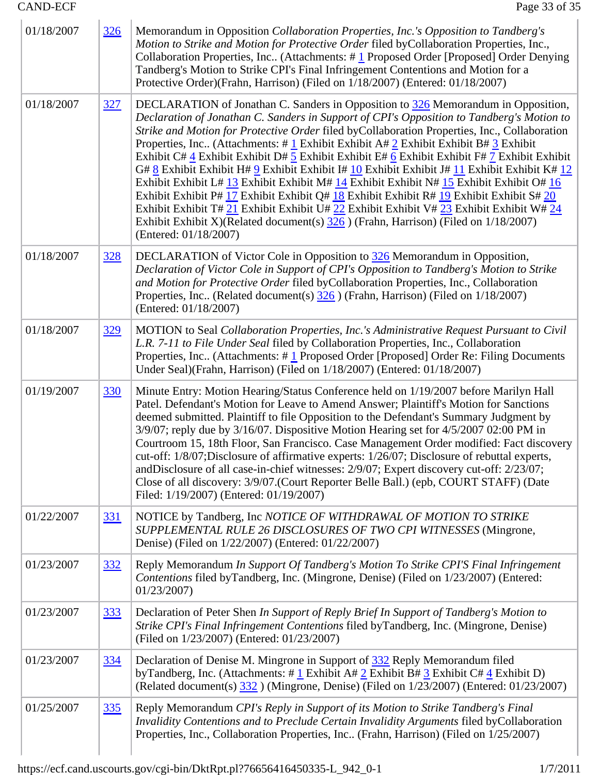| 01/18/2007 | <u>326</u> | Memorandum in Opposition Collaboration Properties, Inc.'s Opposition to Tandberg's<br>Motion to Strike and Motion for Protective Order filed byCollaboration Properties, Inc.,<br>Collaboration Properties, Inc (Attachments: #1 Proposed Order [Proposed] Order Denying<br>Tandberg's Motion to Strike CPI's Final Infringement Contentions and Motion for a<br>Protective Order)(Frahn, Harrison) (Filed on 1/18/2007) (Entered: 01/18/2007)                                                                                                                                                                                                                                                                                                                                                                                                                                                                                                                                               |  |
|------------|------------|----------------------------------------------------------------------------------------------------------------------------------------------------------------------------------------------------------------------------------------------------------------------------------------------------------------------------------------------------------------------------------------------------------------------------------------------------------------------------------------------------------------------------------------------------------------------------------------------------------------------------------------------------------------------------------------------------------------------------------------------------------------------------------------------------------------------------------------------------------------------------------------------------------------------------------------------------------------------------------------------|--|
| 01/18/2007 | <u>327</u> | DECLARATION of Jonathan C. Sanders in Opposition to 326 Memorandum in Opposition,<br>Declaration of Jonathan C. Sanders in Support of CPI's Opposition to Tandberg's Motion to<br>Strike and Motion for Protective Order filed byCollaboration Properties, Inc., Collaboration<br>Properties, Inc. (Attachments: # 1 Exhibit Exhibit A# 2 Exhibit Exhibit B# 3 Exhibit<br>Exhibit C# 4 Exhibit Exhibit D# 5 Exhibit Exhibit E# 6 Exhibit Exhibit F# 7 Exhibit Exhibit<br>G# $8$ Exhibit Exhibit H# $9$ Exhibit Exhibit I# $10$ Exhibit Exhibit J# $11$ Exhibit Exhibit K# $12$<br>Exhibit Exhibit L# 13 Exhibit Exhibit M# 14 Exhibit Exhibit N# 15 Exhibit Exhibit O# 16<br>Exhibit Exhibit P# 17 Exhibit Exhibit Q# 18 Exhibit Exhibit R# 19 Exhibit Exhibit S# 20<br>Exhibit Exhibit T# 21 Exhibit Exhibit U# 22 Exhibit Exhibit V# 23 Exhibit Exhibit W# 24<br>Exhibit Exhibit X)(Related document(s) $\frac{326}{10}$ ) (Frahn, Harrison) (Filed on 1/18/2007)<br>(Entered: 01/18/2007) |  |
| 01/18/2007 | <u>328</u> | DECLARATION of Victor Cole in Opposition to 326 Memorandum in Opposition,<br>Declaration of Victor Cole in Support of CPI's Opposition to Tandberg's Motion to Strike<br>and Motion for Protective Order filed byCollaboration Properties, Inc., Collaboration<br>Properties, Inc (Related document(s) 326) (Frahn, Harrison) (Filed on 1/18/2007)<br>(Entered: 01/18/2007)                                                                                                                                                                                                                                                                                                                                                                                                                                                                                                                                                                                                                  |  |
| 01/18/2007 | <u>329</u> | MOTION to Seal Collaboration Properties, Inc.'s Administrative Request Pursuant to Civil<br>L.R. 7-11 to File Under Seal filed by Collaboration Properties, Inc., Collaboration<br>Properties, Inc (Attachments: #1 Proposed Order [Proposed] Order Re: Filing Documents<br>Under Seal)(Frahn, Harrison) (Filed on 1/18/2007) (Entered: 01/18/2007)                                                                                                                                                                                                                                                                                                                                                                                                                                                                                                                                                                                                                                          |  |
| 01/19/2007 | <u>330</u> | Minute Entry: Motion Hearing/Status Conference held on 1/19/2007 before Marilyn Hall<br>Patel. Defendant's Motion for Leave to Amend Answer; Plaintiff's Motion for Sanctions<br>deemed submitted. Plaintiff to file Opposition to the Defendant's Summary Judgment by<br>3/9/07; reply due by 3/16/07. Dispositive Motion Hearing set for 4/5/2007 02:00 PM in<br>Courtroom 15, 18th Floor, San Francisco. Case Management Order modified: Fact discovery<br>cut-off: 1/8/07;Disclosure of affirmative experts: 1/26/07; Disclosure of rebuttal experts,<br>and Disclosure of all case-in-chief witnesses: 2/9/07; Expert discovery cut-off: 2/23/07;<br>Close of all discovery: 3/9/07. (Court Reporter Belle Ball.) (epb, COURT STAFF) (Date<br>Filed: 1/19/2007) (Entered: 01/19/2007)                                                                                                                                                                                                   |  |
| 01/22/2007 | <u>331</u> | NOTICE by Tandberg, Inc NOTICE OF WITHDRAWAL OF MOTION TO STRIKE<br>SUPPLEMENTAL RULE 26 DISCLOSURES OF TWO CPI WITNESSES (Mingrone,<br>Denise) (Filed on 1/22/2007) (Entered: 01/22/2007)                                                                                                                                                                                                                                                                                                                                                                                                                                                                                                                                                                                                                                                                                                                                                                                                   |  |
| 01/23/2007 | 332        | Reply Memorandum In Support Of Tandberg's Motion To Strike CPI'S Final Infringement<br>Contentions filed byTandberg, Inc. (Mingrone, Denise) (Filed on 1/23/2007) (Entered:<br>01/23/2007                                                                                                                                                                                                                                                                                                                                                                                                                                                                                                                                                                                                                                                                                                                                                                                                    |  |
| 01/23/2007 | <u>333</u> | Declaration of Peter Shen In Support of Reply Brief In Support of Tandberg's Motion to<br>Strike CPI's Final Infringement Contentions filed byTandberg, Inc. (Mingrone, Denise)<br>(Filed on 1/23/2007) (Entered: 01/23/2007)                                                                                                                                                                                                                                                                                                                                                                                                                                                                                                                                                                                                                                                                                                                                                                |  |
| 01/23/2007 | <u>334</u> | Declaration of Denise M. Mingrone in Support of 332 Reply Memorandum filed<br>by Tandberg, Inc. (Attachments: #1 Exhibit A# $2$ Exhibit B# $3$ Exhibit C# $4$ Exhibit D)<br>(Related document(s) $\frac{332}{2007}$ (Mingrone, Denise) (Filed on 1/23/2007) (Entered: 01/23/2007)                                                                                                                                                                                                                                                                                                                                                                                                                                                                                                                                                                                                                                                                                                            |  |
| 01/25/2007 | <u>335</u> | Reply Memorandum CPI's Reply in Support of its Motion to Strike Tandberg's Final<br>Invalidity Contentions and to Preclude Certain Invalidity Arguments filed byCollaboration<br>Properties, Inc., Collaboration Properties, Inc (Frahn, Harrison) (Filed on 1/25/2007)                                                                                                                                                                                                                                                                                                                                                                                                                                                                                                                                                                                                                                                                                                                      |  |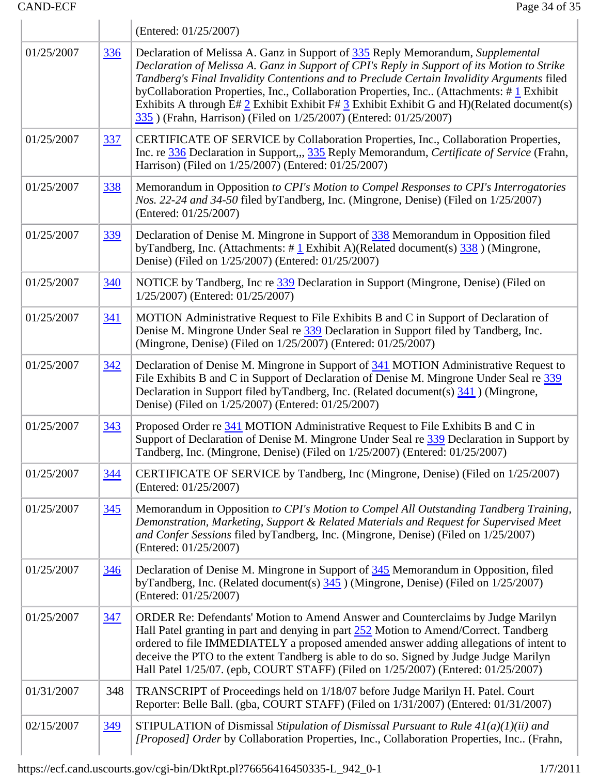|            |            | (Entered: 01/25/2007)                                                                                                                                                                                                                                                                                                                                                                                                                                                                                                                          |  |  |  |
|------------|------------|------------------------------------------------------------------------------------------------------------------------------------------------------------------------------------------------------------------------------------------------------------------------------------------------------------------------------------------------------------------------------------------------------------------------------------------------------------------------------------------------------------------------------------------------|--|--|--|
| 01/25/2007 | <u>336</u> | Declaration of Melissa A. Ganz in Support of 335 Reply Memorandum, Supplemental<br>Declaration of Melissa A. Ganz in Support of CPI's Reply in Support of its Motion to Strike<br>Tandberg's Final Invalidity Contentions and to Preclude Certain Invalidity Arguments filed<br>byCollaboration Properties, Inc., Collaboration Properties, Inc (Attachments: #1 Exhibit<br>Exhibits A through E# $2$ Exhibit Exhibit F# $3$ Exhibit Exhibit G and H)(Related document(s)<br>335) (Frahn, Harrison) (Filed on 1/25/2007) (Entered: 01/25/2007) |  |  |  |
| 01/25/2007 | <u>337</u> | CERTIFICATE OF SERVICE by Collaboration Properties, Inc., Collaboration Properties,<br>Inc. re 336 Declaration in Support,,, 335 Reply Memorandum, Certificate of Service (Frahn,<br>Harrison) (Filed on 1/25/2007) (Entered: 01/25/2007)                                                                                                                                                                                                                                                                                                      |  |  |  |
| 01/25/2007 | 338        | Memorandum in Opposition to CPI's Motion to Compel Responses to CPI's Interrogatories<br><i>Nos.</i> 22-24 and 34-50 filed byTandberg, Inc. (Mingrone, Denise) (Filed on 1/25/2007)<br>(Entered: 01/25/2007)                                                                                                                                                                                                                                                                                                                                   |  |  |  |
| 01/25/2007 | 339        | Declaration of Denise M. Mingrone in Support of 338 Memorandum in Opposition filed<br>byTandberg, Inc. (Attachments: $\#$ 1 Exhibit A)(Related document(s) $\frac{338}{338}$ ) (Mingrone,<br>Denise) (Filed on 1/25/2007) (Entered: 01/25/2007)                                                                                                                                                                                                                                                                                                |  |  |  |
| 01/25/2007 | 340        | NOTICE by Tandberg, Inc re 339 Declaration in Support (Mingrone, Denise) (Filed on<br>1/25/2007) (Entered: 01/25/2007)                                                                                                                                                                                                                                                                                                                                                                                                                         |  |  |  |
| 01/25/2007 | <u>341</u> | MOTION Administrative Request to File Exhibits B and C in Support of Declaration of<br>Denise M. Mingrone Under Seal re 339 Declaration in Support filed by Tandberg, Inc.<br>(Mingrone, Denise) (Filed on 1/25/2007) (Entered: 01/25/2007)                                                                                                                                                                                                                                                                                                    |  |  |  |
| 01/25/2007 | <u>342</u> | Declaration of Denise M. Mingrone in Support of 341 MOTION Administrative Request to<br>File Exhibits B and C in Support of Declaration of Denise M. Mingrone Under Seal re 339<br>Declaration in Support filed by Tandberg, Inc. (Related document(s) 341) (Mingrone,<br>Denise) (Filed on 1/25/2007) (Entered: 01/25/2007)                                                                                                                                                                                                                   |  |  |  |
| 01/25/2007 | 343        | Proposed Order re 341 MOTION Administrative Request to File Exhibits B and C in<br>Support of Declaration of Denise M. Mingrone Under Seal re 339 Declaration in Support by<br>Tandberg, Inc. (Mingrone, Denise) (Filed on 1/25/2007) (Entered: 01/25/2007)                                                                                                                                                                                                                                                                                    |  |  |  |
| 01/25/2007 | <u>344</u> | CERTIFICATE OF SERVICE by Tandberg, Inc (Mingrone, Denise) (Filed on 1/25/2007)<br>(Entered: 01/25/2007)                                                                                                                                                                                                                                                                                                                                                                                                                                       |  |  |  |
| 01/25/2007 | 345        | Memorandum in Opposition to CPI's Motion to Compel All Outstanding Tandberg Training,<br>Demonstration, Marketing, Support & Related Materials and Request for Supervised Meet<br>and Confer Sessions filed byTandberg, Inc. (Mingrone, Denise) (Filed on 1/25/2007)<br>(Entered: 01/25/2007)                                                                                                                                                                                                                                                  |  |  |  |
| 01/25/2007 | 346        | Declaration of Denise M. Mingrone in Support of 345 Memorandum in Opposition, filed<br>byTandberg, Inc. (Related document(s) $345$ ) (Mingrone, Denise) (Filed on 1/25/2007)<br>(Entered: 01/25/2007)                                                                                                                                                                                                                                                                                                                                          |  |  |  |
| 01/25/2007 | 347        | ORDER Re: Defendants' Motion to Amend Answer and Counterclaims by Judge Marilyn<br>Hall Patel granting in part and denying in part 252 Motion to Amend/Correct. Tandberg<br>ordered to file IMMEDIATELY a proposed amended answer adding allegations of intent to<br>deceive the PTO to the extent Tandberg is able to do so. Signed by Judge Judge Marilyn<br>Hall Patel 1/25/07. (epb, COURT STAFF) (Filed on 1/25/2007) (Entered: 01/25/2007)                                                                                               |  |  |  |
| 01/31/2007 | 348        | TRANSCRIPT of Proceedings held on 1/18/07 before Judge Marilyn H. Patel. Court<br>Reporter: Belle Ball. (gba, COURT STAFF) (Filed on 1/31/2007) (Entered: 01/31/2007)                                                                                                                                                                                                                                                                                                                                                                          |  |  |  |
| 02/15/2007 | <u>349</u> | STIPULATION of Dismissal Stipulation of Dismissal Pursuant to Rule $4I(a)(1)(ii)$ and<br>[Proposed] Order by Collaboration Properties, Inc., Collaboration Properties, Inc (Frahn,                                                                                                                                                                                                                                                                                                                                                             |  |  |  |